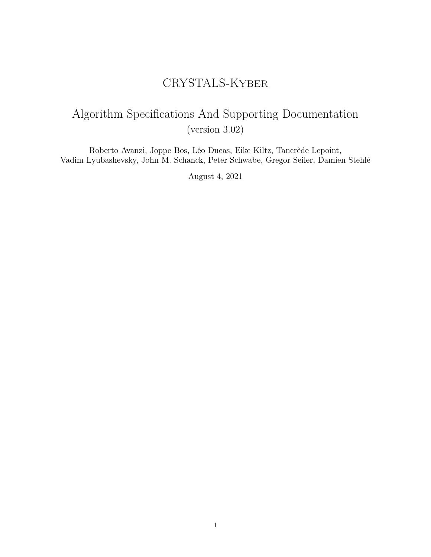# CRYSTALS-Kyber

# Algorithm Specifications And Supporting Documentation (version 3.02)

Roberto Avanzi, Joppe Bos, Léo Ducas, Eike Kiltz, Tancrède Lepoint, Vadim Lyubashevsky, John M. Schanck, Peter Schwabe, Gregor Seiler, Damien Stehlé

August 4, 2021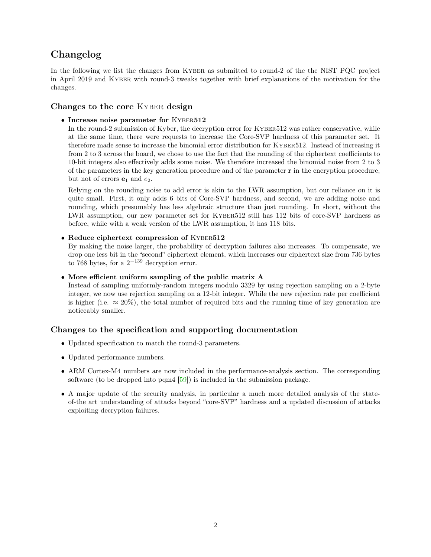# <span id="page-1-0"></span>Changelog

In the following we list the changes from KYBER as submitted to round-2 of the the NIST PQC project in April 2019 and KYBER with round-3 tweaks together with brief explanations of the motivation for the changes.

# Changes to the core KYBER design

• Increase noise parameter for KYBER512

In the round-2 submission of Kyber, the decryption error for KYBER512 was rather conservative, while at the same time, there were requests to increase the Core-SVP hardness of this parameter set. It therefore made sense to increase the binomial error distribution for Kyber512. Instead of increasing it from 2 to 3 across the board, we chose to use the fact that the rounding of the ciphertext coefficients to 10-bit integers also effectively adds some noise. We therefore increased the binomial noise from 2 to 3 of the parameters in the key generation procedure and of the parameter  $\bf{r}$  in the encryption procedure, but not of errors  $e_1$  and  $e_2$ .

Relying on the rounding noise to add error is akin to the LWR assumption, but our reliance on it is quite small. First, it only adds 6 bits of Core-SVP hardness, and second, we are adding noise and rounding, which presumably has less algebraic structure than just rounding. In short, without the LWR assumption, our new parameter set for Kyber512 still has 112 bits of core-SVP hardness as before, while with a weak version of the LWR assumption, it has 118 bits.

# • Reduce ciphertext compression of KYBER512

By making the noise larger, the probability of decryption failures also increases. To compensate, we drop one less bit in the "second" ciphertext element, which increases our ciphertext size from 736 bytes to 768 bytes, for a  $2^{-139}$  decryption error.

# • More efficient uniform sampling of the public matrix A

Instead of sampling uniformly-random integers modulo 3329 by using rejection sampling on a 2-byte integer, we now use rejection sampling on a 12-bit integer. While the new rejection rate per coefficient is higher (i.e.  $\approx 20\%$ ), the total number of required bits and the running time of key generation are noticeably smaller.

# Changes to the specification and supporting documentation

- Updated specification to match the round-3 parameters.
- Updated performance numbers.
- ARM Cortex-M4 numbers are now included in the performance-analysis section. The corresponding software (to be dropped into pqm4 [\[59\]](#page-39-0)) is included in the submission package.
- A major update of the security analysis, in particular a much more detailed analysis of the stateof-the art understanding of attacks beyond "core-SVP" hardness and a updated discussion of attacks exploiting decryption failures.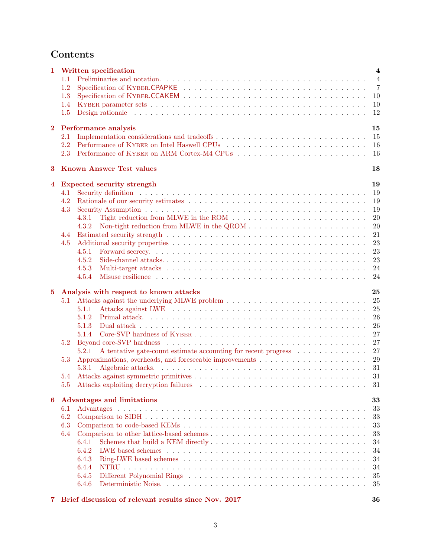# Contents

| 1        |               | Written specification                                                                                                                                                                                                                   | $\overline{\mathbf{4}}$ |
|----------|---------------|-----------------------------------------------------------------------------------------------------------------------------------------------------------------------------------------------------------------------------------------|-------------------------|
|          | 1.1           |                                                                                                                                                                                                                                         | $\overline{4}$          |
|          | 1.2           |                                                                                                                                                                                                                                         | $\overline{7}$          |
|          | 1.3           |                                                                                                                                                                                                                                         | 10                      |
|          | 1.4           |                                                                                                                                                                                                                                         | 10                      |
|          | 1.5           | Design rationale response to the contract of the contract of the contract of the contract of the contract of the contract of the contract of the contract of the contract of the contract of the contract of the contract of t          | 12                      |
| $\bf{2}$ |               | Performance analysis                                                                                                                                                                                                                    | 15                      |
|          | 2.1           |                                                                                                                                                                                                                                         | 15                      |
|          | 2.2           |                                                                                                                                                                                                                                         | 16                      |
|          | 2.3           |                                                                                                                                                                                                                                         | 16                      |
| 3        |               | <b>Known Answer Test values</b>                                                                                                                                                                                                         | 18                      |
| 4        |               | <b>Expected security strength</b>                                                                                                                                                                                                       | 19                      |
|          | 4.1           |                                                                                                                                                                                                                                         | 19                      |
|          | 4.2           |                                                                                                                                                                                                                                         | 19                      |
|          | 4.3           |                                                                                                                                                                                                                                         | 19                      |
|          |               | 4.3.1                                                                                                                                                                                                                                   | 20                      |
|          |               | Non-tight reduction from MLWE in the QROM $\dots \dots \dots \dots \dots \dots \dots \dots \dots$<br>4.3.2                                                                                                                              | 20                      |
|          | 4.4           |                                                                                                                                                                                                                                         | 21                      |
|          | 4.5           |                                                                                                                                                                                                                                         | 23                      |
|          |               | 4.5.1                                                                                                                                                                                                                                   | 23                      |
|          |               | 4.5.2                                                                                                                                                                                                                                   | 23                      |
|          |               | 4.5.3                                                                                                                                                                                                                                   | 24                      |
|          |               | Misuse resilience by a subset of the state of the state of the state of the state of the state of the state of the state of the state of the state of the state of the state of the state of the state of the state of the sta<br>4.5.4 | 24                      |
|          |               |                                                                                                                                                                                                                                         |                         |
|          |               |                                                                                                                                                                                                                                         |                         |
| $\bf{5}$ |               | Analysis with respect to known attacks                                                                                                                                                                                                  | 25                      |
|          | 5.1           | Attacks against the underlying MLWE problem $\ldots \ldots \ldots \ldots \ldots \ldots \ldots \ldots \ldots \ldots \ldots$                                                                                                              | 25                      |
|          |               | 5.1.1                                                                                                                                                                                                                                   | 25                      |
|          |               | 5.1.2                                                                                                                                                                                                                                   | 26                      |
|          |               | 5.1.3                                                                                                                                                                                                                                   | 26                      |
|          |               | 5.1.4                                                                                                                                                                                                                                   | 27                      |
|          | 5.2           |                                                                                                                                                                                                                                         | 27                      |
|          |               | A tentative gate-count estimate accounting for recent progress<br>5.2.1                                                                                                                                                                 | 27                      |
|          | 5.3           |                                                                                                                                                                                                                                         | 29                      |
|          |               | 5.3.1                                                                                                                                                                                                                                   | 31                      |
|          | 5.4           |                                                                                                                                                                                                                                         | 31                      |
|          | $5.5^{\circ}$ |                                                                                                                                                                                                                                         | 31                      |
| 6        |               | <b>Advantages and limitations</b>                                                                                                                                                                                                       | 33                      |
|          | 6.1           |                                                                                                                                                                                                                                         | 33                      |
|          | 6.2           |                                                                                                                                                                                                                                         | 33                      |
|          | 6.3           |                                                                                                                                                                                                                                         | 33                      |
|          | 6.4           |                                                                                                                                                                                                                                         | 33                      |
|          |               | 6.4.1                                                                                                                                                                                                                                   | 34                      |
|          |               | 6.4.2                                                                                                                                                                                                                                   | 34                      |
|          |               | 6.4.3                                                                                                                                                                                                                                   | 34                      |
|          |               | 6.4.4                                                                                                                                                                                                                                   | 34                      |
|          |               | 6.4.5<br>6.4.6                                                                                                                                                                                                                          | 35<br>35                |

[7 Brief discussion of relevant results since Nov. 2017](#page-35-0) 36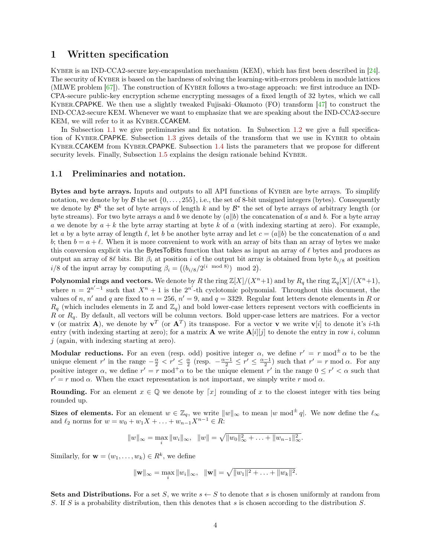# <span id="page-3-2"></span><span id="page-3-0"></span>1 Written specification

Kyber is an IND-CCA2-secure key-encapsulation mechanism (KEM), which has first been described in [\[24\]](#page-37-0). The security of KYBER is based on the hardness of solving the learning-with-errors problem in module lattices (MLWE problem [\[67\]](#page-40-0)). The construction of Kyber follows a two-stage approach: we first introduce an IND-CPA-secure public-key encryption scheme encrypting messages of a fixed length of 32 bytes, which we call Kyber.CPAPKE. We then use a slightly tweaked Fujisaki–Okamoto (FO) transform [\[47\]](#page-39-1) to construct the IND-CCA2-secure KEM. Whenever we want to emphasize that we are speaking about the IND-CCA2-secure KEM, we will refer to it as Kyber.CCAKEM.

In Subsection [1.1](#page-3-1) we give preliminaries and fix notation. In Subsection [1.2](#page-6-0) we give a full specification of Kyber.CPAPKE. Subsection [1.3](#page-9-0) gives details of the transform that we use in Kyber to obtain Kyber.CCAKEM from Kyber.CPAPKE. Subsection [1.4](#page-9-1) lists the parameters that we propose for different security levels. Finally, Subsection [1.5](#page-11-0) explains the design rationale behind KYBER.

#### <span id="page-3-1"></span>1.1 Preliminaries and notation.

Bytes and byte arrays. Inputs and outputs to all API functions of KYBER are byte arrays. To simplify notation, we denote by by  $\beta$  the set  $\{0, \ldots, 255\}$ , i.e., the set of 8-bit unsigned integers (bytes). Consequently we denote by  $\mathcal{B}^k$  the set of byte arrays of length k and by  $\mathcal{B}^*$  the set of byte arrays of arbitrary length (or byte streams). For two byte arrays a and b we denote by  $(a||b)$  the concatenation of a and b. For a byte array a we denote by  $a + k$  the byte array starting at byte k of a (with indexing starting at zero). For example, let a by a byte array of length  $\ell$ , let b be another byte array and let  $c = (a||b)$  be the concatenation of a and b; then  $b = a + \ell$ . When it is more convenient to work with an array of bits than an array of bytes we make this conversion explicit via the BytesToBits function that takes as input an array of  $\ell$  bytes and produces as output an array of 8 $\ell$  bits. Bit  $\beta_i$  at position i of the output bit array is obtained from byte  $b_{i/8}$  at position  $i/8$  of the input array by computing  $\beta_i = ((b_{i/8}/2^{(i \mod 8)}) \mod 2).$ 

**Polynomial rings and vectors.** We denote by R the ring  $\mathbb{Z}[X]/(X^n+1)$  and by  $R_q$  the ring  $\mathbb{Z}_q[X]/(X^n+1)$ , where  $n = 2^{n'-1}$  such that  $X^n + 1$  is the  $2^{n'}$ -th cyclotomic polynomial. Throughout this document, the values of n, n' and q are fixed to  $n = 256$ ,  $n' = 9$ , and  $q = 3329$ . Regular font letters denote elements in R or  $R_q$  (which includes elements in  $\mathbb Z$  and  $\mathbb Z_q$ ) and bold lower-case letters represent vectors with coefficients in  $R$  or  $R_q$ . By default, all vectors will be column vectors. Bold upper-case letters are matrices. For a vector **v** (or matrix **A**), we denote by  $v^T$  (or  $A^T$ ) its transpose. For a vector **v** we write  $v[i]$  to denote it's *i*-th entry (with indexing starting at zero); for a matrix **A** we write  $\mathbf{A}[i][j]$  to denote the entry in row *i*, column  $j$  (again, with indexing starting at zero).

**Modular reductions.** For an even (resp. odd) positive integer  $\alpha$ , we define  $r' = r \mod^{\pm} \alpha$  to be the unique element r' in the range  $-\frac{\alpha}{2} < r' \leq \frac{\alpha}{2}$  (resp.  $-\frac{\alpha-1}{2} \leq r' \leq \frac{\alpha-1}{2}$ ) such that  $r' = r \mod \alpha$ . For any positive integer  $\alpha$ , we define  $r' = r \mod^{\dagger} \alpha$  to be the unique element  $r'$  in the range  $0 \leq r' < \alpha$  such that  $r' = r \mod \alpha$ . When the exact representation is not important, we simply write r mod  $\alpha$ .

**Rounding.** For an element  $x \in \mathbb{Q}$  we denote by  $\lceil x \rceil$  rounding of x to the closest integer with ties being rounded up.

Sizes of elements. For an element  $w \in \mathbb{Z}_q$ , we write  $||w||_{\infty}$  to mean  $|w \bmod^{\pm} q|$ . We now define the  $\ell_{\infty}$ and  $\ell_2$  norms for  $w = w_0 + w_1X + ... + w_{n-1}X^{n-1} \in R$ :

$$
||w||_{\infty} = \max_{i} ||w_i||_{\infty}, \quad ||w|| = \sqrt{||w_0||_{\infty}^2 + \ldots + ||w_{n-1}||_{\infty}^2}.
$$

Similarly, for  $\mathbf{w} = (w_1, \dots, w_k) \in R^k$ , we define

$$
\|\mathbf{w}\|_{\infty} = \max_{i} \|w_i\|_{\infty}, \ \ \|\mathbf{w}\| = \sqrt{\|w_1\|^2 + \ldots + \|w_k\|^2}.
$$

Sets and Distributions. For a set S, we write  $s \leftarrow S$  to denote that s is chosen uniformly at random from S. If S is a probability distribution, then this denotes that s is chosen according to the distribution S.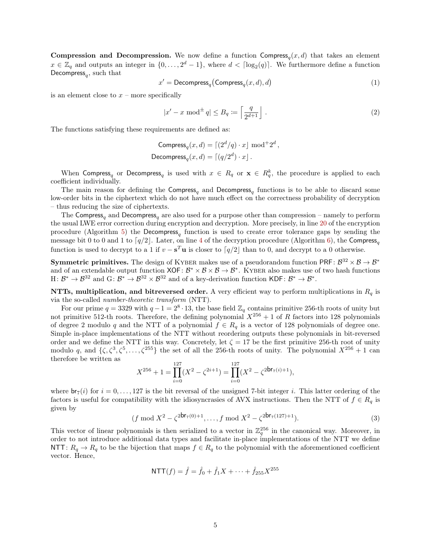**Compression and Decompression.** We now define a function Compress<sub>q</sub> $(x, d)$  that takes an element  $x \in \mathbb{Z}_q$  and outputs an integer in  $\{0, \ldots, 2^d-1\}$ , where  $d < \lceil \log_2(q) \rceil$ . We furthermore define a function Decompress<sub>q</sub>, such that

$$
x' = \text{Decompress}_q \big( \text{Compress}_q(x, d), d \big) \tag{1}
$$

is an element close to  $x$  – more specifically

$$
|x' - x \bmod^{\pm} q| \le B_q := \left\lceil \frac{q}{2^{d+1}} \right\rfloor.
$$
 (2)

The functions satisfying these requirements are defined as:

Compress<sub>q</sub>
$$
(x, d) = \lceil (2^d/q) \cdot x \rfloor \mod 2^d
$$
,  
Decompress<sub>q</sub> $(x, d) = \lceil (q/2^d) \cdot x \rfloor$ .

When Compress<sub>q</sub> or Decompress<sub>q</sub> is used with  $x \in R_q$  or  $x \in R_q^k$ , the procedure is applied to each coefficient individually.

The main reason for defining the Compress<sub>q</sub> and Decompress<sub>q</sub> functions is to be able to discard some low-order bits in the ciphertext which do not have much effect on the correctness probability of decryption – thus reducing the size of ciphertexts.

The Compress<sub>q</sub> and Decompress<sub>q</sub> are also used for a purpose other than compression – namely to perform the usual LWE error correction during encryption and decryption. More precisely, in line [20](#page-7-0) of the encryption procedure (Algorithm [5\)](#page-8-0) the Decompress<sub>q</sub> function is used to create error tolerance gaps by sending the message bit 0 to 0 and 1 to  $\lceil q/2 \rceil$ . Later, on line [4](#page-5-0) of the decryption procedure (Algorithm [6\)](#page-8-1), the Compress<sub>q</sub> function is used to decrypt to a 1 if  $v - s^T u$  is closer to  $\lceil q/2 \rceil$  than to 0, and decrypt to a 0 otherwise.

**Symmetric primitives.** The design of KYBER makes use of a pseudorandom function PRF:  $\mathcal{B}^{32} \times \mathcal{B} \to \mathcal{B}^*$ and of an extendable output function  $XOF: \mathcal{B}^* \times \mathcal{B} \times \mathcal{B} \to \mathcal{B}^*$ . KYBER also makes use of two hash functions H:  $\mathcal{B}^* \to \mathcal{B}^{32}$  and G:  $\mathcal{B}^* \to \mathcal{B}^{32} \times \mathcal{B}^{32}$  and of a key-derivation function KDF:  $\mathcal{B}^* \to \mathcal{B}^*$ .

NTTs, multiplication, and bitreversed order. A very efficient way to perform multiplications in  $R_q$  is via the so-called number-theoretic transform (NTT).

For our prime  $q = 3329$  with  $q - 1 = 2^8 \cdot 13$ , the base field  $\mathbb{Z}_q$  contains primitive 256-th roots of unity but not primitive 512-th roots. Therefore, the defining polynomial  $X^{256} + 1$  of R factors into 128 polynomials of degree 2 modulo q and the NTT of a polynomial  $f \in R_q$  is a vector of 128 polynomials of degree one. Simple in-place implementations of the NTT without reordering outputs these polynomials in bit-reversed order and we define the NTT in this way. Concretely, let  $\zeta = 17$  be the first primitive 256-th root of unity modulo q, and  $\{\zeta, \zeta^3, \zeta^5, \ldots, \zeta^{255}\}$  the set of all the 256-th roots of unity. The polynomial  $X^{256} + 1$  can therefore be written as

$$
X^{256} + 1 = \prod_{i=0}^{127} (X^2 - \zeta^{2i+1}) = \prod_{i=0}^{127} (X^2 - \zeta^{2\mathsf{br}_7(i)+1}),
$$

where  $\mathsf{br}_7(i)$  for  $i = 0, \ldots, 127$  is the bit reversal of the unsigned 7-bit integer i. This latter ordering of the factors is useful for compatibility with the idiosyncrasies of AVX instructions. Then the NTT of  $f \in R_q$  is given by

<span id="page-4-0"></span>
$$
(f \bmod X^2 - \zeta^{2\mathsf{br}_7(0)+1}, \dots, f \bmod X^2 - \zeta^{2\mathsf{br}_7(127)+1}). \tag{3}
$$

This vector of linear polynomials is then serialized to a vector in  $\mathbb{Z}_q^{256}$  in the canonical way. Moreover, in order to not introduce additional data types and facilitate in-place implementations of the NTT we define NTT:  $R_q \to R_q$  to be the bijection that maps  $f \in R_q$  to the polynomial with the aforementioned coefficient vector. Hence,

$$
NTT(f) = \hat{f} = \hat{f}_0 + \hat{f}_1 X + \dots + \hat{f}_{255} X^{255}
$$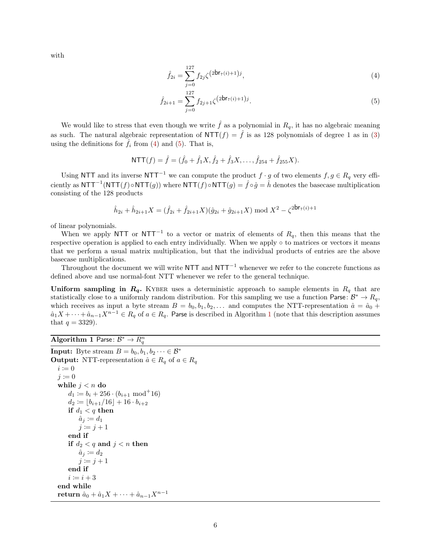with

<span id="page-5-2"></span><span id="page-5-1"></span>
$$
\hat{f}_{2i} = \sum_{j=0}^{127} f_{2j} \zeta^{(2\mathsf{br}_{7}(i)+1)j},\tag{4}
$$

$$
\hat{f}_{2i+1} = \sum_{j=0}^{127} f_{2j+1} \zeta^{(2\mathsf{br}_{7}(i)+1)j}.
$$
\n(5)

We would like to stress that even though we write  $\hat{f}$  as a polynomial in  $R_q$ , it has no algebraic meaning as such. The natural algebraic representation of  $NTT(f) = \hat{f}$  is as 128 polynomials of degree 1 as in [\(3\)](#page-4-0) using the definitions for  $\hat{f}_i$  from [\(4\)](#page-5-1) and [\(5\)](#page-5-2). That is,

$$
NTT(f) = \hat{f} = (\hat{f}_0 + \hat{f}_1X, \hat{f}_2 + \hat{f}_3X, \dots, \hat{f}_{254} + \hat{f}_{255}X).
$$

Using NTT and its inverse NTT<sup>-1</sup> we can compute the product  $f \cdot g$  of two elements  $f, g \in R_q$  very efficiently as  $NTT^{-1}(NTT(f) \circ NTT(g))$  where  $NTT(f) \circ NTT(g) = \hat{f} \circ \hat{g} = \hat{h}$  denotes the basecase multiplication consisting of the 128 products

$$
\hat{h}_{2i} + \hat{h}_{2i+1}X = (\hat{f}_{2i} + \hat{f}_{2i+1}X)(\hat{g}_{2i} + \hat{g}_{2i+1}X) \bmod X^2 - \zeta^{2\mathsf{br}_7(i)+1}
$$

of linear polynomials.

When we apply NTT or NTT<sup>-1</sup> to a vector or matrix of elements of  $R_q$ , then this means that the respective operation is applied to each entry individually. When we apply ◦ to matrices or vectors it means that we perform a usual matrix multiplication, but that the individual products of entries are the above basecase multiplications.

Throughout the document we will write NTT and NTT<sup>-1</sup> whenever we refer to the concrete functions as defined above and use normal-font NTT whenever we refer to the general technique.

Uniform sampling in  $R_q$ . KYBER uses a deterministic approach to sample elements in  $R_q$  that are statistically close to a uniformly random distribution. For this sampling we use a function Parse:  $\mathcal{B}^* \to R_q$ , which receives as input a byte stream  $B = b_0, b_1, b_2, \ldots$  and computes the NTT-representation  $\hat{a} = \hat{a}_0 +$  $\hat{a}_1X + \cdots + \hat{a}_{n-1}X^{n-1} \in R_q$  $\hat{a}_1X + \cdots + \hat{a}_{n-1}X^{n-1} \in R_q$  $\hat{a}_1X + \cdots + \hat{a}_{n-1}X^{n-1} \in R_q$  of  $a \in R_q$ . Parse is described in Algorithm 1 (note that this description assumes that  $q = 3329$ .

<span id="page-5-3"></span>Algorithm 1 Parse:  $\mathcal{B}^* \to R_q^n$ 

```
Input: Byte stream B = b_0, b_1, b_2 \cdots \in \mathcal{B}^*Output: NTT-representation \hat{a} \in R_q of a \in R_qi \coloneqq 0j \coloneqq 0while j < n do
        d_1 \coloneqq b_i + 256 \cdot (b_{i+1} \mod 16)d_2 \coloneqq |b_{i+1}/16| + 16 \cdot b_{i+2}if d_1 < q then
             \hat{a}_j \coloneqq d_1j := j + 1end if
        if d_2 < q and j < n then
             \hat{a}_j \coloneqq d_2j \coloneqq j + 1end if
        i \coloneqq i + 3end while
   return \hat{a}_0 + \hat{a}_1 X + \cdots + \hat{a}_{n-1} X^{n-1}
```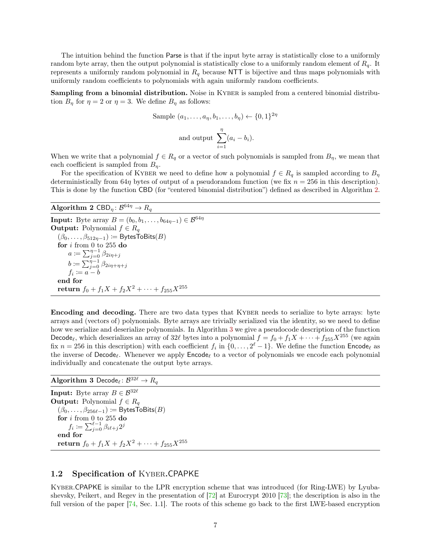<span id="page-6-3"></span>The intuition behind the function Parse is that if the input byte array is statistically close to a uniformly random byte array, then the output polynomial is statistically close to a uniformly random element of  $R_q$ . It represents a uniformly random polynomial in  $R_q$  because NTT is bijective and thus maps polynomials with uniformly random coefficients to polynomials with again uniformly random coefficients.

Sampling from a binomial distribution. Noise in KYBER is sampled from a centered binomial distribution  $B_{\eta}$  for  $\eta = 2$  or  $\eta = 3$ . We define  $B_{\eta}$  as follows:

 $2\eta$ 

Sample 
$$
(a_1, \ldots, a_n, b_1, \ldots, b_n) \leftarrow \{0, 1\}
$$
  
and output 
$$
\sum_{i=1}^{\eta} (a_i - b_i).
$$

When we write that a polynomial  $f \in R_q$  or a vector of such polynomials is sampled from  $B_\eta$ , we mean that each coefficient is sampled from  $B_{\eta}$ .

For the specification of KYBER we need to define how a polynomial  $f \in R_q$  is sampled according to  $B_\eta$ deterministically from 64η bytes of output of a pseudorandom function (we fix  $n = 256$  in this description). This is done by the function CBD (for "centered binomial distribution") defined as described in Algorithm [2.](#page-6-1)

# <span id="page-6-1"></span>Algorithm 2 CBD $_{\eta} \colon \mathcal{B}^{64\eta} \to R_{q}$

**Input:** Byte array  $B = (b_0, b_1, \ldots, b_{64\eta-1}) \in \mathcal{B}^{64\eta}$ **Output:** Polynomial  $f \in R_q$  $(β<sub>0</sub>, ..., β<sub>512η-1</sub>) := B$ ytesToBits $(B)$  $\mathbf{for}~i~\mathrm{from}~0~\mathrm{to}~255~\mathbf{do}$  $a \coloneqq \sum_{j=0}^{\eta-1} \beta_{2i\eta+j}$  $b \coloneqq \sum_{j=0}^{\eta-1} \beta_{2i\eta+\eta+j}$  $f_i \coloneqq a - b$ end for return  $f_0 + f_1 X + f_2 X^2 + \cdots + f_{255} X^{255}$ 

Encoding and decoding. There are two data types that Kyber needs to serialize to byte arrays: byte arrays and (vectors of) polynomials. Byte arrays are trivially serialized via the identity, so we need to define how we serialize and deserialize polynomials. In Algorithm [3](#page-6-2) we give a pseudocode description of the function Decode<sub>l</sub>, which deserializes an array of 32l bytes into a polynomial  $f = f_0 + f_1X + \cdots + f_{255}X^{255}$  (we again fix  $n = 256$  in this description) with each coefficient  $f_i$  in  $\{0, \ldots, 2^{\ell} - 1\}$ . We define the function  $\mathsf{Encode}_{\ell}$  as the inverse of Decode $_\ell$ . Whenever we apply Encode $_\ell$  to a vector of polynomials we encode each polynomial individually and concatenate the output byte arrays.

# <span id="page-6-2"></span> $\mathbf{Algorithm\ 3}\ \mathsf{Decode}_\ell \colon \mathcal{B}^{32\ell} \to R_q$

**Input:** Byte array  $B \in \mathcal{B}^{32\ell}$ **Output:** Polynomial  $f \in R_q$  $(\beta_0, \ldots, \beta_{256\ell-1}) \coloneqq$  BytesToBits(B) for  $i$  from 0 to 255 do  $f_i \coloneqq \sum_{j=0}^{\ell-1} \beta_{i\ell+j} 2^j$ end for return  $f_0 + f_1 X + f_2 X^2 + \cdots + f_{255} X^{255}$ 

# <span id="page-6-0"></span>1.2 Specification of Kyber.CPAPKE

Kyber.CPAPKE is similar to the LPR encryption scheme that was introduced (for Ring-LWE) by Lyubashevsky, Peikert, and Regev in the presentation of [\[72\]](#page-40-1) at Eurocrypt 2010 [\[73\]](#page-40-2); the description is also in the full version of the paper [\[74,](#page-40-3) Sec. 1.1]. The roots of this scheme go back to the first LWE-based encryption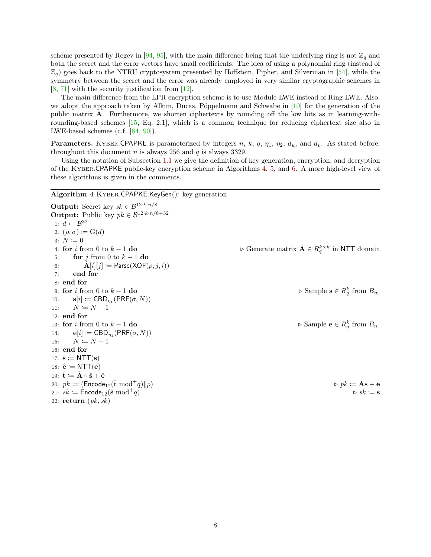<span id="page-7-2"></span>scheme presented by Regev in [\[94,](#page-42-0) [95\]](#page-42-1), with the main difference being that the underlying ring is not  $\mathbb{Z}_q$  and both the secret and the error vectors have small coefficients. The idea of using a polynomial ring (instead of  $\mathbb{Z}_q$ ) goes back to the NTRU cryptosystem presented by Hoffstein, Pipher, and Silverman in [\[54\]](#page-39-2), while the symmetry between the secret and the error was already employed in very similar cryptographic schemes in [\[8,](#page-36-0) [71\]](#page-40-4) with the security justification from [\[12\]](#page-36-1).

The main difference from the LPR encryption scheme is to use Module-LWE instead of Ring-LWE. Also, we adopt the approach taken by Alkım, Ducas, Pöppelmann and Schwabe in [\[10\]](#page-36-2) for the generation of the public matrix A. Furthermore, we shorten ciphertexts by rounding off the low bits as in learning-withrounding-based schemes [\[15,](#page-36-3) Eq. 2.1], which is a common technique for reducing ciphertext size also in LWE-based schemes (c.f. [\[84,](#page-41-0) [90\]](#page-42-2)).

**Parameters.** KYBER.CPAPKE is parameterized by integers n, k, q,  $\eta_1$ ,  $\eta_2$ ,  $d_u$ , and  $d_v$ . As stated before, throughout this document n is always 256 and  $q$  is always 3329.

Using the notation of Subsection [1.1](#page-3-1) we give the definition of key generation, encryption, and decryption of the Kyber.CPAPKE public-key encryption scheme in Algorithms [4,](#page-7-1) [5,](#page-8-0) and [6.](#page-8-1) A more high-level view of these algorithms is given in the comments.

## <span id="page-7-1"></span>Algorithm 4 Kyber.CPAPKE.KeyGen(): key generation

<span id="page-7-0"></span>Output: Secret key  $sk \in \mathcal{B}^{12 \cdot k \cdot n/8}$ **Output:** Public key  $pk \in \mathcal{B}^{12 \cdot k \cdot n/8 + 32}$ 1:  $d \leftarrow \mathcal{B}^{32}$ 2:  $(\rho, \sigma) \coloneqq G(d)$ 3:  $N \coloneqq 0$ 4: for i from 0 to k – 1 do  $\triangleright$  Generate matrix  $\hat{\mathbf{A}} \in R_q^{k \times k}$  in NTT domain 5: for j from 0 to  $k-1$  do 6:  $\mathbf{A}[i][j] \coloneqq \mathsf{Parse}(\mathsf{XOF}(\rho, j, i))$ 7: end for 8: end for 9: for i from 0 to  $k-1$  do  $q$ <sup>k</sup> from  $B_{\eta_1}$ 10:  $\mathbf{s}[i] \coloneqq \mathsf{CBD}_{\eta_1}(\mathsf{PRF}(\sigma, N))$ 11:  $N \coloneqq N + 1$ 12: end for 13: for i from 0 to  $k-1$  do  $q$ <sup>k</sup> from  $B_{\eta_1}$ 14:  $\mathbf{e}[i] \coloneqq \mathsf{CBD}_{\eta_1}(\mathsf{PRF}(\sigma, N))$ 15:  $N := N + 1$ 16: end for 17:  $\hat{\mathbf{s}} \coloneqq \text{NTT}(\mathbf{s})$ 18:  $\hat{\mathbf{e}} \coloneqq \mathsf{NTT}(\mathbf{e})$ 19:  $\hat{\mathbf{t}} \coloneqq \hat{\mathbf{A}} \circ \hat{\mathbf{s}} + \hat{\mathbf{e}}$ 20:  $pk := (\text{Encode}_{12}(\hat{\mathbf{t}} \mod^+ q) || \rho)$ <br>
21:  $sk := \text{Encode}_{12}(\hat{\mathbf{s}} \mod^+ q)$  . pk := As + e 21:  $sk \coloneqq$  Encode<sub>12</sub>( $\hat{\mathbf{s}} \mod q^+q$ ) 22: return  $(pk, sk)$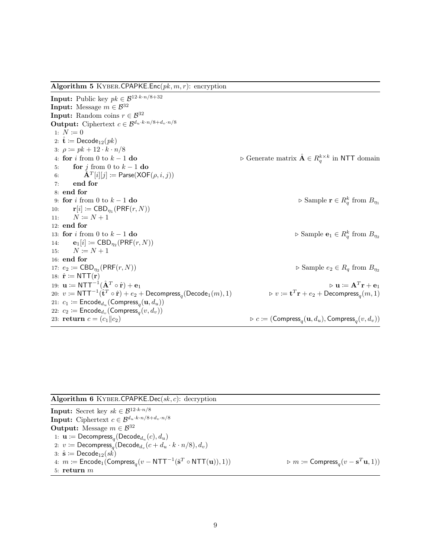<span id="page-8-0"></span>Algorithm 5 KYBER.CPAPKE.Enc $(pk, m, r)$ : encryption

**Input:** Public key  $pk \in \mathcal{B}^{12 \cdot k \cdot n / 8 + 32}$ **Input:** Message  $m \in \mathcal{B}^{32}$ **Input:** Random coins  $r \in \mathcal{B}^{32}$ **Output:** Ciphertext  $c \in \mathcal{B}^{d_u \cdot k \cdot n/8 + d_v \cdot n/8}$ 1:  $N \coloneqq 0$ 2:  $\hat{\mathbf{t}} := \textsf{Decode}_{12}(pk)$ 3:  $\rho := pk + 12 \cdot k \cdot n/8$ 4: for i from 0 to k – 1 do  $\triangleright$  Generate matrix  $\hat{\mathbf{A}} \in R_q^{k \times k}$  in NTT domain 5: for j from 0 to  $k-1$  do 6:  $\hat{\mathbf{A}}^{T}[i][j] \coloneqq \mathsf{Parse}(\mathsf{XOF}(\rho, i, j))$ 7: end for 8: end for 9: for i from 0 to  $k-1$  do  $q$ <sup>k</sup> from  $B_{\eta_1}$ 10:  $\mathbf{r}[i] \coloneqq \mathsf{CBD}_{\eta_1}(\mathsf{PRF}(r,N))$ 11:  $N \coloneqq N + 1$ 12: end for 13: for i from 0 to  $k-1$  do  $q$ <sup>k</sup> from  $B_{\eta_2}$ 14:  $\mathbf{e}_1[i] \coloneqq \text{CBD}_{\eta_2}(\text{PRF}(r, N))$ 15:  $N \coloneqq N + 1$ 16: end for 17:  $e_2 := \text{CBD}_{\eta_2}(\text{PRF}(r, N))$  $\triangleright$  Sample  $e_2 \in R_q$  from  $B_{\eta_2}$ 18:  $\hat{\mathbf{r}} \coloneqq \mathsf{NTT}(\mathbf{r})$ 19:  $\mathbf{u} \coloneqq \mathsf{NTT}^{-1}(\hat{\mathbf{A}}^T \circ \hat{\mathbf{r}}) + \mathbf{e}_1$   $\triangleright$   $\mathbf{u} \coloneqq \mathbf{A}^T$  $\rhd$  **u**  $\coloneqq$   $A^T r + e_1$ 20:  $v \coloneqq \mathsf{NTT}^{-1}(\hat{\mathbf{t}}^T \circ \hat{\mathbf{r}}) + e_2 + \mathsf{Decompress}_q(\mathsf{Decode}_1(m), 1)$   $\triangleright v \coloneqq \mathbf{t}$  ${}^{T}\mathbf{r}+e_2+{\sf Decompress}_q(m,1)$ 21:  $c_1 \coloneqq \mathsf{Encode}_{d_u}(\mathsf{Compress}_q(\mathbf{u},d_u))$ 22:  $c_2 \coloneqq {\sf{Encode}}_{d_v}({\sf{Compress}}_q(v,d_v))$ 23: **return**  $c = (c_1||c_2)$  $(\mathbf{u},d_u),$  Compress $_q(v,d_v))$ 

#### <span id="page-8-1"></span>Algorithm 6 KYBER.CPAPKE.Dec( $sk, c$ ): decryption

Input: Secret key  $sk \in \mathcal{B}^{12 \cdot k \cdot n/8}$ **Input:** Ciphertext  $c \in \mathcal{B}^{d_u \cdot k \cdot n/8 + d_v \cdot n/8}$ **Output:** Message  $m \in \mathcal{B}^{32}$ 1:  $\mathbf{u} \coloneqq \mathsf{Decompress}_q(\mathsf{Decode}_{d_u}(c), d_u)$ 2:  $v \coloneqq {\mathsf{Decompress}}_{q}({\mathsf{Decode}}_{d_v}(c + d_u \cdot k \cdot n / 8), d_v)$ 3:  $\hat{\mathbf{s}} \coloneqq \mathsf{Decode}_{12}(sk)$ 4:  $m \coloneqq {\sf{Encode}}_1({\sf{Compress}}_q(v - {\sf NTT}^{-1}(\hat{\bf s}))$  $T \circ \text{NTT}(\mathbf{u}), 1)$   $\triangleright m \coloneqq \text{Compress}_q(v - \mathbf{s}^T \mathbf{u}, 1)$ 5: return m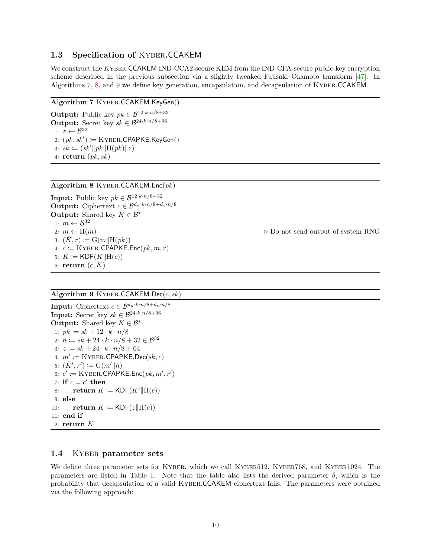# <span id="page-9-5"></span><span id="page-9-0"></span>1.3 Specification of Kyber.CCAKEM

We construct the KYBER.CCAKEM IND-CCA2-secure KEM from the IND-CPA-secure public-key encryption scheme described in the previous subsection via a slightly tweaked Fujisaki–Okamoto transform [\[47\]](#page-39-1). In Algorithms [7,](#page-9-2) [8,](#page-9-3) and [9](#page-9-4) we define key generation, encapsulation, and decapsulation of Kyber.CCAKEM.

### <span id="page-9-2"></span>Algorithm 7 Kyber.CCAKEM.KeyGen()

Output: Public key $pk \in \mathcal{B}^{12 \cdot k \cdot n/8 + 32}$ **Output:** Secret key  $sk \in \mathcal{B}^{24 \cdot k \cdot n/8+96}$ 1:  $z \leftarrow \mathcal{B}^{32}$ 2:  $(pk, sk') \coloneqq$  KYBER.CPAPKE.KeyGen() 3:  $sk := (sk' || pk || H(pk) || z)$ 4:  $return (pk, sk)$ 

<span id="page-9-3"></span>Algorithm 8 KYBER.CCAKEM.Enc $(pk)$ 

**Input:** Public key  $pk \in \mathcal{B}^{12 \cdot k \cdot n/8 + 32}$ **Output:** Ciphertext  $c \in \mathcal{B}^{d_u \cdot k \cdot n/8 + d_v \cdot n/8}$ **Output:** Shared key  $K \in \mathcal{B}^*$ 1:  $m \leftarrow \mathcal{B}^{32}$ 2:  $m \leftarrow H(m)$  . Do not send output of system RNG 3:  $(\bar{K}, r) := \mathrm{G}(m||\mathrm{H}(pk))$ 4:  $c \coloneqq$  KYBER.CPAPKE.Enc( $pk, m, r$ ) 5:  $K \coloneqq \mathsf{KDF}(\overline{K} || \mathbf{H}(c))$ 6: return  $(c, K)$ 

# <span id="page-9-4"></span>Algorithm 9 KYBER.CCAKEM.Dec $(c, sk)$

**Input:** Ciphertext  $c \in \mathcal{B}^{d_u \cdot k \cdot n/8 + d_v \cdot n/8}$ Input: Secret key  $sk \in \mathcal{B}^{24 \cdot k \cdot n/8 + 96}$ **Output:** Shared key  $K \in \mathcal{B}^*$ 1:  $pk := sk + 12 \cdot k \cdot n/8$ 2:  $h := sk + 24 \cdot k \cdot n/8 + 32 \in \mathcal{B}^{32}$ 3:  $z = sk + 24 \cdot k \cdot n/8 + 64$ 4:  $m' \coloneqq$  KYBER.CPAPKE.Dec(sk, c) 5:  $(\bar{K}', r') \coloneqq G(m' \| h)$ 6:  $c' \coloneqq$  KYBER.CPAPKE.Enc $(pk, m', r')$ 7: if  $c = c'$  then 8: return  $K \coloneqq \text{KDF}(\bar{K}' \| \text{H}(c))$ 9: else 10: return  $K \coloneqq \mathsf{KDF}(z \vert \vert \mathbf{H}(c))$ 11: end if 12: return K

# <span id="page-9-1"></span>1.4 KYBER parameter sets

We define three parameter sets for KYBER, which we call KYBER512, KYBER768, and KYBER1024. The parameters are listed in Table [1.](#page-10-0) Note that the table also lists the derived parameter  $\delta$ , which is the probability that decapsulation of a valid Kyber.CCAKEM ciphertext fails. The parameters were obtained via the following approach: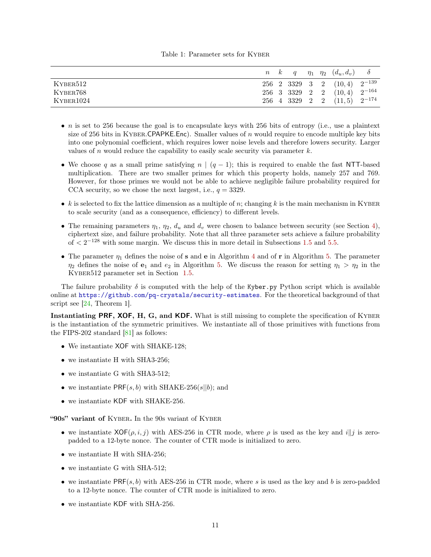#### Table 1: Parameter sets for Kyber

<span id="page-10-1"></span><span id="page-10-0"></span>

|           |  |  | $n \quad k \quad q \quad \eta_1 \quad \eta_2 \quad (d_u, d_v) \quad \delta$ |  |
|-----------|--|--|-----------------------------------------------------------------------------|--|
| KYBER512  |  |  | $256$ 2 3329 3 2 $(10, 4)$ $2^{-139}$                                       |  |
| KYBER768  |  |  | $256$ 3 3329 2 2 $(10, 4)$ $2^{-164}$                                       |  |
| KYBER1024 |  |  | $256$ 4 3329 2 2 $(11,5)$ $2^{-174}$                                        |  |

- *n* is set to 256 because the goal is to encapsulate keys with 256 bits of entropy (i.e., use a plaintext size of 256 bits in KYBER.CPAPKE.Enc). Smaller values of n would require to encode multiple key bits into one polynomial coefficient, which requires lower noise levels and therefore lowers security. Larger values of n would reduce the capability to easily scale security via parameter  $k$ .
- We choose q as a small prime satisfying  $n \mid (q-1)$ ; this is required to enable the fast NTT-based multiplication. There are two smaller primes for which this property holds, namely 257 and 769. However, for those primes we would not be able to achieve negligible failure probability required for CCA security, so we chose the next largest, i.e.,  $q = 3329$ .
- k is selected to fix the lattice dimension as a multiple of n; changing k is the main mechanism in KYBER to scale security (and as a consequence, efficiency) to different levels.
- The remaining parameters  $\eta_1$ ,  $\eta_2$ ,  $d_u$  and  $d_v$  were chosen to balance between security (see Section [4\)](#page-18-0), ciphertext size, and failure probability. Note that all three parameter sets achieve a failure probability of  $\lt 2^{-128}$  with some margin. We discuss this in more detail in Subsections [1.5](#page-11-0) and [5.5.](#page-30-2)
- The parameter  $\eta_1$  defines the noise of s and e in Algorithm [4](#page-7-1) and of r in Algorithm [5.](#page-8-0) The parameter  $\eta_2$  defines the noise of  $e_1$  and  $e_2$  in Algorithm [5.](#page-8-0) We discuss the reason for setting  $\eta_1 > \eta_2$  in the Kyber512 parameter set in Section [1.5.](#page-11-0)

The failure probability  $\delta$  is computed with the help of the Kyber.py Python script which is available online at <https://github.com/pq-crystals/security-estimates>. For the theoretical background of that script see [\[24,](#page-37-0) Theorem 1].

Instantiating PRF, XOF, H, G, and KDF. What is still missing to complete the specification of KYBER is the instantiation of the symmetric primitives. We instantiate all of those primitives with functions from the FIPS-202 standard [\[81\]](#page-41-1) as follows:

- We instantiate XOF with SHAKE-128;
- we instantiate H with SHA3-256;
- we instantiate G with SHA3-512;
- we instantiate  $PRF(s, b)$  with SHAKE-256(s||b); and
- we instantiate KDF with SHAKE-256.

"90s" variant of KYBER. In the 90s variant of KYBER

- we instantiate  $XOF(\rho, i, j)$  with AES-256 in CTR mode, where  $\rho$  is used as the key and i||j is zeropadded to a 12-byte nonce. The counter of CTR mode is initialized to zero.
- we instantiate H with SHA-256;
- we instantiate G with SHA-512;
- we instantiate  $PRF(s, b)$  with AES-256 in CTR mode, where s is used as the key and b is zero-padded to a 12-byte nonce. The counter of CTR mode is initialized to zero.
- we instantiate KDF with SHA-256.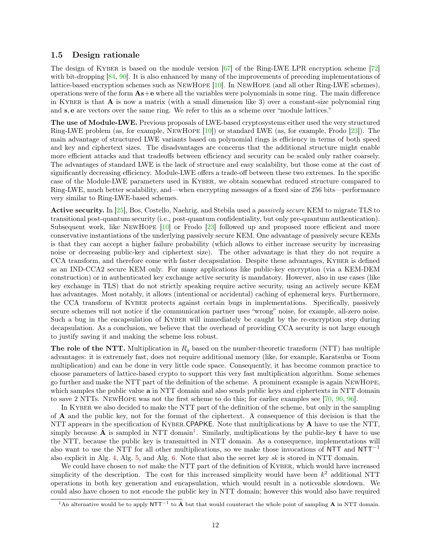### <span id="page-11-2"></span><span id="page-11-0"></span>1.5 Design rationale

The design of KYBER is based on the module version  $[67]$  of the Ring-LWE LPR encryption scheme  $[72]$ with bit-dropping [\[84,](#page-41-0) [90\]](#page-42-2). It is also enhanced by many of the improvements of preceding implementations of lattice-based encryption schemes such as NewHope [\[10\]](#page-36-2). In NewHope (and all other Ring-LWE schemes), operations were of the form  $\mathbf{As}+\mathbf{e}$  where all the variables were polynomials in some ring. The main difference in KYBER is that  $\bf{A}$  is now a matrix (with a small dimension like 3) over a constant-size polynomial ring and s, e are vectors over the same ring. We refer to this as a scheme over "module lattices."

The use of Module-LWE. Previous proposals of LWE-based cryptosystems either used the very structured Ring-LWE problem (as, for example, NewHope [\[10\]](#page-36-2)) or standard LWE (as, for example, Frodo [\[23\]](#page-37-1)). The main advantage of structured LWE variants based on polynomial rings is efficiency in terms of both speed and key and ciphertext sizes. The disadvantages are concerns that the additional structure might enable more efficient attacks and that tradeoffs between efficiency and security can be scaled only rather coarsely. The advantages of standard LWE is the lack of structure and easy scalability, but those come at the cost of significantly decreasing efficiency. Module-LWE offers a trade-off between these two extremes. In the specific case of the Module-LWE parameters used in Kyber, we obtain somewhat reduced structure compared to Ring-LWE, much better scalability, and—when encrypting messages of a fixed size of 256 bits—performance very similar to Ring-LWE-based schemes.

Active security. In [\[25\]](#page-37-2), Bos, Costello, Naehrig, and Stebila used a passively secure KEM to migrate TLS to transitional post-quantum security (i.e., post-quantum confidentiality, but only pre-quantum authentication). Subsequent work, like NewHope [\[10\]](#page-36-2) or Frodo [\[23\]](#page-37-1) followed up and proposed more efficient and more conservative instantiations of the underlying passively secure KEM. One advantage of passively secure KEMs is that they can accept a higher failure probability (which allows to either increase security by increasing noise or decreasing public-key and ciphertext size). The other advantage is that they do not require a CCA transform, and therefore come with faster decapsulation. Despite these advantages, KYBER is defined as an IND-CCA2 secure KEM only. For many applications like public-key encryption (via a KEM-DEM construction) or in authenticated key exchange active security is mandatory. However, also in use cases (like key exchange in TLS) that do not strictly speaking require active security, using an actively secure KEM has advantages. Most notably, it allows (intentional or accidental) caching of ephemeral keys. Furthermore, the CCA transform of KYBER protects against certain bugs in implementations. Specifically, passively secure schemes will not notice if the communication partner uses "wrong" noise, for example, all-zero noise. Such a bug in the encapsulation of KYBER will immediately be caught by the re-encryption step during decapsulation. As a conclusion, we believe that the overhead of providing CCA security is not large enough to justify saving it and making the scheme less robust.

The role of the NTT. Multiplication in  $R_q$  based on the number-theoretic transform (NTT) has multiple advantages: it is extremely fast, does not require additional memory (like, for example, Karatsuba or Toom multiplication) and can be done in very little code space. Consequently, it has become common practice to choose parameters of lattice-based crypto to support this very fast multiplication algorithm. Some schemes go further and make the NTT part of the definition of the scheme. A prominent example is again NewHope, which samples the public value  $a$  in NTT domain and also sends public keys and ciphertexts in NTT domain to save 2 NTTs. NewHope was not the first scheme to do this; for earlier examples see [\[70,](#page-40-5) [90,](#page-42-2) [96\]](#page-42-3).

In KYBER we also decided to make the NTT part of the definition of the scheme, but only in the sampling of A and the public key, not for the format of the ciphertext. A consequence of this decision is that the NTT appears in the specification of KYBER.CPAPKE. Note that multiplications by  $\bf{A}$  have to use the NTT, simply because  $\hat{A}$  is sampled in NTT domain<sup>[1](#page-11-1)</sup>. Similarly, multiplications by the public-key  $\hat{t}$  have to use the NTT, because the public key is transmitted in NTT domain. As a consequence, implementations will also want to use the NTT for all other multiplications, so we make those invocations of NTT and NTT<sup>-1</sup> also explicit in Alg. [4,](#page-7-1) Alg. [5,](#page-8-0) and Alg. [6.](#page-8-1) Note that also the secret key sk is stored in NTT domain.

We could have chosen to *not* make the NTT part of the definition of KYBER, which would have increased simplicity of the description. The cost for this increased simplicity would have been  $k^2$  additional NTT operations in both key generation and encapsulation, which would result in a noticeable slowdown. We could also have chosen to not encode the public key in NTT domain; however this would also have required

<span id="page-11-1"></span><sup>&</sup>lt;sup>1</sup>An alternative would be to apply NTT<sup>-1</sup> to  $\hat{A}$  but that would counteract the whole point of sampling  $A$  in NTT domain.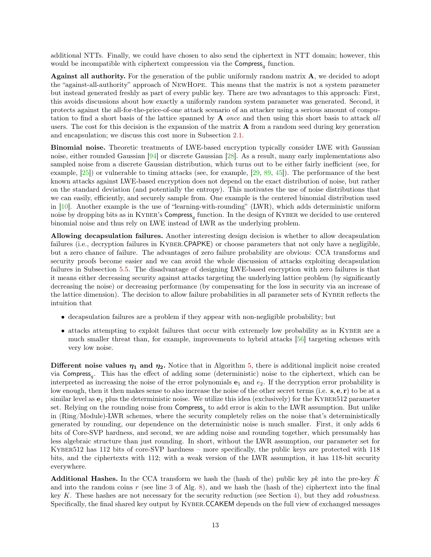<span id="page-12-0"></span>additional NTTs. Finally, we could have chosen to also send the ciphertext in NTT domain; however, this would be incompatible with ciphertext compression via the  $Compress_q$  function.

Against all authority. For the generation of the public uniformly random matrix A, we decided to adopt the "against-all-authority" approach of NewHope. This means that the matrix is not a system parameter but instead generated freshly as part of every public key. There are two advantages to this approach: First, this avoids discussions about how exactly a uniformly random system parameter was generated. Second, it protects against the all-for-the-price-of-one attack scenario of an attacker using a serious amount of computation to find a short basis of the lattice spanned by A once and then using this short basis to attack all users. The cost for this decision is the expansion of the matrix  $A$  from a random seed during key generation and encapsulation; we discuss this cost more in Subsection [2.1.](#page-14-1)

Binomial noise. Theoretic treatments of LWE-based encryption typically consider LWE with Gaussian noise, either rounded Gaussian [\[94\]](#page-42-0) or discrete Gaussian [\[28\]](#page-37-3). As a result, many early implementations also sampled noise from a discrete Gaussian distribution, which turns out to be either fairly inefficient (see, for example, [\[25\]](#page-37-2)) or vulnerable to timing attacks (see, for example, [\[29,](#page-37-4) [89,](#page-42-4) [45\]](#page-38-0)). The performance of the best known attacks against LWE-based encryption does not depend on the exact distribution of noise, but rather on the standard deviation (and potentially the entropy). This motivates the use of noise distributions that we can easily, efficiently, and securely sample from. One example is the centered binomial distribution used in [\[10\]](#page-36-2). Another example is the use of "learning-with-rounding" (LWR), which adds deterministic uniform noise by dropping bits as in KYBER's Compress<sub>q</sub> function. In the design of KYBER we decided to use centered binomial noise and thus rely on LWE instead of LWR as the underlying problem.

Allowing decapsulation failures. Another interesting design decision is whether to allow decapsulation failures (i.e., decryption failures in KYBER.CPAPKE) or choose parameters that not only have a negligible. but a zero chance of failure. The advantages of zero failure probability are obvious: CCA transforms and security proofs become easier and we can avoid the whole discussion of attacks exploiting decapsulation failures in Subsection [5.5.](#page-30-2) The disadvantage of designing LWE-based encryption with zero failures is that it means either decreasing security against attacks targeting the underlying lattice problem (by significantly decreasing the noise) or decreasing performance (by compensating for the loss in security via an increase of the lattice dimension). The decision to allow failure probabilities in all parameter sets of KYBER reflects the intuition that

- decapsulation failures are a problem if they appear with non-negligible probability; but
- attacks attempting to exploit failures that occur with extremely low probability as in KYBER are a much smaller threat than, for example, improvements to hybrid attacks [\[56\]](#page-39-3) targeting schemes with very low noise.

Different noise values  $\eta_1$  and  $\eta_2$ . Notice that in Algorithm [5,](#page-8-0) there is additional implicit noise created via Compress<sub>q</sub>. This has the effect of adding some (deterministic) noise to the ciphertext, which can be interpreted as increasing the noise of the error polynomials  $e_1$  and  $e_2$ . If the decryption error probability is low enough, then it then makes sense to also increase the noise of the other secret terms (i.e. s, e, r) to be at a similar level as  $e_1$  plus the deterministic noise. We utilize this idea (exclusively) for the KYBER512 parameter set. Relying on the rounding noise from  $Compress_q$  to add error is akin to the LWR assumption. But unlike in (Ring/Module)-LWR schemes, where the security completely relies on the noise that's deterministically generated by rounding, our dependence on the deterministic noise is much smaller. First, it only adds 6 bits of Core-SVP hardness, and second, we are adding noise and rounding together, which presumably has less algebraic structure than just rounding. In short, without the LWR assumption, our parameter set for KYBER512 has 112 bits of core-SVP hardness – more specifically, the public keys are protected with 118 bits, and the ciphertexts with 112; with a weak version of the LWR assumption, it has 118-bit security everywhere.

**Additional Hashes.** In the CCA transform we hash the (hash of the) public key pk into the pre-key  $\bar{K}$ and into the random coins  $r$  (see line [3](#page-5-4) of Alg. [8\)](#page-9-3), and we hash the (hash of the) ciphertext into the final key K. These hashes are not necessary for the security reduction (see Section [4\)](#page-18-0), but they add *robustness*. Specifically, the final shared key output by Kyber.CCAKEM depends on the full view of exchanged messages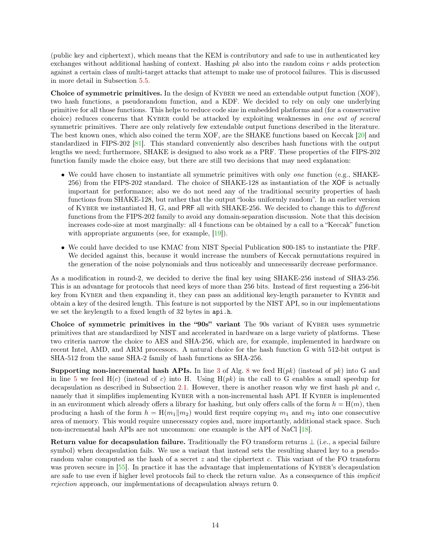<span id="page-13-0"></span>(public key and ciphertext), which means that the KEM is contributory and safe to use in authenticated key exchanges without additional hashing of context. Hashing  $pk$  also into the random coins  $r$  adds protection against a certain class of multi-target attacks that attempt to make use of protocol failures. This is discussed in more detail in Subsection [5.5.](#page-30-2)

Choice of symmetric primitives. In the design of KYBER we need an extendable output function (XOF), two hash functions, a pseudorandom function, and a KDF. We decided to rely on only one underlying primitive for all those functions. This helps to reduce code size in embedded platforms and (for a conservative choice) reduces concerns that KYBER could be attacked by exploiting weaknesses in one out of several symmetric primitives. There are only relatively few extendable output functions described in the literature. The best known ones, which also coined the term XOF, are the SHAKE functions based on Keccak [\[20\]](#page-37-5) and standardized in FIPS-202 [\[81\]](#page-41-1). This standard conveniently also describes hash functions with the output lengths we need; furthermore, SHAKE is designed to also work as a PRF. These properties of the FIPS-202 function family made the choice easy, but there are still two decisions that may need explanation:

- We could have chosen to instantiate all symmetric primitives with only one function (e.g., SHAKE-256) from the FIPS-202 standard. The choice of SHAKE-128 as instantiation of the XOF is actually important for performance; also we do not need any of the traditional security properties of hash functions from SHAKE-128, but rather that the output "looks uniformly random". In an earlier version of KYBER we instantiated H, G, and PRF all with SHAKE-256. We decided to change this to different functions from the FIPS-202 family to avoid any domain-separation discussion. Note that this decision increases code-size at most marginally: all 4 functions can be obtained by a call to a "Keccak" function with appropriate arguments (see, for example,  $|19|$ ).
- We could have decided to use KMAC from NIST Special Publication 800-185 to instantiate the PRF. We decided against this, because it would increase the numbers of Keccak permutations required in the generation of the noise polynomials and thus noticeably and unnecessarily decrease performance.

As a modification in round-2, we decided to derive the final key using SHAKE-256 instead of SHA3-256. This is an advantage for protocols that need keys of more than 256 bits. Instead of first requesting a 256-bit key from KYBER and then expanding it, they can pass an additional key-length parameter to KYBER and obtain a key of the desired length. This feature is not supported by the NIST API, so in our implementations we set the keylength to a fixed length of 32 bytes in api.h.

Choice of symmetric primitives in the "90s" variant The 90s variant of KYBER uses symmetric primitives that are standardized by NIST and accelerated in hardware on a large variety of platforms. These two criteria narrow the choice to AES and SHA-256, which are, for example, implemented in hardware on recent Intel, AMD, and ARM processors. A natural choice for the hash function G with 512-bit output is SHA-512 from the same SHA-2 family of hash functions as SHA-256.

**Supporting non-incremental hash APIs.** In line [3](#page-5-4) of Alg. [8](#page-9-3) we feed  $H(pk)$  (instead of pk) into G and in line [5](#page-5-5) we feed  $H(c)$  (instead of c) into H. Using  $H(pk)$  in the call to G enables a small speedup for decapsulation as described in Subsection [2.1.](#page-14-1) However, there is another reason why we first hash  $pk$  and  $c$ , namely that it simplifies implementing KYBER with a non-incremental hash API. If KYBER is implemented in an environment which already offers a library for hashing, but only offers calls of the form  $h = H(m)$ , then producing a hash of the form  $h = H(m_1||m_2)$  would first require copying  $m_1$  and  $m_2$  into one consecutive area of memory. This would require unnecessary copies and, more importantly, additional stack space. Such non-incremental hash APIs are not uncommon: one example is the API of NaCl [\[18\]](#page-37-7).

Return value for decapsulation failure. Traditionally the FO transform returns  $\perp$  (i.e., a special failure symbol) when decapsulation fails. We use a variant that instead sets the resulting shared key to a pseudorandom value computed as the hash of a secret z and the ciphertext c. This variant of the FO transform was proven secure in [\[55\]](#page-39-4). In practice it has the advantage that implementations of KYBER's decapsulation are safe to use even if higher level protocols fail to check the return value. As a consequence of this implicit rejection approach, our implementations of decapsulation always return 0.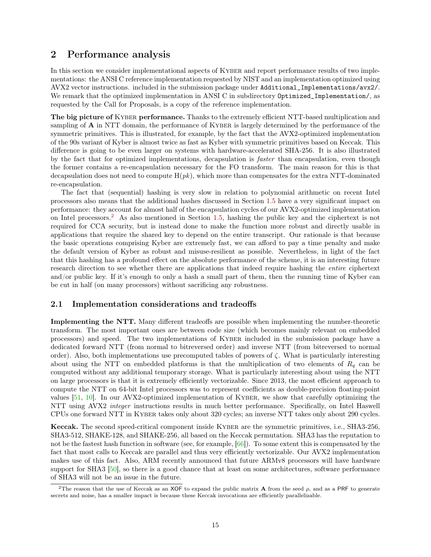# <span id="page-14-3"></span><span id="page-14-0"></span>2 Performance analysis

In this section we consider implementational aspects of KYBER and report performance results of two implementations: the ANSI C reference implementation requested by NIST and an implementation optimized using AVX2 vector instructions. included in the submission package under Additional\_Implementations/avx2/. We remark that the optimized implementation in ANSI C in subdirectory Optimized\_Implementation/, as requested by the Call for Proposals, is a copy of the reference implementation.

The big picture of KYBER performance. Thanks to the extremely efficient NTT-based multiplication and sampling of **A** in NTT domain, the performance of KYBER is largely determined by the performance of the symmetric primitives. This is illustrated, for example, by the fact that the AVX2-optimized implementation of the 90s variant of Kyber is almost twice as fast as Kyber with symmetric primitives based on Keccak. This difference is going to be even larger on systems with hardware-accelerated SHA-256. It is also illustrated by the fact that for optimized implementations, decapsulation is faster than encapsulation, even though the former contains a re-encapsulation necessary for the FO transform. The main reason for this is that decapsulation does not need to compute  $H(pk)$ , which more than compensates for the extra NTT-dominated re-encapsulation.

The fact that (sequential) hashing is very slow in relation to polynomial arithmetic on recent Intel processors also means that the additional hashes discussed in Section [1.5](#page-11-0) have a very significant impact on performance: they account for almost half of the encapsulation cycles of our AVX2-optimized implementation on Intel processors.[2](#page-14-2) As also mentioned in Section [1.5,](#page-11-0) hashing the public key and the ciphertext is not required for CCA security, but is instead done to make the function more robust and directly usable in applications that require the shared key to depend on the entire transcript. Our rationale is that because the basic operations comprising Kyber are extremely fast, we can afford to pay a time penalty and make the default version of Kyber as robust and misuse-resilient as possible. Nevertheless, in light of the fact that this hashing has a profound effect on the absolute performance of the scheme, it is an interesting future research direction to see whether there are applications that indeed require hashing the *entire* ciphertext and/or public key. If it's enough to only a hash a small part of them, then the running time of Kyber can be cut in half (on many processors) without sacrificing any robustness.

# <span id="page-14-1"></span>2.1 Implementation considerations and tradeoffs

Implementing the NTT. Many different tradeoffs are possible when implementing the number-theoretic transform. The most important ones are between code size (which becomes mainly relevant on embedded processors) and speed. The two implementations of Kyber included in the submission package have a dedicated forward NTT (from normal to bitreversed order) and inverse NTT (from bitreversed to normal order). Also, both implementations use precomputed tables of powers of  $\zeta$ . What is particularly interesting about using the NTT on embedded platforms is that the multiplication of two elements of  $R_q$  can be computed without any additional temporary storage. What is particularly interesting about using the NTT on large processors is that it is extremely efficiently vectorizable. Since 2013, the most efficient approach to compute the NTT on 64-bit Intel processors was to represent coefficients as double-precision floating-point values  $[51, 10]$  $[51, 10]$  $[51, 10]$ . In our AVX2-optimized implementation of KYBER, we show that carefully optimizing the NTT using AVX2 *integer* instructions results in much better performance. Specifically, on Intel Haswell CPUs one forward NTT in Kyber takes only about 320 cycles; an inverse NTT takes only about 290 cycles.

Keccak. The second speed-critical component inside KYBER are the symmetric primitives, i.e., SHA3-256, SHA3-512, SHAKE-128, and SHAKE-256, all based on the Keccak permutation. SHA3 has the reputation to not be the fastest hash function in software (see, for example, [\[66\]](#page-40-6)). To some extent this is compensated by the fact that most calls to Keccak are parallel and thus very efficiently vectorizable. Our AVX2 implementation makes use of this fact. Also, ARM recently announced that future ARMv8 processors will have hardware support for SHA3 [\[50\]](#page-39-6), so there is a good chance that at least on some architectures, software performance of SHA3 will not be an issue in the future.

<span id="page-14-2"></span><sup>&</sup>lt;sup>2</sup>The reason that the use of Keccak as an XOF to expand the public matrix **A** from the seed  $\rho$ , and as a PRF to generate secrets and noise, has a smaller impact is because these Keccak invocations are efficiently parallelizable.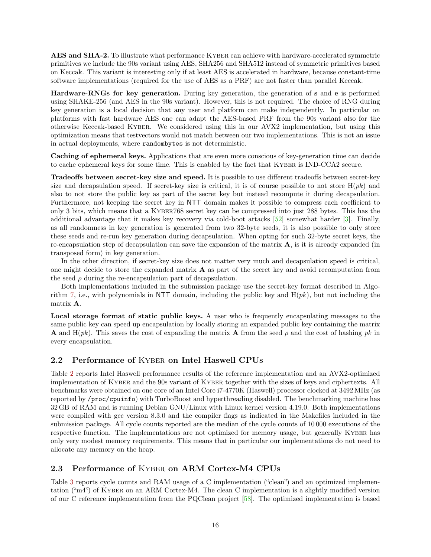<span id="page-15-2"></span>AES and SHA-2. To illustrate what performance KYBER can achieve with hardware-accelerated symmetric primitives we include the 90s variant using AES, SHA256 and SHA512 instead of symmetric primitives based on Keccak. This variant is interesting only if at least AES is accelerated in hardware, because constant-time software implementations (required for the use of AES as a PRF) are not faster than parallel Keccak.

Hardware-RNGs for key generation. During key generation, the generation of s and e is performed using SHAKE-256 (and AES in the 90s variant). However, this is not required. The choice of RNG during key generation is a local decision that any user and platform can make independently. In particular on platforms with fast hardware AES one can adapt the AES-based PRF from the 90s variant also for the otherwise Keccak-based Kyber. We considered using this in our AVX2 implementation, but using this optimization means that testvectors would not match between our two implementations. This is not an issue in actual deployments, where randombytes is not deterministic.

Caching of ephemeral keys. Applications that are even more conscious of key-generation time can decide to cache ephemeral keys for some time. This is enabled by the fact that Kyber is IND-CCA2 secure.

Tradeoffs between secret-key size and speed. It is possible to use different tradeoffs between secret-key size and decapsulation speed. If secret-key size is critical, it is of course possible to not store  $H(pk)$  and also to not store the public key as part of the secret key but instead recompute it during decapsulation. Furthermore, not keeping the secret key in NTT domain makes it possible to compress each coefficient to only 3 bits, which means that a Kyber768 secret key can be compressed into just 288 bytes. This has the additional advantage that it makes key recovery via cold-boot attacks [\[52\]](#page-39-7) somewhat harder [\[3\]](#page-35-1). Finally, as all randomness in key generation is generated from two 32-byte seeds, it is also possible to only store these seeds and re-run key generation during decapsulation. When opting for such 32-byte secret keys, the re-encapsulation step of decapsulation can save the expansion of the matrix  $\bf{A}$ , is it is already expanded (in transposed form) in key generation.

In the other direction, if secret-key size does not matter very much and decapsulation speed is critical, one might decide to store the expanded matrix A as part of the secret key and avoid recomputation from the seed  $\rho$  during the re-encapsulation part of decapsulation.

Both implementations included in the submission package use the secret-key format described in Algo-rithm [7,](#page-9-2) i.e., with polynomials in NTT domain, including the public key and  $H(pk)$ , but not including the matrix A.

Local storage format of static public keys. A user who is frequently encapsulating messages to the same public key can speed up encapsulation by locally storing an expanded public key containing the matrix **A** and  $H(pk)$ . This saves the cost of expanding the matrix **A** from the seed  $\rho$  and the cost of hashing pk in every encapsulation.

### <span id="page-15-0"></span>2.2 Performance of Kyber on Intel Haswell CPUs

Table [2](#page-16-0) reports Intel Haswell performance results of the reference implementation and an AVX2-optimized implementation of Kyber and the 90s variant of Kyber together with the sizes of keys and ciphertexts. All benchmarks were obtained on one core of an Intel Core i7-4770K (Haswell) processor clocked at 3492 MHz (as reported by /proc/cpuinfo) with TurboBoost and hyperthreading disabled. The benchmarking machine has 32 GB of RAM and is running Debian GNU/Linux with Linux kernel version 4.19.0. Both implementations were compiled with gcc version 8.3.0 and the compiler flags as indicated in the Makefiles included in the submission package. All cycle counts reported are the median of the cycle counts of 10 000 executions of the respective function. The implementations are not optimized for memory usage, but generally KYBER has only very modest memory requirements. This means that in particular our implementations do not need to allocate any memory on the heap.

### <span id="page-15-1"></span>2.3 Performance of Kyber on ARM Cortex-M4 CPUs

Table [3](#page-17-1) reports cycle counts and RAM usage of a C implementation ("clean") and an optimized implementation ("m4") of KYBER on an ARM Cortex-M4. The clean C implementation is a slightly modified version of our C reference implementation from the PQClean project [\[58\]](#page-39-8). The optimized implementation is based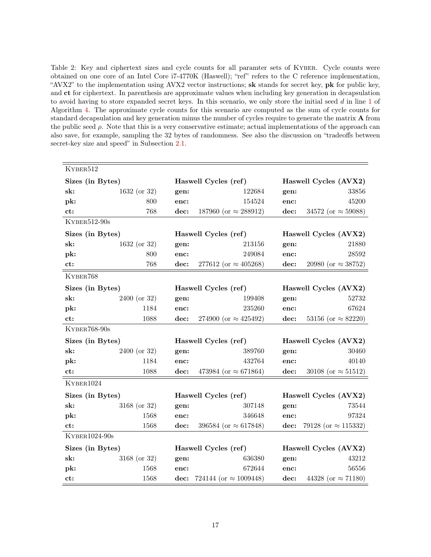<span id="page-16-0"></span>Table 2: Key and ciphertext sizes and cycle counts for all paramter sets of Kyber. Cycle counts were obtained on one core of an Intel Core i7-4770K (Haswell); "ref" refers to the C reference implementation, "AVX2" to the implementation using AVX2 vector instructions; sk stands for secret key, pk for public key, and ct for ciphertext. In parenthesis are approximate values when including key generation in decapsulation to avoid having to store expanded secret keys. In this scenario, we only store the initial seed d in line [1](#page-5-6) of Algorithm [4.](#page-7-1) The approximate cycle counts for this scenario are computed as the sum of cycle counts for standard decapsulation and key generation minus the number of cycles require to generate the matrix A from the public seed  $\rho$ . Note that this is a very conservative estimate; actual implementations of the approach can also save, for example, sampling the 32 bytes of randomness. See also the discussion on "tradeoffs between secret-key size and speed" in Subsection [2.1.](#page-14-1)

| KYBER512         |                |                      |                                     |                       |                             |  |  |
|------------------|----------------|----------------------|-------------------------------------|-----------------------|-----------------------------|--|--|
| Sizes (in Bytes) |                | Haswell Cycles (ref) |                                     | Haswell Cycles (AVX2) |                             |  |  |
| sk:              | $1632$ (or 32) | gen:                 | 122684                              | gen:                  | 33856                       |  |  |
| pk:              | 800            | enc:                 | 154524                              | enc:                  | 45200                       |  |  |
| ct:              | 768            | dec:                 | 187960 (or $\approx$ 288912)        | dec:                  | 34572 (or $\approx$ 59088)  |  |  |
| KYBER512-90s     |                |                      |                                     |                       |                             |  |  |
| Sizes (in Bytes) |                |                      | Haswell Cycles (ref)                | Haswell Cycles (AVX2) |                             |  |  |
| sk:              | $1632$ (or 32) | gen:                 | 213156                              | gen:                  | 21880                       |  |  |
| pk:              | 800            | enc:                 | 249084                              | enc:                  | $28592\,$                   |  |  |
| ct:              | 768            | dec:                 | 277612 (or $\approx 405268$ )       | dec:                  | 20980 (or $\approx 38752$ ) |  |  |
| KYBER768         |                |                      |                                     |                       |                             |  |  |
| Sizes (in Bytes) |                |                      | Haswell Cycles (ref)                |                       | Haswell Cycles (AVX2)       |  |  |
| sk:              | $2400$ (or 32) | gen:                 | 199408                              | gen:                  | 52732                       |  |  |
| pk:              | 1184           | enc:                 | 235260                              | enc:                  | 67624                       |  |  |
| ct:              | 1088           | dec:                 | 274900 (or $\approx$ 425492)        | dec:                  | 53156 (or $\approx$ 82220)  |  |  |
| KYBER768-90s     |                |                      |                                     |                       |                             |  |  |
| Sizes (in Bytes) |                | Haswell Cycles (ref) |                                     | Haswell Cycles (AVX2) |                             |  |  |
| sk:              | $2400$ (or 32) | gen:                 | 389760                              | gen:                  | 30460                       |  |  |
| pk:              | 1184           | enc:                 | 432764                              | enc:                  | 40140                       |  |  |
| ct:              | 1088           | dec:                 | 473984 (or $\approx 671864$ )       | dec:                  | 30108 (or $\approx$ 51512)  |  |  |
| KYBER1024        |                |                      |                                     |                       |                             |  |  |
| Sizes (in Bytes) |                |                      | Haswell Cycles (ref)                |                       | Haswell Cycles (AVX2)       |  |  |
| sk:              | $3168$ (or 32) | gen:                 | 307148                              | gen:                  | 73544                       |  |  |
| pk:              | 1568           | enc:                 | 346648                              | enc:                  | 97324                       |  |  |
| ct:              | 1568           | dec:                 | 396584 (or $\approx 617848$ )       | dec:                  | 79128 (or $\approx$ 115332) |  |  |
| $KYBER1024-90s$  |                |                      |                                     |                       |                             |  |  |
| Sizes (in Bytes) |                | Haswell Cycles (ref) |                                     |                       | Haswell Cycles (AVX2)       |  |  |
| sk:              | 3168 (or 32)   | gen:                 | 636380                              | gen:                  | 43212                       |  |  |
| pk:              | 1568           | enc:                 | 672644                              | enc:                  | 56556                       |  |  |
| ct:              | 1568           |                      | dec: 724144 (or $\approx 1009448$ ) | dec:                  | 44328 (or $\approx$ 71180)  |  |  |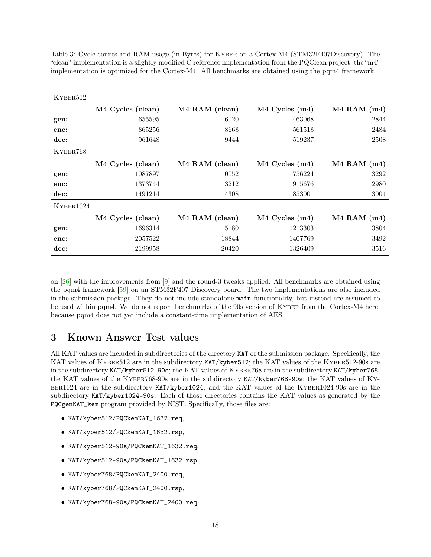| KYBER512  |                   |                |                    |                 |
|-----------|-------------------|----------------|--------------------|-----------------|
|           | M4 Cycles (clean) | M4 RAM (clean) | $M4$ Cycles $(m4)$ | $M4$ RAM $(m4)$ |
| gen:      | 655595            | 6020           | 463068             | 2844            |
| enc:      | 865256            | 8668           | 561518             | 2484            |
| dec:      | 961648            | 9444           | 519237             | 2508            |
| KYBER768  |                   |                |                    |                 |
|           | M4 Cycles (clean) | M4 RAM (clean) | $M4$ Cycles $(m4)$ | $M4$ RAM $(m4)$ |
| gen:      | 1087897           | 10052          | 756224             | 3292            |
| enc:      | 1373744           | 13212          | 915676             | 2980            |
| dec:      | 1491214           | 14308          | 853001             | 3004            |
| KYBER1024 |                   |                |                    |                 |
|           | M4 Cycles (clean) | M4 RAM (clean) | M4 Cycles (m4)     | $M4$ RAM $(m4)$ |
| gen:      | 1696314           | 15180          | 1213303            | 3804            |
| enc:      | 2057522           | 18844          | 1407769            | 3492            |
| dec:      | 2199958           | 20420          | 1326409            | 3516            |

<span id="page-17-2"></span><span id="page-17-1"></span>Table 3: Cycle counts and RAM usage (in Bytes) for Kyber on a Cortex-M4 (STM32F407Discovery). The "clean" implementation is a slightly modified C reference implementation from the PQClean project, the "m4" implementation is optimized for the Cortex-M4. All benchmarks are obtained using the pqm4 framework.

on [\[26\]](#page-37-8) with the improvements from [\[9\]](#page-36-4) and the round-3 tweaks applied. All benchmarks are obtained using the pqm4 framework [\[59\]](#page-39-0) on an STM32F407 Discovery board. The two implementations are also included in the submission package. They do not include standalone main functionality, but instead are assumed to be used within pqm4. We do not report benchmarks of the 90s version of KYBER from the Cortex-M4 here, because pqm4 does not yet include a constant-time implementation of AES.

# <span id="page-17-0"></span>3 Known Answer Test values

All KAT values are included in subdirectories of the directory KAT of the submission package. Specifically, the KAT values of KYBER512 are in the subdirectory KAT/kyber512; the KAT values of the KYBER512-90s are in the subdirectory KAT/kyber512-90s; the KAT values of KYBER768 are in the subdirectory KAT/kyber768; the KAT values of the Kyber768-90s are in the subdirectory KAT/kyber768-90s; the KAT values of Kyber1024 are in the subdirectory KAT/kyber1024; and the KAT values of the Kyber1024-90s are in the subdirectory KAT/kyber1024-90s. Each of those directories contains the KAT values as generated by the PQCgenKAT\_kem program provided by NIST. Specifically, those files are:

- KAT/kyber512/PQCkemKAT\_1632.req,
- KAT/kyber512/PQCkemKAT\_1632.rsp,
- KAT/kyber512-90s/PQCkemKAT\_1632.req,
- KAT/kyber512-90s/PQCkemKAT\_1632.rsp,
- KAT/kyber768/PQCkemKAT\_2400.req,
- KAT/kyber768/PQCkemKAT\_2400.rsp,
- KAT/kyber768-90s/PQCkemKAT\_2400.req,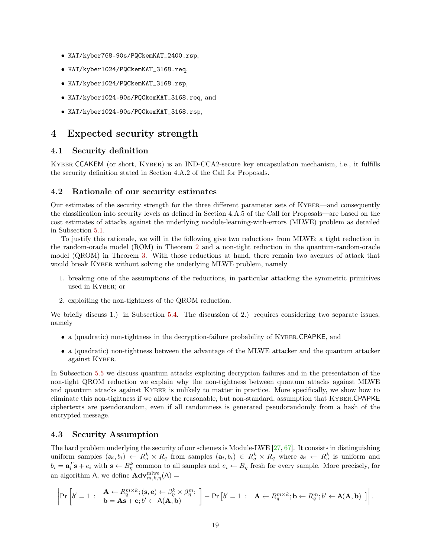- <span id="page-18-4"></span>• KAT/kyber768-90s/PQCkemKAT\_2400.rsp,
- KAT/kyber1024/PQCkemKAT\_3168.req,
- KAT/kyber1024/PQCkemKAT\_3168.rsp,
- KAT/kyber1024-90s/PQCkemKAT\_3168.req, and
- KAT/kyber1024-90s/PQCkemKAT\_3168.rsp,

# <span id="page-18-0"></span>4 Expected security strength

## <span id="page-18-1"></span>4.1 Security definition

Kyber.CCAKEM (or short, Kyber) is an IND-CCA2-secure key encapsulation mechanism, i.e., it fulfills the security definition stated in Section 4.A.2 of the Call for Proposals.

### <span id="page-18-2"></span>4.2 Rationale of our security estimates

Our estimates of the security strength for the three different parameter sets of Kyber—and consequently the classification into security levels as defined in Section 4.A.5 of the Call for Proposals—are based on the cost estimates of attacks against the underlying module-learning-with-errors (MLWE) problem as detailed in Subsection [5.1.](#page-24-1)

To justify this rationale, we will in the following give two reductions from MLWE: a tight reduction in the random-oracle model (ROM) in Theorem [2](#page-19-2) and a non-tight reduction in the quantum-random-oracle model (QROM) in Theorem [3.](#page-19-3) With those reductions at hand, there remain two avenues of attack that would break KYBER without solving the underlying MLWE problem, namely

- 1. breaking one of the assumptions of the reductions, in particular attacking the symmetric primitives used in Kyber; or
- 2. exploiting the non-tightness of the QROM reduction.

We briefly discuss 1.) in Subsection [5.4.](#page-30-1) The discussion of 2.) requires considering two separate issues, namely

- a (quadratic) non-tightness in the decryption-failure probability of KYBER.CPAPKE, and
- a (quadratic) non-tightness between the advantage of the MLWE attacker and the quantum attacker against Kyber.

In Subsection [5.5](#page-30-2) we discuss quantum attacks exploiting decryption failures and in the presentation of the non-tight QROM reduction we explain why the non-tightness between quantum attacks against MLWE and quantum attacks against KYBER is unlikely to matter in practice. More specifically, we show how to eliminate this non-tightness if we allow the reasonable, but non-standard, assumption that Kyber.CPAPKE ciphertexts are pseudorandom, even if all randomness is generated pseudorandomly from a hash of the encrypted message.

# <span id="page-18-3"></span>4.3 Security Assumption

The hard problem underlying the security of our schemes is Module-LWE [\[27,](#page-37-9) [67\]](#page-40-0). It consists in distinguishing uniform samples  $(a_i, b_i) \leftarrow R_q^k \times R_q$  from samples  $(a_i, b_i) \in R_q^k \times R_q$  where  $a_i \leftarrow R_q^k$  is uniform and  $b_i = \mathbf{a}_i^T \mathbf{s} + e_i$  with  $\mathbf{s} \leftarrow B_{\eta}^k$  common to all samples and  $e_i \leftarrow B_{\eta}$  fresh for every sample. More precisely, for an algorithm A, we define  $\mathbf{Adv}_{m,k,\eta}^{\text{mlwe}}(\mathsf{A}) =$ 

$$
\left|\Pr\left[b'=1 \; : \; \begin{array}{l}\mathbf{A} \leftarrow R_q^{m \times k}; (\mathbf{s}, \mathbf{e}) \leftarrow \beta_\eta^k \times \beta_\eta^m; \\ \mathbf{b} = \mathbf{A}\mathbf{s} + \mathbf{e}; b' \leftarrow A(\mathbf{A}, \mathbf{b})\end{array}\right]\right. - \Pr\left[b'=1 \; : \; \mathbf{A} \leftarrow R_q^{m \times k}; \mathbf{b} \leftarrow R_q^m; b' \leftarrow A(\mathbf{A}, \mathbf{b})\end{array}\right]\right|.
$$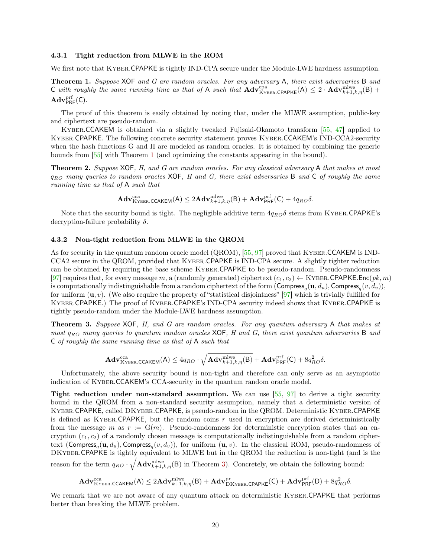#### <span id="page-19-5"></span><span id="page-19-0"></span>4.3.1 Tight reduction from MLWE in the ROM

We first note that KYBER.CPAPKE is tightly IND-CPA secure under the Module-LWE hardness assumption.

<span id="page-19-4"></span>Theorem 1. Suppose XOF and G are random oracles. For any adversary A, there exist adversaries B and C with roughly the same running time as that of A such that  $\mathbf{Adv}_{\text{KYBER}.\text{CPAPKE}}^{\text{pna}}(A) \leq 2 \cdot \mathbf{Adv}_{k+1,k,\eta}^{\text{mlwe}}(B) +$  $\mathbf{Adv}_{\mathsf{PRF}}^{\mathrm{prf}}(\mathsf{C}).$ 

The proof of this theorem is easily obtained by noting that, under the MLWE assumption, public-key and ciphertext are pseudo-random.

Kyber.CCAKEM is obtained via a slightly tweaked Fujisaki-Okamoto transform [\[55,](#page-39-4) [47\]](#page-39-1) applied to Kyber.CPAPKE. The following concrete security statement proves Kyber.CCAKEM's IND-CCA2-security when the hash functions G and H are modeled as random oracles. It is obtained by combining the generic bounds from [\[55\]](#page-39-4) with Theorem [1](#page-19-4) (and optimizing the constants appearing in the bound).

<span id="page-19-2"></span>**Theorem 2.** Suppose XOF, H, and G are random oracles. For any classical adversary A that makes at most  $q_{RO}$  many queries to random oracles XOF, H and G, there exist adversaries B and C of roughly the same running time as that of A such that

$$
\mathbf{Adv}_{\textrm{Kyber.CCAKEM}}^{\textrm{cca}}(\mathsf{A}) \leq 2\mathbf{Adv}_{k+1,k,\eta}^{\textrm{mlwe}}(\mathsf{B}) + \mathbf{Adv}_{\textrm{PRF}}^{\textrm{prf}}(\mathsf{C}) + 4q_{RO}\delta.
$$

Note that the security bound is tight. The negligible additive term  $4q_{RO}\delta$  stems from KYBER.CPAPKE's decryption-failure probability  $\delta$ .

#### <span id="page-19-1"></span>4.3.2 Non-tight reduction from MLWE in the QROM

As for security in the quantum random oracle model (QROM), [\[55,](#page-39-4) [97\]](#page-42-5) proved that KYBER.CCAKEM is IND-CCA2 secure in the QROM, provided that Kyber.CPAPKE is IND-CPA secure. A slightly tighter reduction can be obtained by requiring the base scheme Kyber.CPAPKE to be pseudo-random. Pseudo-randomness [\[97\]](#page-42-5) requires that, for every message m, a (randomly generated) ciphertext  $(c_1, c_2) \leftarrow$  KYBER.CPAPKE.Enc(pk, m) is computationally indistinguishable from a random ciphertext of the form  $(\mathsf{Compress}_q(\mathbf{u},d_u),\mathsf{Compress}_q(v,d_v)),$ for uniform  $(u, v)$ . (We also require the property of "statistical disjointness" [\[97\]](#page-42-5) which is trivially fulfilled for Kyber.CPAPKE.) The proof of Kyber.CPAPKE's IND-CPA security indeed shows that Kyber.CPAPKE is tightly pseudo-random under the Module-LWE hardness assumption.

<span id="page-19-3"></span>Theorem 3. Suppose XOF, H, and G are random oracles. For any quantum adversary A that makes at most  $q_{RO}$  many queries to quantum random oracles  $XOF$ , H and G, there exist quantum adversaries B and C of roughly the same running time as that of A such that

$$
\mathbf{Adv}_{\mathrm{KYBER.CCAKEM}}^{\mathrm{cca}}(\mathsf{A}) \leq 4q_{RO} \cdot \sqrt{\mathbf{Adv}_{k+1,k,\eta}^{\mathrm{mlwe}}(\mathsf{B})} + \mathbf{Adv}_{\mathsf{PRF}}^{\mathrm{prf}}(\mathsf{C}) + 8q_{RO}^2 \delta.
$$

Unfortunately, the above security bound is non-tight and therefore can only serve as an asymptotic indication of Kyber.CCAKEM's CCA-security in the quantum random oracle model.

Tight reduction under non-standard assumption. We can use  $[55, 97]$  $[55, 97]$  $[55, 97]$  to derive a tight security bound in the QROM from a non-standard security assumption, namely that a deterministic version of Kyber.CPAPKE, called DKyber.CPAPKE, is pseudo-random in the QROM. Deterministic Kyber.CPAPKE is defined as KYBER.CPAPKE, but the random coins  $r$  used in encryption are derived deterministically from the message m as  $r := G(m)$ . Pseudo-randomness for deterministic encryption states that an encryption  $(c_1, c_2)$  of a randomly chosen message is computationally indistinguishable from a random ciphertext (Compress<sub>q</sub>( $\mathbf{u}, d_u$ ), Compress<sub>q</sub>( $v, d_v$ )), for uniform ( $\mathbf{u}, v$ ). In the classical ROM, pseudo-randomness of DKyber.CPAPKE is tightly equivalent to MLWE but in the QROM the reduction is non-tight (and is the reason for the term  $q_{RO} \cdot \sqrt{\mathbf{Adv}_{k+1,k,\eta}^{\text{mlwe}}(B)}$  in Theorem [3\)](#page-19-3). Concretely, we obtain the following bound:

$$
\mathbf{Adv}_{\mathrm{Kyber.CCAKEM}}^{\mathrm{cca}}(\mathsf{A}) \leq 2\mathbf{Adv}_{k+1,k,\eta}^{\mathrm{mlwe}}(\mathsf{B}) + \mathbf{Adv}_{\mathrm{DKyber.CPAPKE}}^{\mathrm{pr}}(\mathsf{C}) + \mathbf{Adv}_{\mathrm{PRF}}^{\mathrm{prf}}(\mathsf{D}) + 8q_{RO}^2\delta.
$$

We remark that we are not aware of any quantum attack on deterministic KYBER.CPAPKE that performs better than breaking the MLWE problem.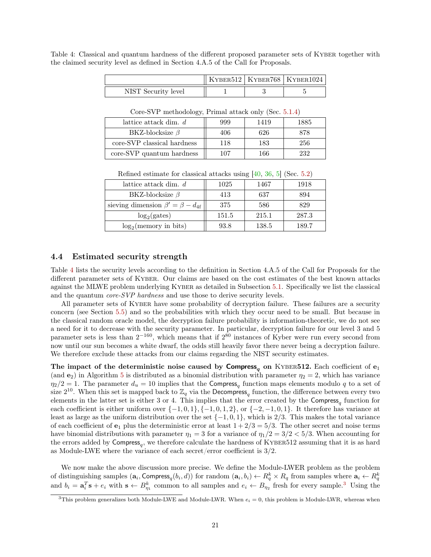<span id="page-20-3"></span><span id="page-20-1"></span>Table 4: Classical and quantum hardness of the different proposed parameter sets of KYBER together with the claimed security level as defined in Section 4.A.5 of the Call for Proposals.

|                     |  | KYBER512   KYBER768   KYBER1024 |
|---------------------|--|---------------------------------|
| NIST Security level |  |                                 |

| lattice attack dim. $d$     | 999 | 1419 | 1885 |  |  |  |  |
|-----------------------------|-----|------|------|--|--|--|--|
| BKZ-blocksize $\beta$       | 406 | 626  | 878  |  |  |  |  |
| core-SVP classical hardness | 118 | 183  | 256  |  |  |  |  |
| core-SVP quantum hardness   | 107 | 166  | 939  |  |  |  |  |

Core-SVP methodology, Primal attack only (Sec. [5.1.4\)](#page-26-0)

| lattice attack dim. $d$                     | 1025  | 1467  | 1918  |
|---------------------------------------------|-------|-------|-------|
| BKZ-blocksize $\beta$                       | 413   | 637   | 894   |
| sieving dimension $\beta' = \beta - d_{4f}$ | 375   | 586   | 829   |
| $log_2(gates)$                              | 151.5 | 215.1 | 287.3 |
| $log_2$ (memory in bits)                    | 93.8  | 138.5 | 189.7 |

Refined estimate for classical attacks using [\[40,](#page-38-1) [36,](#page-38-2) [5\]](#page-36-5) (Sec. [5.2\)](#page-26-1)

# <span id="page-20-0"></span>4.4 Estimated security strength

Table [4](#page-20-1) lists the security levels according to the definition in Section 4.A.5 of the Call for Proposals for the different parameter sets of Kyber. Our claims are based on the cost estimates of the best known attacks against the MLWE problem underlying Kyber as detailed in Subsection [5.1.](#page-24-1) Specifically we list the classical and the quantum *core-SVP hardness* and use those to derive security levels.

All parameter sets of KYBER have some probability of decryption failure. These failures are a security concern (see Section [5.5\)](#page-30-2) and so the probabilities with which they occur need to be small. But because in the classical random oracle model, the decryption failure probability is information-theoretic, we do not see a need for it to decrease with the security parameter. In particular, decryption failure for our level 3 and 5 parameter sets is less than  $2^{-160}$ , which means that if  $2^{80}$  instances of Kyber were run every second from now until our sun becomes a white dwarf, the odds still heavily favor there never being a decryption failure. We therefore exclude these attacks from our claims regarding the NIST security estimates.

The impact of the deterministic noise caused by  $Compress_q$  on KYBER512. Each coefficient of  $e_1$ (and  $e_2$ ) in Algorithm [5](#page-8-0) is distributed as a binomial distribution with parameter  $\eta_2 = 2$ , which has variance  $\eta_2/2=1$ . The parameter  $d_u=10$  implies that the Compress<sub>q</sub> function maps elements modulo q to a set of size  $2^{10}$ . When this set is mapped back to  $\mathbb{Z}_q$  via the Decompress<sub>q</sub> function, the difference between every two elements in the latter set is either 3 or 4. This implies that the error created by the  $Compress_{q}$  function for each coefficient is either uniform over  $\{-1, 0, 1\}$ ,  $\{-1, 0, 1, 2\}$ , or  $\{-2, -1, 0, 1\}$ . It therefore has variance at least as large as the uniform distribution over the set  $\{-1, 0, 1\}$ , which is 2/3. This makes the total variance of each coefficient of  $e_1$  plus the deterministic error at least  $1 + 2/3 = 5/3$ . The other secret and noise terms have binomial distributions with parameter  $\eta_1 = 3$  for a variance of  $\eta_1/2 = 3/2 < 5/3$ . When accounting for the errors added by  $Compress_q$ , we therefore calculate the hardness of KYBER512 assuming that it is as hard as Module-LWE where the variance of each secret/error coefficient is 3/2.

We now make the above discussion more precise. We define the Module-LWER problem as the problem of distinguishing samples  $(a_i, \text{Compress}_q(b_i, d))$  for random  $(a_i, b_i) \leftarrow R_q^k \times R_q$  from samples where  $a_i \leftarrow R_q^k$ and  $b_i = \mathbf{a}_i^T \mathbf{s} + e_i$  with  $\mathbf{s} \leftarrow B_{\eta_1}$  common to all samples and  $e_i \leftarrow B_{\eta_2}$  fresh for every sample.<sup>[3](#page-20-2)</sup> Using the

<span id="page-20-2"></span><sup>&</sup>lt;sup>3</sup>This problem generalizes both Module-LWE and Module-LWR. When  $e_i = 0$ , this problem is Module-LWR, whereas when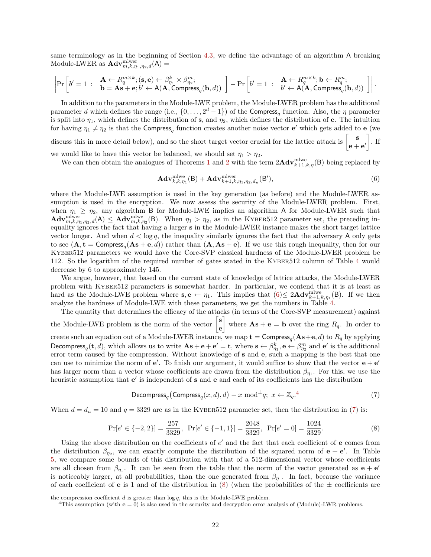same terminology as in the beginning of Section [4.3,](#page-18-3) we define the advantage of an algorithm A breaking Module-LWER as  $\mathbf{Adv}_{m,k,\eta_1,\eta_2,d}^{\text{mlwer}}(\mathsf{A}) =$ 

$$
\left|\Pr\left[b'=1 \ : \ \begin{array}{l}\mathbf{A}\leftarrow R_q^{m\times k}; (\mathbf{s},\mathbf{e})\leftarrow \beta_{\eta_1}^k\times\beta_{\eta_2}^m; \\ \mathbf{b}=\mathbf{A}\mathbf{s}+\mathbf{e}; b'\leftarrow \mathsf{A}(\mathbf{A},\mathsf{Compress}_q(\mathbf{b},d))\end{array}\right]\right. - \Pr\left[b'=1 \ : \ \begin{array}{l}\mathbf{A}\leftarrow R_q^{m\times k}; \mathbf{b}\leftarrow R_q^m; \\ b'\leftarrow \mathsf{A}(\mathbf{A},\mathsf{Compress}_q(\mathbf{b},d))\end{array}\right]\right|.
$$

In addition to the parameters in the Module-LWE problem, the Module-LWER problem has the additional parameter d which defines the range (i.e.,  $\{0, \ldots, 2^d - 1\}$ ) of the Compress<sub>q</sub> function. Also, the  $\eta$  parameter is split into  $\eta_1$ , which defines the distribution of s, and  $\eta_2$ , which defines the distribution of e. The intuition for having  $\eta_1 \neq \eta_2$  is that the Compress<sub>q</sub> function creates another noise vector e' which gets added to e (we

discuss this in more detail below), and so the short target vector crucial for the lattice attack is  $\begin{bmatrix} s \\ s \end{bmatrix}$  $\mathbf{e} + \mathbf{e}'$  $\big]$ . If

we would like to have this vector be balanced, we should set  $\eta_1 > \eta_2$ .

We can then obtain the analogues of Theorems [1](#page-19-4) and [2](#page-19-2) with the term  $2\mathbf{Adv}_{k+1,k,\eta}^{\text{mlwe}}(B)$  being replaced by

<span id="page-21-0"></span>
$$
\mathbf{Adv}_{k,k,\eta_1}^{\text{mlwe}}(\mathsf{B}) + \mathbf{Adv}_{k+1,k,\eta_1,\eta_2,d_u}^{\text{mlwer}}(\mathsf{B}'),\tag{6}
$$

where the Module-LWE assumption is used in the key generation (as before) and the Module-LWER assumption is used in the encryption. We now assess the security of the Module-LWER problem. First, when  $\eta_1 \geq \eta_2$ , any algorithm B for Module-LWE implies an algorithm A for Module-LWER such that  $\mathbf{Adv}_{m,k,\eta_1,\eta_2,d}^{\text{mlver}}(A) \leq \mathbf{Adv}_{m,k,\eta_2}^{\text{mlve}}(B)$ . When  $\eta_1 > \eta_2$ , as in the KYBER512 parameter set, the preceding inequality ignores the fact that having a larger s in the Module-LWER instance makes the short target lattice vector longer. And when  $d < \log q$ , the inequality similarly ignores the fact that the adversary A only gets to see  $(A, t = Compress_{q}(As + e, d))$  rather than  $(A, As + e)$ . If we use this rough inequality, then for our Kyber512 parameters we would have the Core-SVP classical hardness of the Module-LWER problem be 112. So the logarithm of the required number of gates stated in the Kyber512 column of Table [4](#page-20-1) would decrease by 6 to approximately 145.

We argue, however, that based on the current state of knowledge of lattice attacks, the Module-LWER problem with Kyber512 parameters is somewhat harder. In particular, we contend that it is at least as hard as the Module-LWE problem where  $s, e \leftarrow \eta_1$ . This implies that  $(6) \leq 2\text{Adv}_{k+1,k,\eta_1}^{\text{mlwe}}(B)$  $(6) \leq 2\text{Adv}_{k+1,k,\eta_1}^{\text{mlwe}}(B)$ . If we then analyze the hardness of Module-LWE with these parameters, we get the numbers in Table [4.](#page-20-1)

The quantity that determines the efficacy of the attacks (in terms of the Core-SVP measurement) against the Module-LWE problem is the norm of the vector  $\begin{bmatrix} \mathbf{s} \\ \mathbf{s} \end{bmatrix}$ e where  $\mathbf{A}\mathbf{s} + \mathbf{e} = \mathbf{b}$  over the ring  $R_q$ . In order to create such an equation out of a Module-LWER instance, we map  $\mathbf{t} = \textsf{Compress}_q(\mathbf{As}+\mathbf{e}, d)$  to  $R_q$  by applying Decompress<sub>q</sub>(t,d), which allows us to write  $\mathbf{As} + \mathbf{e} + \mathbf{e}' = \mathbf{t}$ , where  $\mathbf{s} \leftarrow \beta_{\eta_1}^k$ ,  $\mathbf{e} \leftarrow \beta_{\eta_2}^m$  and  $\mathbf{e}'$  is the additional error term caused by the compression. Without knowledge of s and e, such a mapping is the best that one can use to minimize the norm of  $e'$ . To finish our argument, it would suffice to show that the vector  $e + e'$ has larger norm than a vector whose coefficients are drawn from the distribution  $\beta_{\eta_1}$ . For this, we use the heuristic assumption that  $e'$  is independent of s and e and each of its coefficients has the distribution

<span id="page-21-2"></span>Decompress<sub>q</sub> (Compress<sub>q</sub>
$$
(x, d), d) - x \mod^{\pm}q
$$
;  $x \leftarrow \mathbb{Z}_q$ .<sup>4</sup> (7)

When  $d = d_u = 10$  and  $q = 3329$  are as in the KYBER512 parameter set, then the distribution in [\(7\)](#page-21-2) is:

<span id="page-21-3"></span>
$$
\Pr[e' \in \{-2, 2\}] = \frac{257}{3329}, \ \Pr[e' \in \{-1, 1\}] = \frac{2048}{3329}, \ \Pr[e' = 0] = \frac{1024}{3329}.\tag{8}
$$

Using the above distribution on the coefficients of  $e'$  and the fact that each coefficient of  $e$  comes from the distribution  $\beta_{\eta_2}$ , we can exactly compute the distribution of the squared norm of  $e + e'$ . In Table [5,](#page-22-3) we compare some bounds of this distribution with that of a 512-dimensional vector whose coefficients are all chosen from  $\beta_{\eta_1}$ . It can be seen from the table that the norm of the vector generated as  $e + e'$ is noticeably larger, at all probabilities, than the one generated from  $\beta_{\eta_1}$ . In fact, because the variance of each coefficient of **e** is 1 and of the distribution in [\(8\)](#page-21-3) (when the probabilities of the  $\pm$  coefficients are

the compression coefficient  $d$  is greater than  $\log q$ , this is the Module-LWE problem.

<span id="page-21-1"></span><sup>&</sup>lt;sup>4</sup>This assumption (with  $e = 0$ ) is also used in the security and decryption error analysis of (Module)-LWR problems.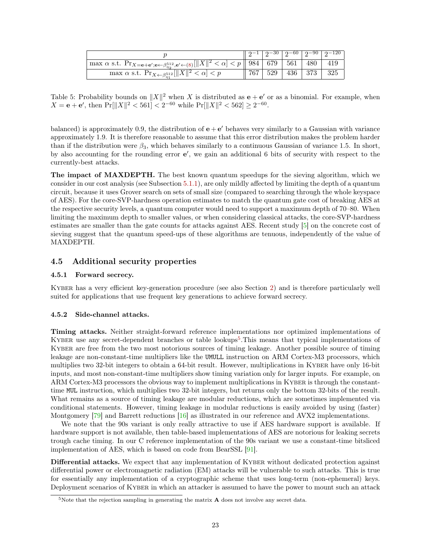<span id="page-22-5"></span><span id="page-22-3"></span>

|                                                                                                                                                                                            |                       |  | $12^{-30}$ $2^{-60}$ $2^{-90}$ $2^{-120}$ |
|--------------------------------------------------------------------------------------------------------------------------------------------------------------------------------------------|-----------------------|--|-------------------------------------------|
| $\mathbb{P} \max \alpha \text{ s.t. } \Pr_{X = e + e'; e \leftarrow \beta_{\eta_2}^{512}, e' \leftarrow (8)} [\ X\ ^2 < \alpha] < \overline{p} \ \ 984 \ \ 679 \ \ 561 \ \ 480 \ \ 419 \ $ |                       |  |                                           |
| max $\alpha$ s.t. $\Pr_{X \leftarrow \beta_{\eta_1}^{512}}$ $\boxed{  X  ^2 < \alpha} < p$                                                                                                 | 767   529   436   373 |  | 325                                       |

Table 5: Probability bounds on  $||X||^2$  when X is distributed as  $e + e'$  or as a binomial. For example, when  $X = e + e'$ , then  $Pr[||X||^2 < 561] < 2^{-60}$  while  $Pr[||X||^2 < 562] \ge 2^{-60}$ .

balanced) is approximately 0.9, the distribution of  $e + e'$  behaves very similarly to a Gaussian with variance approximately 1.9. It is therefore reasonable to assume that this error distribution makes the problem harder than if the distribution were  $\beta_3$ , which behaves similarly to a continuous Gaussian of variance 1.5. In short, by also accounting for the rounding error  $e'$ , we gain an additional 6 bits of security with respect to the currently-best attacks.

The impact of MAXDEPTH. The best known quantum speedups for the sieving algorithm, which we consider in our cost analysis (see Subsection [5.1.1\)](#page-24-2), are only mildly affected by limiting the depth of a quantum circuit, because it uses Grover search on sets of small size (compared to searching through the whole keyspace of AES). For the core-SVP-hardness operation estimates to match the quantum gate cost of breaking AES at the respective security levels, a quantum computer would need to support a maximum depth of 70–80. When limiting the maximum depth to smaller values, or when considering classical attacks, the core-SVP-hardness estimates are smaller than the gate counts for attacks against AES. Recent study [\[5\]](#page-36-5) on the concrete cost of sieving suggest that the quantum speed-ups of these algorithms are tenuous, independently of the value of MAXDEPTH.

# <span id="page-22-0"></span>4.5 Additional security properties

#### <span id="page-22-1"></span>4.5.1 Forward secrecy.

Kyber has a very efficient key-generation procedure (see also Section [2\)](#page-14-0) and is therefore particularly well suited for applications that use frequent key generations to achieve forward secrecy.

#### <span id="page-22-2"></span>4.5.2 Side-channel attacks.

Timing attacks. Neither straight-forward reference implementations nor optimized implementations of KYBER use any secret-dependent branches or table lookups<sup>[5](#page-22-4)</sup>. This means that typical implementations of KYBER are free from the two most notorious sources of timing leakage. Another possible source of timing leakage are non-constant-time multipliers like the UMULL instruction on ARM Cortex-M3 processors, which multiplies two 32-bit integers to obtain a 64-bit result. However, multiplications in KYBER have only 16-bit inputs, and most non-constant-time multipliers show timing variation only for larger inputs. For example, on ARM Cortex-M3 processors the obvious way to implement multiplications in KYBER is through the constanttime MUL instruction, which multiplies two 32-bit integers, but returns only the bottom 32-bits of the result. What remains as a source of timing leakage are modular reductions, which are sometimes implemented via conditional statements. However, timing leakage in modular reductions is easily avoided by using (faster) Montgomery [\[79\]](#page-41-2) and Barrett reductions [\[16\]](#page-36-6) as illustrated in our reference and AVX2 implementations.

We note that the 90s variant is only really attractive to use if AES hardware support is available. If hardware support is not available, then table-based implementations of AES are notorious for leaking secrets trough cache timing. In our C reference implementation of the 90s variant we use a constant-time bitsliced implementation of AES, which is based on code from BearSSL [\[91\]](#page-42-6).

Differential attacks. We expect that any implementation of KYBER without dedicated protection against differential power or electromagnetic radiation (EM) attacks will be vulnerable to such attacks. This is true for essentially any implementation of a cryptographic scheme that uses long-term (non-ephemeral) keys. Deployment scenarios of Kyber in which an attacker is assumed to have the power to mount such an attack

<span id="page-22-4"></span> $5$ Note that the rejection sampling in generating the matrix  $\bf{A}$  does not involve any secret data.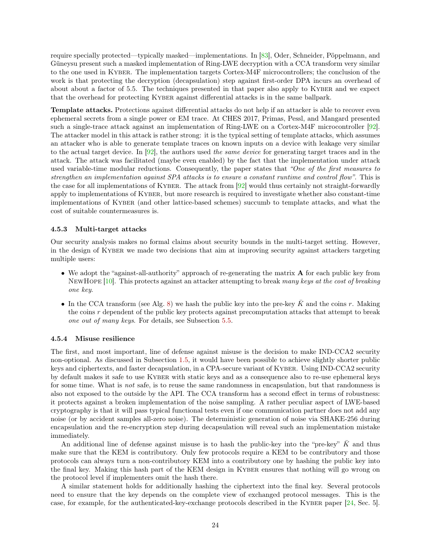<span id="page-23-2"></span>require specially protected—typically masked—implementations. In [\[83\]](#page-41-3), Oder, Schneider, Pöppelmann, and Güneysu present such a masked implementation of Ring-LWE decryption with a CCA transform very similar to the one used in Kyber. The implementation targets Cortex-M4F microcontrollers; the conclusion of the work is that protecting the decryption (decapsulation) step against first-order DPA incurs an overhead of about about a factor of 5.5. The techniques presented in that paper also apply to KYBER and we expect that the overhead for protecting KYBER against differential attacks is in the same ballpark.

Template attacks. Protections against differential attacks do not help if an attacker is able to recover even ephemeral secrets from a single power or EM trace. At CHES 2017, Primas, Pessl, and Mangard presented such a single-trace attack against an implementation of Ring-LWE on a Cortex-M4F microcontroller [\[92\]](#page-42-7). The attacker model in this attack is rather strong: it is the typical setting of template attacks, which assumes an attacker who is able to generate template traces on known inputs on a device with leakage very similar to the actual target device. In [\[92\]](#page-42-7), the authors used the same device for generating target traces and in the attack. The attack was facilitated (maybe even enabled) by the fact that the implementation under attack used variable-time modular reductions. Consequently, the paper states that "One of the first measures to strengthen an implementation against SPA attacks is to ensure a constant runtime and control flow". This is the case for all implementations of Kyber. The attack from [\[92\]](#page-42-7) would thus certainly not straight-forwardly apply to implementations of Kyber, but more research is required to investigate whether also constant-time implementations of Kyber (and other lattice-based schemes) succumb to template attacks, and what the cost of suitable countermeasures is.

#### <span id="page-23-0"></span>4.5.3 Multi-target attacks

Our security analysis makes no formal claims about security bounds in the multi-target setting. However, in the design of KYBER we made two decisions that aim at improving security against attackers targeting multiple users:

- We adopt the "against-all-authority" approach of re-generating the matrix A for each public key from NewHope [\[10\]](#page-36-2). This protects against an attacker attempting to break many keys at the cost of breaking one key.
- In the CCA transform (see Alg. [8\)](#page-9-3) we hash the public key into the pre-key  $\bar{K}$  and the coins r. Making the coins  $r$  dependent of the public key protects against precomputation attacks that attempt to break one out of many keys. For details, see Subsection [5.5.](#page-30-2)

#### <span id="page-23-1"></span>4.5.4 Misuse resilience

The first, and most important, line of defense against misuse is the decision to make IND-CCA2 security non-optional. As discussed in Subsection [1.5,](#page-11-0) it would have been possible to achieve slightly shorter public keys and ciphertexts, and faster decapsulation, in a CPA-secure variant of Kyber. Using IND-CCA2 security by default makes it safe to use Kyber with static keys and as a consequence also to re-use ephemeral keys for some time. What is *not* safe, is to reuse the same randomness in encapsulation, but that randomness is also not exposed to the outside by the API. The CCA transform has a second effect in terms of robustness: it protects against a broken implementation of the noise sampling. A rather peculiar aspect of LWE-based cryptography is that it will pass typical functional tests even if one communication partner does not add any noise (or by accident samples all-zero noise). The deterministic generation of noise via SHAKE-256 during encapsulation and the re-encryption step during decapsulation will reveal such an implementation mistake immediately.

An additional line of defense against misuse is to hash the public-key into the "pre-key"  $\bar{K}$  and thus make sure that the KEM is contributory. Only few protocols require a KEM to be contributory and those protocols can always turn a non-contributory KEM into a contributory one by hashing the public key into the final key. Making this hash part of the KEM design in KYBER ensures that nothing will go wrong on the protocol level if implementers omit the hash there.

A similar statement holds for additionally hashing the ciphertext into the final key. Several protocols need to ensure that the key depends on the complete view of exchanged protocol messages. This is the case, for example, for the authenticated-key-exchange protocols described in the KYBER paper [\[24,](#page-37-0) Sec. 5].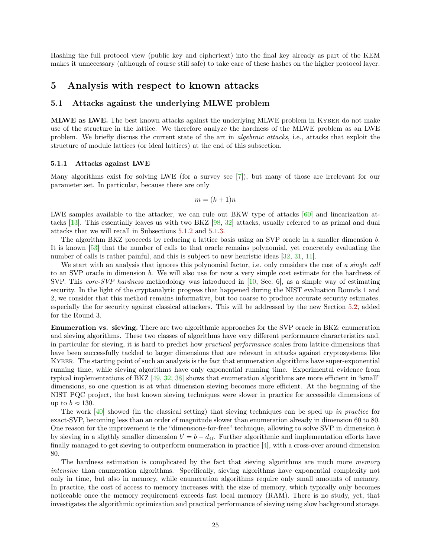<span id="page-24-3"></span>Hashing the full protocol view (public key and ciphertext) into the final key already as part of the KEM makes it unnecessary (although of course still safe) to take care of these hashes on the higher protocol layer.

# <span id="page-24-0"></span>5 Analysis with respect to known attacks

# <span id="page-24-1"></span>5.1 Attacks against the underlying MLWE problem

MLWE as LWE. The best known attacks against the underlying MLWE problem in Kyber do not make use of the structure in the lattice. We therefore analyze the hardness of the MLWE problem as an LWE problem. We briefly discuss the current state of the art in algebraic attacks, i.e., attacks that exploit the structure of module lattices (or ideal lattices) at the end of this subsection.

#### <span id="page-24-2"></span>5.1.1 Attacks against LWE

Many algorithms exist for solving LWE (for a survey see [\[7\]](#page-36-7)), but many of those are irrelevant for our parameter set. In particular, because there are only

$$
m = (k+1)n
$$

LWE samples available to the attacker, we can rule out BKW type of attacks [\[60\]](#page-40-7) and linearization attacks [\[13\]](#page-36-8). This essentially leaves us with two BKZ [\[98,](#page-42-8) [32\]](#page-38-3) attacks, usually referred to as primal and dual attacks that we will recall in Subsections [5.1.2](#page-25-0) and [5.1.3.](#page-25-1)

The algorithm BKZ proceeds by reducing a lattice basis using an SVP oracle in a smaller dimension b. It is known [\[53\]](#page-39-9) that the number of calls to that oracle remains polynomial, yet concretely evaluating the number of calls is rather painful, and this is subject to new heuristic ideas [\[32,](#page-38-3) [31,](#page-37-10) [11\]](#page-36-9).

We start with an analysis that ignores this polynomial factor, i.e. only considers the cost of a single call to an SVP oracle in dimension b. We will also use for now a very simple cost estimate for the hardness of SVP. This core-SVP hardness methodology was introduced in [\[10,](#page-36-2) Sec. 6], as a simple way of estimating security. In the light of the cryptanalytic progress that happened during the NIST evaluation Rounds 1 and 2, we consider that this method remains informative, but too coarse to produce accurate security estimates, especially the for security against classical attackers. This will be addressed by the new Section [5.2,](#page-26-1) added for the Round 3.

Enumeration vs. sieving. There are two algorithmic approaches for the SVP oracle in BKZ: enumeration and sieving algorithms. These two classes of algorithms have very different performance characteristics and, in particular for sieving, it is hard to predict how practical performance scales from lattice dimensions that have been successfully tackled to larger dimensions that are relevant in attacks against cryptosystems like Kyber. The starting point of such an analysis is the fact that enumeration algorithms have super-exponential running time, while sieving algorithms have only exponential running time. Experimental evidence from typical implementations of BKZ [\[49,](#page-39-10) [32,](#page-38-3) [38\]](#page-38-4) shows that enumeration algorithms are more efficient in "small" dimensions, so one question is at what dimension sieving becomes more efficient. At the beginning of the NIST PQC project, the best known sieving techniques were slower in practice for accessible dimensions of up to  $b \approx 130$ .

The work  $[40]$  showed (in the classical setting) that sieving techniques can be sped up in practice for exact-SVP, becoming less than an order of magnitude slower than enumeration already in dimension 60 to 80. One reason for the improvement is the "dimensions-for-free" technique, allowing to solve SVP in dimension b by sieving in a sligthly smaller dimension  $b' = b - d_{4f}$ . Further algorithmic and implementation efforts have finally managed to get sieving to outperform enumeration in practice [\[4\]](#page-35-2), with a cross-over around dimension 80.

The hardness estimation is complicated by the fact that sieving algorithms are much more *memory* intensive than enumeration algorithms. Specifically, sieving algorithms have exponential complexity not only in time, but also in memory, while enumeration algorithms require only small amounts of memory. In practice, the cost of access to memory increases with the size of memory, which typically only becomes noticeable once the memory requirement exceeds fast local memory (RAM). There is no study, yet, that investigates the algorithmic optimization and practical performance of sieving using slow background storage.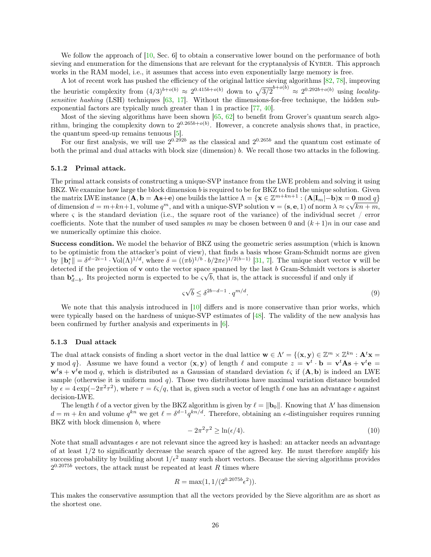<span id="page-25-2"></span>We follow the approach of [\[10,](#page-36-2) Sec. 6] to obtain a conservative lower bound on the performance of both sieving and enumeration for the dimensions that are relevant for the cryptanalysis of KYBER. This approach works in the RAM model, i.e., it assumes that access into even exponentially large memory is free.

A lot of recent work has pushed the efficiency of the original lattice sieving algorithms [\[82,](#page-41-4) [78\]](#page-41-5), improving the heuristic complexity from  $(4/3)^{b+o(b)} \approx 2^{0.415b+o(b)}$  down to  $\sqrt{3/2}^{b+o(b)} \approx 2^{0.292b+o(b)}$  using locality-sensitive hashing (LSH) techniques [\[63,](#page-40-8) [17\]](#page-36-10). Without the dimensions-for-free technique, the hidden subexponential factors are typically much greater than 1 in practice [\[77,](#page-41-6) [40\]](#page-38-1).

Most of the sieving algorithms have been shown  $[65, 62]$  $[65, 62]$  $[65, 62]$  to benefit from Grover's quantum search algorithm, bringing the complexity down to  $2^{0.265b+o(b)}$ . However, a concrete analysis shows that, in practice, the quantum speed-up remains tenuous [\[5\]](#page-36-5).

For our first analysis, we will use  $2^{0.292b}$  as the classical and  $2^{0.265b}$  and the quantum cost estimate of both the primal and dual attacks with block size (dimension) b. We recall those two attacks in the following.

#### <span id="page-25-0"></span>5.1.2 Primal attack.

The primal attack consists of constructing a unique-SVP instance from the LWE problem and solving it using BKZ. We examine how large the block dimension b is required to be for BKZ to find the unique solution. Given the matrix LWE instance  $(\mathbf{A}, \mathbf{b} = \mathbf{A}\mathbf{s} + \mathbf{e})$  one builds the lattice  $\Lambda = {\mathbf{x} \in \mathbb{Z}^{m+kn+1} : (\mathbf{A}|\mathbf{I}_m| - \mathbf{b})\mathbf{x} = \mathbf{0} \bmod q}$ of dimension  $d = m + kn + 1$ , volume  $q^m$ , and with a unique-SVP solution  $\mathbf{v} = (\mathbf{s}, \mathbf{e}, 1)$  of norm  $\lambda \approx \varsigma \sqrt{kn + m}$ , where  $\varsigma$  is the standard deviation (i.e., the square root of the variance) of the individual secret / error coefficients. Note that the number of used samples m may be chosen between 0 and  $(k+1)n$  in our case and we numerically optimize this choice.

Success condition. We model the behavior of BKZ using the geometric series assumption (which is known to be optimistic from the attacker's point of view), that finds a basis whose Gram-Schmidt norms are given by  $\|\mathbf{b}_{i}^{*}\| = \delta^{d-2i-1} \cdot \text{Vol}(\Lambda)^{1/d}$ , where  $\delta = ((\pi b)^{1/b} \cdot b/2\pi e)^{1/2(b-1)}$  [\[31,](#page-37-10) [7\]](#page-36-7). The unique short vector **v** will be detected if the projection of v onto the vector space spanned by the last b Gram-Schmidt vectors is shorter than  $\mathbf{b}_{d-b}^{\star}$ . Its projected norm is expected to be  $\varsigma\sqrt{b}$ , that is, the attack is successful if and only if

$$
\varsigma \sqrt{b} \le \delta^{2b - d - 1} \cdot q^{m/d}.\tag{9}
$$

We note that this analysis introduced in [\[10\]](#page-36-2) differs and is more conservative than prior works, which were typically based on the hardness of unique-SVP estimates of [\[48\]](#page-39-11). The validity of the new analysis has been confirmed by further analysis and experiments in [\[6\]](#page-36-11).

#### <span id="page-25-1"></span>5.1.3 Dual attack

The dual attack consists of finding a short vector in the dual lattice  $\mathbf{w} \in \Lambda' = \{(\mathbf{x}, \mathbf{y}) \in \mathbb{Z}^m \times \mathbb{Z}^{kn} : \mathbf{A}^t \mathbf{x} =$ y mod q. Assume we have found a vector  $(x, y)$  of length  $\ell$  and compute  $z = v^t \cdot b = v^t A s + v^t e =$  $\mathbf{w}^t\mathbf{s} + \mathbf{v}^t\mathbf{e}$  mod q, which is distributed as a Gaussian of standard deviation  $\ell_{\mathcal{S}}$  if  $(\mathbf{A}, \mathbf{b})$  is indeed an LWE sample (otherwise it is uniform mod  $q$ ). Those two distributions have maximal variation distance bounded by  $\epsilon = 4 \exp(-2\pi^2 \tau^2)$ , where  $\tau = \ell \zeta/q$ , that is, given such a vector of length  $\ell$  one has an advantage  $\epsilon$  against decision-LWE.

The length  $\ell$  of a vector given by the BKZ algorithm is given by  $\ell = ||\mathbf{b}_0||$ . Knowing that  $\Lambda'$  has dimension  $d = m + kn$  and volume  $q^{kn}$  we get  $\ell = \delta^{d-1} q^{kn/d}$ . Therefore, obtaining an  $\epsilon$ -distinguisher requires running BKZ with block dimension  $b$ , where

$$
-2\pi^2\tau^2 \ge \ln(\epsilon/4). \tag{10}
$$

Note that small advantages  $\epsilon$  are not relevant since the agreed key is hashed: an attacker needs an advantage of at least  $1/2$  to significantly decrease the search space of the agreed key. He must therefore amplify his success probability by building about  $1/\epsilon^2$  many such short vectors. Because the sieving algorithms provides  $2^{0.2075b}$  vectors, the attack must be repeated at least R times where

$$
R = \max(1, 1/(2^{0.2075b} \epsilon^2)).
$$

This makes the conservative assumption that all the vectors provided by the Sieve algorithm are as short as the shortest one.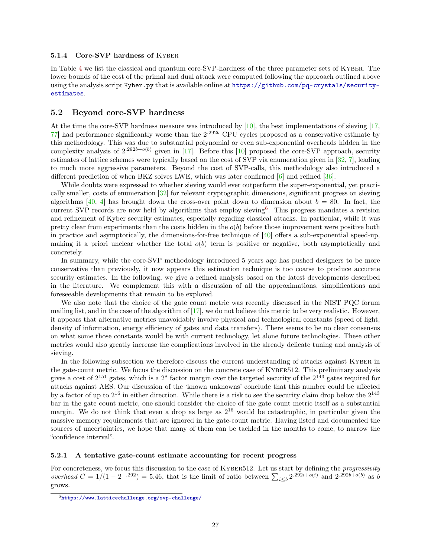#### <span id="page-26-4"></span><span id="page-26-0"></span>5.1.4 Core-SVP hardness of KYBER

In Table [4](#page-20-1) we list the classical and quantum core-SVP-hardness of the three parameter sets of Kyber. The lower bounds of the cost of the primal and dual attack were computed following the approach outlined above using the analysis script Kyber.py that is available online at [https://github.com/pq-crystals/security](https://github.com/pq-crystals/security-estimates)[estimates](https://github.com/pq-crystals/security-estimates).

### <span id="page-26-1"></span>5.2 Beyond core-SVP hardness

At the time the core-SVP hardness measure was introduced by [\[10\]](#page-36-2), the best implementations of sieving [\[17,](#page-36-10)  $77$ ] had performance significantly worse than the  $2^{292b}$  CPU cycles proposed as a conservative estimate by this methodology. This was due to substantial polynomial or even sub-exponential overheads hidden in the complexity analysis of  $2^{.292b+o(b)}$  given in [\[17\]](#page-36-10). Before this [\[10\]](#page-36-2) proposed the core-SVP approach, security estimates of lattice schemes were typically based on the cost of SVP via enumeration given in [\[32,](#page-38-3) [7\]](#page-36-7), leading to much more aggressive parameters. Beyond the cost of SVP-calls, this methodology also introduced a different prediction of when BKZ solves LWE, which was later confirmed [\[6\]](#page-36-11) and refined [\[36\]](#page-38-2).

While doubts were expressed to whether sieving would ever outperform the super-exponential, yet practically smaller, costs of enumeration [\[32\]](#page-38-3) for relevant cryptographic dimensions, significant progress on sieving algorithms [\[40,](#page-38-1) [4\]](#page-35-2) has brought down the cross-over point down to dimension about  $b = 80$ . In fact, the current SVP records are now held by algorithms that employ sieving<sup>[6](#page-26-3)</sup>. This progress mandates a revision and refinement of Kyber security estimates, especially regading classical attacks. In particular, while it was pretty clear from experiments than the costs hidden in the  $o(b)$  before those improvement were positive both in practice and asymptotically, the dimensions-for-free technique of [\[40\]](#page-38-1) offers a sub-exponential speed-up, making it a priori unclear whether the total  $o(b)$  term is positive or negative, both asymptotically and concretely.

In summary, while the core-SVP methodology introduced 5 years ago has pushed designers to be more conservative than previously, it now appears this estimation technique is too coarse to produce accurate security estimates. In the following, we give a refined analysis based on the latest developments described in the literature. We complement this with a discussion of all the approximations, simplifications and foreseeable developments that remain to be explored.

We also note that the choice of the gate count metric was recently discussed in the NIST PQC forum mailing list, and in the case of the algorithm of  $[17]$ , we do not believe this metric to be very realistic. However, it appears that alternative metrics unavoidably involve physical and technological constants (speed of light, density of information, energy efficiency of gates and data transfers). There seems to be no clear consensus on what some those constants would be with current technology, let alone future technologies. These other metrics would also greatly increase the complications involved in the already delicate tuning and analysis of sieving.

In the following subsection we therefore discuss the current understanding of attacks against KYBER in the gate-count metric. We focus the discussion on the concrete case of KYBER512. This preliminary analysis gives a cost of  $2^{151}$  gates, which is a  $2^8$  factor margin over the targeted security of the  $2^{143}$  gates required for attacks against AES. Our discussion of the 'known unknowns' conclude that this number could be affected by a factor of up to  $2^{16}$  in either direction. While there is a risk to see the security claim drop below the  $2^{143}$ bar in the gate count metric, one should consider the choice of the gate count metric itself as a substantial margin. We do not think that even a drop as large as  $2^{16}$  would be catastrophic, in particular given the massive memory requirements that are ignored in the gate-count metric. Having listed and documented the sources of uncertainties, we hope that many of them can be tackled in the months to come, to narrow the "confidence interval".

#### <span id="page-26-2"></span>5.2.1 A tentative gate-count estimate accounting for recent progress

For concreteness, we focus this discussion to the case of KYBER512. Let us start by defining the *progressivity* overhead  $C = 1/(1 - 2^{-0.292}) = 5.46$ , that is the limit of ratio between  $\sum_{i \leq b} 2^{0.292i + o(i)}$  and  $2^{0.292b + o(b)}$  as b grows.

<span id="page-26-3"></span> $6$ <https://www.latticechallenge.org/svp-challenge/>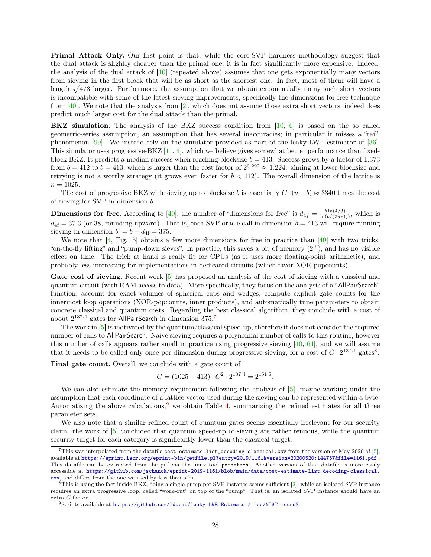<span id="page-27-3"></span>Primal Attack Only. Our first point is that, while the core-SVP hardness methodology suggest that the dual attack is slightly cheaper than the primal one, it is in fact significantly more expensive. Indeed, the analysis of the dual attack of  $[10]$  (repeated above) assumes that one gets exponentially many vectors from sieving in the first block that will be as short as the shortest one. In fact, most of them will have a length  $\sqrt{4/3}$  larger. Furthermore, the assumption that we obtain exponentially many such short vectors is incompatible with some of the latest sieving improvements, specifically the dimensions-for-free techinque from [\[40\]](#page-38-1). We note that the analysis from [\[2\]](#page-35-3), which does not assume those extra short vectors, indeed does predict much larger cost for the dual attack than the primal.

BKZ simulation. The analysis of the BKZ success condition from [\[10,](#page-36-2) [6\]](#page-36-11) is based on the so called geometric-series assumption, an assumption that has several inaccuracies; in particular it misses a "tail" phenomenon [\[99\]](#page-42-9). We instead rely on the simulator provided as part of the leaky-LWE-estimator of [\[36\]](#page-38-2). This simulator uses progressive-BKZ  $[11, 4]$  $[11, 4]$  $[11, 4]$ , which we believe gives somewhat better performance than fixedblock BKZ. It predicts a median success when reaching blocksize  $b = 413$ . Success grows by a factor of 1.373 from  $b = 412$  to  $b = 413$ , which is larger than the cost factor of  $2^{0.292} \approx 1.224$ : aiming at lower blocksize and retrying is not a worthy strategy (it grows even faster for  $b < 412$ ). The overall dimension of the lattice is  $n = 1025.$ 

The cost of progressive BKZ with sieving up to blocksize b is essentially  $C \cdot (n - b) \approx 3340$  times the cost of sieving for SVP in dimension b.

**Dimensions for free.** According to [\[40\]](#page-38-1), the number of "dimensions for free" is  $d_{4f} = \frac{b \ln(4/3)}{\ln(b/(2\pi e)))}$ , which is  $d_{4f} = 37.3$  (or 38, rounding upward). That is, each SVP oracle call in dimension  $b = 413$  will require running sieving in dimension  $b' = b - d_{4f} = 375$ .

We note that [\[4,](#page-35-2) Fig. 5] obtains a few more dimensions for free in practice than [\[40\]](#page-38-1) with two tricks: "on-the-fly lifting" and "pump-down sieves". In practice, this saves a bit of memory  $(2<sup>5</sup>)$ , and has no visible effect on time. The trick at hand is really fit for CPUs (as it uses more floating-point arithmetic), and probably less interesting for implementations in dedicated circuits (which favor XOR-popcounts).

Gate cost of sieving. Recent work [\[5\]](#page-36-5) has proposed an analysis of the cost of sieving with a classical and quantum circuit (with RAM access to data). More specifically, they focus on the analysis of a "AllPairSearch" function, account for exact volumes of spherical caps and wedges, compute explicit gate counts for the innermost loop operations (XOR-popcounts, inner products), and automatically tune parameters to obtain concrete classical and quantum costs. Regarding the best classical algorithm, they conclude with a cost of about  $2^{137.4}$  $2^{137.4}$  $2^{137.4}$  gates for AllPairSearch in dimension  $375.^7$ 

The work in [\[5\]](#page-36-5) is motivated by the quantum/classical speed-up, therefore it does not consider the required number of calls to AllPairSearch. Naive sieving requires a polynomial number of calls to this routine, however this number of calls appears rather small in practice using progressive sieving [\[40,](#page-38-1) [64\]](#page-40-11), and we will assume that it needs to be called only once per dimension during progressive sieving, for a cost of  $C \cdot 2^{137.4}$  gates<sup>[8](#page-27-1)</sup>.

Final gate count. Overall, we conclude with a gate count of

$$
G = (1025 - 413) \cdot C^2 \cdot 2^{137.4} = 2^{151.5}.
$$

We can also estimate the memory requirement following the analysis of  $[5]$ , maybe working under the assumption that each coordinate of a lattice vector used during the sieving can be represented within a byte. Automatizing the above calculations,  $9$  we obtain Table [4,](#page-20-1) summarizing the refined estimates for all three parameter sets.

We also note that a similar refined count of quantum gates seems essentially irrelevant for our security claim: the work of [\[5\]](#page-36-5) concluded that quantum speed-up of sieving are rather tenuous, while the quantum security target for each category is significantly lower than the classical target.

<span id="page-27-0"></span> $7$ This was interpolated from the datafile cost-estimate-list\_decoding-classical.csv from the version of May 2020 of [\[5\]](#page-36-5), available at <https://eprint.iacr.org/eprint-bin/getfile.pl?entry=2019/1161&version=20200520:144757&file=1161.pdf> . This datafile can be extracted from the pdf via the linux tool pdfdetach. Another version of that datafile is more easily accessible at [https://github.com/jschanck/eprint-2019-1161/blob/main/data/cost-estimate-list\\_decoding-classical.](https://github.com/jschanck/eprint-2019-1161/blob/main/data/cost-estimate-list_decoding-classical.csv) [csv](https://github.com/jschanck/eprint-2019-1161/blob/main/data/cost-estimate-list_decoding-classical.csv), and differs from the one we used by less than a bit.

<span id="page-27-1"></span><sup>8</sup>This is using the fact inside BKZ, doing a single pump per SVP instance seems sufficient [\[2\]](#page-35-3), while an isolated SVP instance requires an extra progressive loop, called "work-out" on top of the "pump". That is, an isolated SVP instance should have an extra C factor.

<span id="page-27-2"></span> $9$ Scripts available at <https://github.com/lducas/leaky-LWE-Estimator/tree/NIST-round3>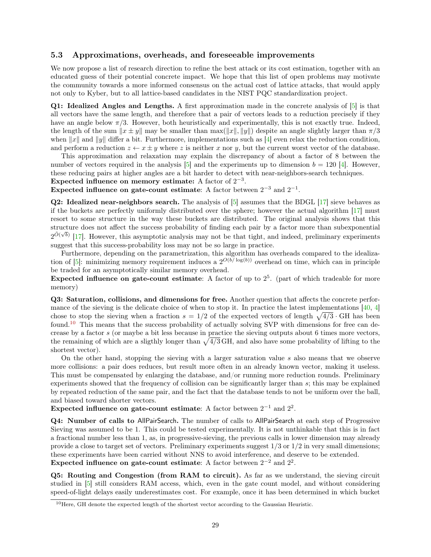### <span id="page-28-2"></span><span id="page-28-0"></span>5.3 Approximations, overheads, and foreseeable improvements

We now propose a list of research direction to refine the best attack or its cost estimation, together with an educated guess of their potential concrete impact. We hope that this list of open problems may motivate the community towards a more informed consensus on the actual cost of lattice attacks, that would apply not only to Kyber, but to all lattice-based candidates in the NIST PQC standardization project.

Q1: Idealized Angles and Lengths. A first approximation made in the concrete analysis of [\[5\]](#page-36-5) is that all vectors have the same length, and therefore that a pair of vectors leads to a reduction precisely if they have an angle below  $\pi/3$ . However, both heuristically and experimentally, this is not exactly true. Indeed, the length of the sum  $||x \pm y||$  may be smaller than max( $||x||, ||y||$ ) despite an angle slightly larger than  $\pi/3$ when  $||x||$  and  $||y||$  differ a bit. Furthermore, implementations such as [\[4\]](#page-35-2) even relax the reduction condition, and perform a reduction  $z \leftarrow x \pm y$  where z is neither x nor y, but the current worst vector of the database.

This approximation and relaxation may explain the discrepancy of about a factor of 8 between the number of vectors required in the analysis  $[5]$  and the experiments up to dimension  $b = 120$  [\[4\]](#page-35-2). However, these reducing pairs at higher angles are a bit harder to detect with near-neighbors-search techniques. Expected influence on memory estimate: A factor of  $2^{-3}$ .

Expected influence on gate-count estimate: A factor between  $2^{-3}$  and  $2^{-1}$ .

Q2: Idealized near-neighbors search. The analysis of [\[5\]](#page-36-5) assumes that the BDGL [\[17\]](#page-36-10) sieve behaves as if the buckets are perfectly uniformly distributed over the sphere; however the actual algorithm [\[17\]](#page-36-10) must resort to some structure in the way these buckets are distributed. The original analysis shows that this structure does not affect the success probability of finding each pair by a factor more than subexponential  $2^{\tilde{O}(\sqrt{b})}$  [\[17\]](#page-36-10). However, this asymptotic analysis may not be that tight, and indeed, preliminary experiments suggest that this success-probability loss may not be so large in practice.

Furthermore, depending on the parametrization, this algorithm has overheads compared to the idealization of  $[5]$ : minimizing memory requirement induces a  $2^{O(b/\log(b))}$  overhead on time, which can in principle be traded for an asymptotically similar memory overhead.

Expected influence on gate-count estimate: A factor of up to  $2<sup>5</sup>$ . (part of which tradeable for more memory)

Q3: Saturation, collisions, and dimensions for free. Another question that affects the concrete performance of the sieving is the delicate choice of when to stop it. In practice the latest implementations  $[40, 4]$  $[40, 4]$  $[40, 4]$ chose to stop the sieving when a fraction  $s = 1/2$  of the expected vectors of length  $\sqrt{4/3} \cdot$  GH has been found.[10](#page-28-1) This means that the success probability of actually solving SVP with dimensions for free can decrease by a factor s (or maybe a bit less because in practice the sieving outputs about 6 times more vectors, the remaining of which are a sligthly longer than  $\sqrt{4/3}$  GH, and also have some probability of lifting to the shortest vector).

On the other hand, stopping the sieving with a larger saturation value s also means that we observe more collisions: a pair does reduces, but result more often in an already known vector, making it useless. This must be compensated by enlarging the database, and/or running more reduction rounds. Preliminary experiments showed that the frequency of collision can be significantly larger than s; this may be explained by repeated reduction of the same pair, and the fact that the database tends to not be uniform over the ball, and biased toward shorter vectors.

Expected influence on gate-count estimate: A factor between  $2^{-1}$  and  $2^2$ .

Q4: Number of calls to AllPairSearch. The number of calls to AllPairSearch at each step of Progressive Sieving was assumed to be 1. This could be tested experimentally. It is not unthinkable that this is in fact a fractional number less than 1, as, in progressive-sieving, the previous calls in lower dimension may already provide a close to target set of vectors. Preliminary experiments suggest 1/3 or 1/2 in very small dimensions; these experiments have been carried without NNS to avoid interference, and deserve to be extended. Expected influence on gate-count estimate: A factor between  $2^{-2}$  and  $2^2$ .

Q5: Routing and Congestion (from RAM to circuit). As far as we understand, the sieving circuit studied in [\[5\]](#page-36-5) still considers RAM access, which, even in the gate count model, and without considering speed-of-light delays easily underestimates cost. For example, once it has been determined in which bucket

<span id="page-28-1"></span><sup>&</sup>lt;sup>10</sup>Here, GH denote the expected length of the shortest vector according to the Gaussian Heuristic.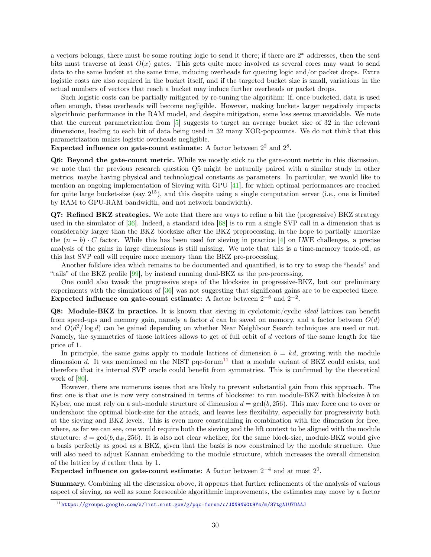<span id="page-29-1"></span>a vectors belongs, there must be some routing logic to send it there; if there are  $2<sup>x</sup>$  addresses, then the sent bits must traverse at least  $O(x)$  gates. This gets quite more involved as several cores may want to send data to the same bucket at the same time, inducing overheads for queuing logic and/or packet drops. Extra logistic costs are also required in the bucket itself, and if the targeted bucket size is small, variations in the actual numbers of vectors that reach a bucket may induce further overheads or packet drops.

Such logistic costs can be partially mitigated by re-tuning the algorithm: if, once bucketed, data is used often enough, these overheads will become negligible. However, making buckets larger negatively impacts algorithmic performance in the RAM model, and despite mitigation, some loss seems unavoidable. We note that the current parametrization from [\[5\]](#page-36-5) suggests to target an average bucket size of 32 in the relevant dimensions, leading to each bit of data being used in 32 many XOR-popcounts. We do not think that this parametrization makes logistic overheads negligible.

Expected influence on gate-count estimate: A factor between  $2^2$  and  $2^8$ .

Q6: Beyond the gate-count metric. While we mostly stick to the gate-count metric in this discussion, we note that the previous research question Q5 might be naturally paired with a similar study in other metrics, maybe having physical and technological constants as parameters. In particular, we would like to mention an ongoing implementation of Sieving with GPU [\[41\]](#page-38-5), for which optimal performances are reached for quite large bucket-size (say  $2^{15}$ ), and this despite using a single computation server (i.e., one is limited by RAM to GPU-RAM bandwidth, and not network bandwidth).

Q7: Refined BKZ strategies. We note that there are ways to refine a bit the (progressive) BKZ strategy used in the simulator of [\[36\]](#page-38-2). Indeed, a standard idea [\[68\]](#page-40-12) is to run a single SVP call in a dimension that is considerably larger than the BKZ blocksize after the BKZ preprocessing, in the hope to partially amortize the  $(n - b) \cdot C$  factor. While this has been used for sieving in practice [\[4\]](#page-35-2) on LWE challenges, a precise analysis of the gains in large dimensions is still missing. We note that this is a time-memory trade-off, as this last SVP call will require more memory than the BKZ pre-processing.

Another folklore idea which remains to be documented and quantified, is to try to swap the "heads" and "tails" of the BKZ profile [\[99\]](#page-42-9), by instead running dual-BKZ as the pre-processing.

One could also tweak the progressive steps of the blocksize in progressive-BKZ, but our preliminary experiments with the simulations of [\[36\]](#page-38-2) was not suggesting that significant gains are to be expected there. Expected influence on gate-count estimate: A factor between  $2^{-8}$  and  $2^{-2}$ .

Q8: Module-BKZ in practice. It is known that sieving in cyclotomic/cyclic ideal lattices can benefit from speed-ups and memory gain, namely a factor d can be saved on memory, and a factor between  $O(d)$ and  $O(d^2/\log d)$  can be gained depending on whether Near Neighboor Search techniques are used or not. Namely, the symmetries of those lattices allows to get of full orbit of d vectors of the same length for the price of 1.

In principle, the same gains apply to module lattices of dimension  $b = kd$ , growing with the module dimension d. It was mentioned on the NIST pqc-forum<sup>[11](#page-29-0)</sup> that a module variant of BKZ could exists, and therefore that its internal SVP oracle could benefit from symmetries. This is confirmed by the theoretical work of  $[80]$ .

However, there are numerous issues that are likely to prevent substantial gain from this approach. The first one is that one is now very constrained in terms of blocksize: to run module-BKZ with blocksize b on Kyber, one must rely on a sub-module structure of dimension  $d = \gcd(b, 256)$ . This may force one to over or undershoot the optimal block-size for the attack, and leaves less flexibility, especially for progressivity both at the sieving and BKZ levels. This is even more constraining in combination with the dimension for free, where, as far we can see, one would require both the sieving and the lift context to be aligned with the module structure:  $d = \gcd(b, d_{4f}, 256)$ . It is also not clear whether, for the same block-size, module-BKZ would give a basis perfectly as good as a BKZ, given that the basis is now constrained by the module structure. One will also need to adjust Kannan embedding to the module structure, which increases the overall dimension of the lattice by d rather than by 1.

Expected influence on gate-count estimate: A factor between  $2^{-4}$  and at most  $2^{0}$ .

Summary. Combining all the discussion above, it appears that further refinements of the analysis of various aspect of sieving, as well as some foreseeable algorithmic improvements, the estimates may move by a factor

<span id="page-29-0"></span><sup>11</sup><https://groups.google.com/a/list.nist.gov/g/pqc-forum/c/JXN9NWGt9Ys/m/37tgAlU7DAAJ>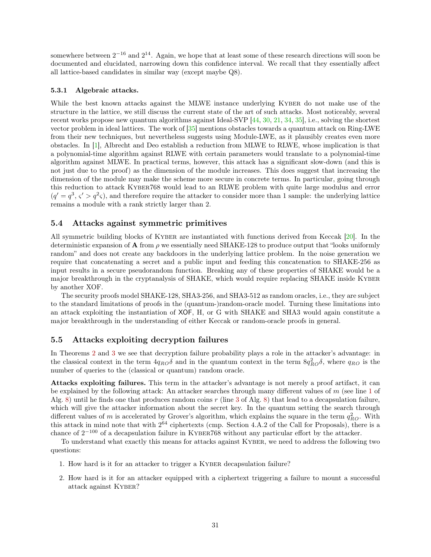<span id="page-30-3"></span>somewhere between  $2^{-16}$  and  $2^{14}$ . Again, we hope that at least some of these research directions will soon be documented and elucidated, narrowing down this confidence interval. We recall that they essentially affect all lattice-based candidates in similar way (except maybe Q8).

#### <span id="page-30-0"></span>5.3.1 Algebraic attacks.

While the best known attacks against the MLWE instance underlying KYBER do not make use of the structure in the lattice, we still discuss the current state of the art of such attacks. Most noticeably, several recent works propose new quantum algorithms against Ideal-SVP [\[44,](#page-38-6) [30,](#page-37-11) [21,](#page-37-12) [34,](#page-38-7) [35\]](#page-38-8), i.e., solving the shortest vector problem in ideal lattices. The work of [\[35\]](#page-38-8) mentions obstacles towards a quantum attack on Ring-LWE from their new techniques, but nevertheless suggests using Module-LWE, as it plausibly creates even more obstacles. In [\[1\]](#page-35-4), Albrecht and Deo establish a reduction from MLWE to RLWE, whose implication is that a polynomial-time algorithm against RLWE with certain parameters would translate to a polynomial-time algorithm against MLWE. In practical terms, however, this attack has a significant slow-down (and this is not just due to the proof) as the dimension of the module increases. This does suggest that increasing the dimension of the module may make the scheme more secure in concrete terms. In particular, going through this reduction to attack Kyber768 would lead to an RLWE problem with quite large modulus and error  $(q' = q^3, \varsigma' > q^2\varsigma)$ , and therefore require the attacker to consider more than 1 sample: the underlying lattice remains a module with a rank strictly larger than 2.

## <span id="page-30-1"></span>5.4 Attacks against symmetric primitives

All symmetric building blocks of KYBER are instantiated with functions derived from Keccak [\[20\]](#page-37-5). In the deterministic expansion of **A** from  $\rho$  we essentially need SHAKE-128 to produce output that "looks uniformly" random" and does not create any backdoors in the underlying lattice problem. In the noise generation we require that concatenating a secret and a public input and feeding this concatenation to SHAKE-256 as input results in a secure pseudorandom function. Breaking any of these properties of SHAKE would be a major breakthrough in the cryptanalysis of SHAKE, which would require replacing SHAKE inside Kyber by another XOF.

The security proofs model SHAKE-128, SHA3-256, and SHA3-512 as random oracles, i.e., they are subject to the standard limitations of proofs in the (quantum-)random-oracle model. Turning these limitations into an attack exploiting the instantiation of XOF, H, or G with SHAKE and SHA3 would again constitute a major breakthrough in the understanding of either Keccak or random-oracle proofs in general.

## <span id="page-30-2"></span>5.5 Attacks exploiting decryption failures

In Theorems [2](#page-19-2) and [3](#page-19-3) we see that decryption failure probability plays a role in the attacker's advantage: in the classical context in the term  $4q_{RO}\delta$  and in the quantum context in the term  $8q_{RO}^2\delta$ , where  $q_{RO}$  is the number of queries to the (classical or quantum) random oracle.

Attacks exploiting failures. This term in the attacker's advantage is not merely a proof artifact, it can be explained by the following attack: An attacker searches through many different values of m (see line [1](#page-5-6) of Alg. [8\)](#page-9-3) until he finds one that produces random coins r (line [3](#page-5-4) of Alg. [8\)](#page-9-3) that lead to a decapsulation failure, which will give the attacker information about the secret key. In the quantum setting the search through different values of m is accelerated by Grover's algorithm, which explains the square in the term  $q_{RO}^2$ . With this attack in mind note that with  $2^{64}$  ciphertexts (cmp. Section 4.A.2 of the Call for Proposals), there is a chance of  $2^{-100}$  of a decapsulation failure in KYBER768 without any particular effort by the attacker.

To understand what exactly this means for attacks against Kyber, we need to address the following two questions:

- 1. How hard is it for an attacker to trigger a Kyber decapsulation failure?
- 2. How hard is it for an attacker equipped with a ciphertext triggering a failure to mount a successful attack against Kyber?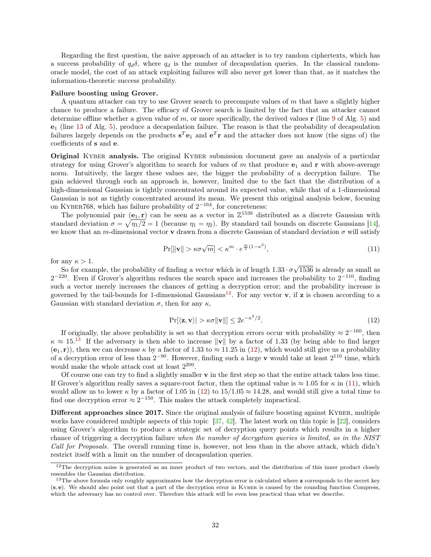<span id="page-31-4"></span>Regarding the first question, the naive approach of an attacker is to try random ciphertexts, which has a success probability of  $q_d\delta$ , where  $q_d$  is the number of decapsulation queries. In the classical randomoracle model, the cost of an attack exploiting failures will also never get lower than that, as it matches the information-theoretic success probability.

#### Failure boosting using Grover.

A quantum attacker can try to use Grover search to precompute values of m that have a slightly higher chance to produce a failure. The efficacy of Grover search is limited by the fact that an attacker cannot determine offline whether a given value of m, or more specifically, the derived values  $\bf{r}$  (line [9](#page-5-7) of Alg. [5\)](#page-8-0) and e<sup>1</sup> (line [13](#page-5-8) of Alg. [5\)](#page-8-0), produce a decapsulation failure. The reason is that the probability of decapsulation failures largely depends on the products  $s^T e_1$  and  $e^T r$  and the attacker does not know (the signs of) the coefficients of s and e.

**Original KYBER analysis.** The original KYBER submission document gave an analysis of a particular strategy for using Grover's algorithm to search for values of m that produce  $e_1$  and r with above-average norm. Intuitively, the larger these values are, the bigger the probability of a decryption failure. The gain achieved through such an approach is, however, limited due to the fact that the distribution of a high-dimensional Gaussian is tightly concentrated around its expected value, while that of a 1-dimensional Gaussian is not as tightly concentrated around its mean. We present this original analysis below, focusing on KYBER768, which has failure probability of  $2^{-164}$ , for concreteness:

The polynomial pair  $(e_1, r)$  can be seen as a vector in  $\mathbb{Z}^{1536}$  distributed as a discrete Gaussian with standard deviation  $\sigma = \sqrt{\eta_1/2} = 1$  (because  $\eta_1 = \eta_2$ ). By standard tail bounds on discrete Gaussians [\[14\]](#page-36-12), we know that an m-dimensional vector **v** drawn from a discrete Gaussian of standard deviation  $\sigma$  will satisfy

<span id="page-31-3"></span>
$$
\Pr[\|\mathbf{v}\| > \kappa \sigma \sqrt{m}] < \kappa^m \cdot e^{\frac{m}{2}(1-\kappa^2)},\tag{11}
$$

for any  $\kappa > 1$ .

So for example, the probability of finding a vector which is of length  $1.33 \cdot \sigma$ √ 1536 is already as small as  $2^{-220}$ . Even if Grover's algorithm reduces the search space and increases the probability to  $2^{-110}$ , finding such a vector merely increases the chances of getting a decryption error; and the probability increase is governed by the tail-bounds for 1-dimensional Gaussians<sup>[12](#page-31-0)</sup>. For any vector **v**, if **z** is chosen according to a Gaussian with standard deviation  $\sigma$ , then for any  $\kappa$ ,

<span id="page-31-2"></span>
$$
\Pr(\langle \mathbf{z}, \mathbf{v} \rangle) > \kappa \sigma \|\mathbf{v}\| \le 2e^{-\kappa^2/2}.\tag{12}
$$

If originally, the above probability is set so that decryption errors occur with probability  $\approx 2^{-160}$ , then  $\kappa \approx 15^{13}$  $\kappa \approx 15^{13}$  $\kappa \approx 15^{13}$  If the adversary is then able to increase  $\|\mathbf{v}\|$  by a factor of 1.33 (by being able to find larger  $(e_1, r)$ , then we can decrease  $\kappa$  by a factor of 1.33 to  $\approx 11.25$  in [\(12\)](#page-31-2), which would still give us a probability of a decryption error of less than  $2^{-90}$ . However, finding such a large v would take at least  $2^{110}$  time, which would make the whole attack cost at least  $2^{200}$ .

Of course one can try to find a slightly smaller v in the first step so that the entire attack takes less time. If Grover's algorithm really saves a square-root factor, then the optimal value is  $\approx 1.05$  for  $\kappa$  in [\(11\)](#page-31-3), which would allow us to lower  $\kappa$  by a factor of 1.05 in [\(12\)](#page-31-2) to 15/1.05  $\approx$  14.28, and would still give a total time to find one decryption error  $\approx 2^{-150}$ . This makes the attack completely impractical.

Different approaches since 2017. Since the original analysis of failure boosting against KYBER, multiple works have considered multiple aspects of this topic  $[37, 42]$  $[37, 42]$  $[37, 42]$ . The latest work on this topic is  $[22]$ , considers using Grover's algorithm to produce a strategic set of decryption query points which results in a higher chance of triggering a decryption failure when the number of decryption queries is limited, as in the NIST Call for Proposals. The overall running time is, however, not less than in the above attack, which didn't restrict itself with a limit on the number of decapsulation queries.

<span id="page-31-0"></span> $12$ The decryption noise is generated as an inner product of two vectors, and the distribution of this inner product closely resembles the Gaussian distribution.

<span id="page-31-1"></span> $13$ The above formula only roughly approximates how the decryption error is calculated where  $\bf{z}$  corresponds to the secret key (s, e). We should also point out that a part of the decryption error in Kyber is caused by the rounding function Compress, which the adversary has no control over. Therefore this attack will be even less practical than what we describe.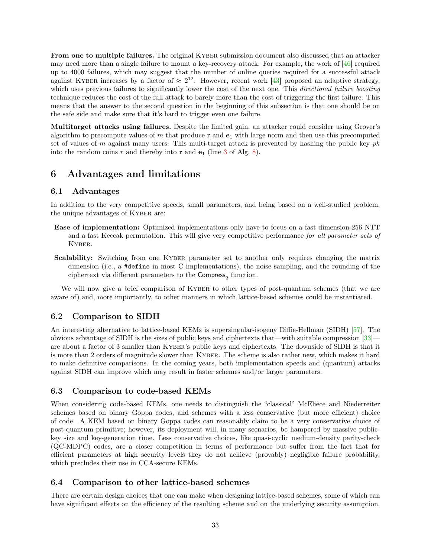<span id="page-32-5"></span>From one to multiple failures. The original KYBER submission document also discussed that an attacker may need more than a single failure to mount a key-recovery attack. For example, the work of [\[46\]](#page-39-12) required up to 4000 failures, which may suggest that the number of online queries required for a successful attack against KYBER increases by a factor of  $\approx 2^{12}$ . However, recent work [\[43\]](#page-38-11) proposed an adaptive strategy, which uses previous failures to significantly lower the cost of the next one. This *directional failure boosting* technique reduces the cost of the full attack to barely more than the cost of triggering the first failure. This means that the answer to the second question in the beginning of this subsection is that one should be on the safe side and make sure that it's hard to trigger even one failure.

Multitarget attacks using failures. Despite the limited gain, an attacker could consider using Grover's algorithm to precompute values of m that produce  $\bf{r}$  and  $\bf{e}_1$  with large norm and then use this precomputed set of values of m against many users. This multi-target attack is prevented by hashing the public key  $pk$ into the random coins r and thereby into **r** and  $e_1$  (line [3](#page-5-4) of Alg. [8\)](#page-9-3).

# <span id="page-32-0"></span>6 Advantages and limitations

# <span id="page-32-1"></span>6.1 Advantages

In addition to the very competitive speeds, small parameters, and being based on a well-studied problem, the unique advantages of KYBER are:

- Ease of implementation: Optimized implementations only have to focus on a fast dimension-256 NTT and a fast Keccak permutation. This will give very competitive performance for all parameter sets of Kyber.
- Scalability: Switching from one KYBER parameter set to another only requires changing the matrix dimension (i.e., a #define in most C implementations), the noise sampling, and the rounding of the ciphertext via different parameters to the  $Compress_q$  function.

We will now give a brief comparison of KYBER to other types of post-quantum schemes (that we are aware of) and, more importantly, to other manners in which lattice-based schemes could be instantiated.

# <span id="page-32-2"></span>6.2 Comparison to SIDH

An interesting alternative to lattice-based KEMs is supersingular-isogeny Diffie-Hellman (SIDH) [\[57\]](#page-39-13). The obvious advantage of SIDH is the sizes of public keys and ciphertexts that—with suitable compression [\[33\]](#page-38-12) are about a factor of 3 smaller than KYBER's public keys and ciphertexts. The downside of SIDH is that it is more than 2 orders of magnitude slower than Kyber. The scheme is also rather new, which makes it hard to make definitive comparisons. In the coming years, both implementation speeds and (quantum) attacks against SIDH can improve which may result in faster schemes and/or larger parameters.

# <span id="page-32-3"></span>6.3 Comparison to code-based KEMs

When considering code-based KEMs, one needs to distinguish the "classical" McEliece and Niederreiter schemes based on binary Goppa codes, and schemes with a less conservative (but more efficient) choice of code. A KEM based on binary Goppa codes can reasonably claim to be a very conservative choice of post-quantum primitive; however, its deployment will, in many scenarios, be hampered by massive publickey size and key-generation time. Less conservative choices, like quasi-cyclic medium-density parity-check (QC-MDPC) codes, are a closer competition in terms of performance but suffer from the fact that for efficient parameters at high security levels they do not achieve (provably) negligible failure probability, which precludes their use in CCA-secure KEMs.

# <span id="page-32-4"></span>6.4 Comparison to other lattice-based schemes

There are certain design choices that one can make when designing lattice-based schemes, some of which can have significant effects on the efficiency of the resulting scheme and on the underlying security assumption.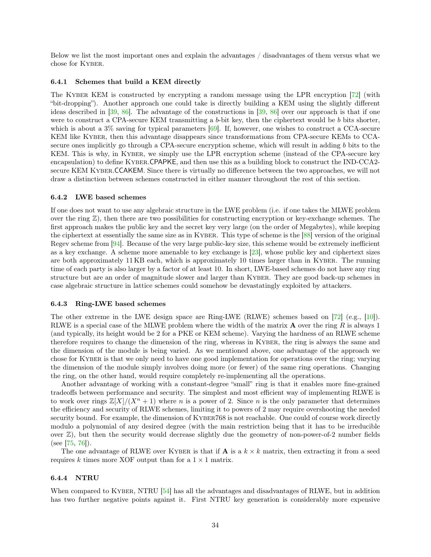<span id="page-33-4"></span>Below we list the most important ones and explain the advantages / disadvantages of them versus what we chose for Kyber.

#### <span id="page-33-0"></span>6.4.1 Schemes that build a KEM directly

The KYBER KEM is constructed by encrypting a random message using the LPR encryption [\[72\]](#page-40-1) (with "bit-dropping"). Another approach one could take is directly building a KEM using the slightly different ideas described in [\[39,](#page-38-13) [86\]](#page-41-8). The advantage of the constructions in [\[39,](#page-38-13) [86\]](#page-41-8) over our approach is that if one were to construct a CPA-secure KEM transmitting a b-bit key, then the ciphertext would be b bits shorter, which is about a  $3\%$  saving for typical parameters [\[69\]](#page-40-13). If, however, one wishes to construct a CCA-secure KEM like KYBER, then this advantage disappears since transformations from CPA-secure KEMs to CCAsecure ones implicitly go through a CPA-secure encryption scheme, which will result in adding b bits to the KEM. This is why, in Kyber, we simply use the LPR encryption scheme (instead of the CPA-secure key encapsulation) to define KYBER.CPAPKE, and then use this as a building block to construct the IND-CCA2secure KEM Kyber.CCAKEM. Since there is virtually no difference between the two approaches, we will not draw a distinction between schemes constructed in either manner throughout the rest of this section.

#### <span id="page-33-1"></span>6.4.2 LWE based schemes

If one does not want to use any algebraic structure in the LWE problem (i.e. if one takes the MLWE problem over the ring  $\mathbb{Z}$ ), then there are two possibilities for constructing encryption or key-exchange schemes. The first approach makes the public key and the secret key very large (on the order of Megabytes), while keeping the ciphertext at essentially the same size as in Kyber. This type of scheme is the [\[88\]](#page-41-9) version of the original Regev scheme from [\[94\]](#page-42-0). Because of the very large public-key size, this scheme would be extremely inefficient as a key exchange. A scheme more amenable to key exchange is [\[23\]](#page-37-1), whose public key and ciphertext sizes are both approximately 11 KB each, which is approximately 10 times larger than in Kyber. The running time of each party is also larger by a factor of at least 10. In short, LWE-based schemes do not have any ring structure but are an order of magnitude slower and larger than Kyber. They are good back-up schemes in case algebraic structure in lattice schemes could somehow be devastatingly exploited by attackers.

#### <span id="page-33-2"></span>6.4.3 Ring-LWE based schemes

The other extreme in the LWE design space are Ring-LWE (RLWE) schemes based on [\[72\]](#page-40-1) (e.g., [\[10\]](#page-36-2)). RLWE is a special case of the MLWE problem where the width of the matrix  $\bf{A}$  over the ring  $R$  is always 1 (and typically, its height would be 2 for a PKE or KEM scheme). Varying the hardness of an RLWE scheme therefore requires to change the dimension of the ring, whereas in Kyber, the ring is always the same and the dimension of the module is being varied. As we mentioned above, one advantage of the approach we chose for KYBER is that we only need to have one good implementation for operations over the ring; varying the dimension of the module simply involves doing more (or fewer) of the same ring operations. Changing the ring, on the other hand, would require completely re-implementing all the operations.

Another advantage of working with a constant-degree "small" ring is that it enables more fine-grained tradeoffs between performance and security. The simplest and most efficient way of implementing RLWE is to work over rings  $\mathbb{Z}[X]/(X^n + 1)$  where n is a power of 2. Since n is the only parameter that determines the efficiency and security of RLWE schemes, limiting it to powers of 2 may require overshooting the needed security bound. For example, the dimension of KYBER768 is not reachable. One could of course work directly modulo a polynomial of any desired degree (with the main restriction being that it has to be irreducible over  $\mathbb{Z}$ ), but then the security would decrease slightly due the geometry of non-power-of-2 number fields (see [\[75,](#page-41-10) [76\]](#page-41-11)).

The one advantage of RLWE over KYBER is that if **A** is a  $k \times k$  matrix, then extracting it from a seed requires k times more XOF output than for a  $1 \times 1$  matrix.

#### <span id="page-33-3"></span>6.4.4 NTRU

When compared to KYBER, NTRU [\[54\]](#page-39-2) has all the advantages and disadvantages of RLWE, but in addition has two further negative points against it. First NTRU key generation is considerably more expensive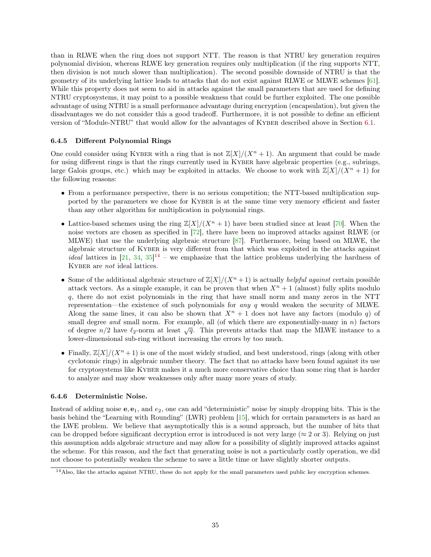<span id="page-34-3"></span>than in RLWE when the ring does not support NTT. The reason is that NTRU key generation requires polynomial division, whereas RLWE key generation requires only multiplication (if the ring supports NTT, then division is not much slower than multiplication). The second possible downside of NTRU is that the geometry of its underlying lattice leads to attacks that do not exist against RLWE or MLWE schemes [\[61\]](#page-40-14). While this property does not seem to aid in attacks against the small parameters that are used for defining NTRU cryptosystems, it may point to a possible weakness that could be further exploited. The one possible advantage of using NTRU is a small performance advantage during encryption (encapsulation), but given the disadvantages we do not consider this a good tradeoff. Furthermore, it is not possible to define an efficient version of "Module-NTRU" that would allow for the advantages of Kyber described above in Section [6.1.](#page-32-1)

## <span id="page-34-0"></span>6.4.5 Different Polynomial Rings

One could consider using KYBER with a ring that is not  $\mathbb{Z}[X]/(X^n + 1)$ . An argument that could be made for using different rings is that the rings currently used in KYBER have algebraic properties (e.g., subrings, large Galois groups, etc.) which may be exploited in attacks. We choose to work with  $\mathbb{Z}[X]/(X^n + 1)$  for the following reasons:

- From a performance perspective, there is no serious competition; the NTT-based multiplication supported by the parameters we chose for KYBER is at the same time very memory efficient and faster than any other algorithm for multiplication in polynomial rings.
- Lattice-based schemes using the ring  $\mathbb{Z}[X]/(X^n + 1)$  have been studied since at least [\[70\]](#page-40-5). When the noise vectors are chosen as specified in [\[72\]](#page-40-1), there have been no improved attacks against RLWE (or MLWE) that use the underlying algebraic structure [\[87\]](#page-41-12). Furthermore, being based on MLWE, the algebraic structure of Kyber is very different from that which was exploited in the attacks against *ideal* lattices in  $[21, 34, 35]^{14}$  $[21, 34, 35]^{14}$  $[21, 34, 35]^{14}$  $[21, 34, 35]^{14}$  $[21, 34, 35]^{14}$  $[21, 34, 35]^{14}$  $[21, 34, 35]^{14}$  $[21, 34, 35]^{14}$  – we emphasize that the lattice problems underlying the hardness of KYBER are not ideal lattices.
- Some of the additional algebraic structure of  $\mathbb{Z}[X]/(X^n + 1)$  is actually *helpful against* certain possible attack vectors. As a simple example, it can be proven that when  $X^n + 1$  (almost) fully splits modulo q, there do not exist polynomials in the ring that have small norm and many zeros in the NTT representation—the existence of such polynomials for any  $q$  would weaken the security of MLWE. Along the same lines, it can also be shown that  $X^n + 1$  does not have any factors (modulo q) of small degree and small norm. For example, all (of which there are exponentially-many in  $n$ ) factors of degree  $n/2$  have  $\ell_2$ -norm at least  $\sqrt{q}$ . This prevents attacks that map the MLWE instance to a lower-dimensional sub-ring without increasing the errors by too much.
- Finally,  $\mathbb{Z}[X]/(X^n + 1)$  is one of the most widely studied, and best understood, rings (along with other cyclotomic rings) in algebraic number theory. The fact that no attacks have been found against its use for cryptosystems like KYBER makes it a much more conservative choice than some ring that is harder to analyze and may show weaknesses only after many more years of study.

### <span id="page-34-1"></span>6.4.6 Deterministic Noise.

Instead of adding noise  $e, e_1$ , and  $e_2$ , one can add "deterministic" noise by simply dropping bits. This is the basis behind the "Learning with Rounding" (LWR) problem [\[15\]](#page-36-3), which for certain parameters is as hard as the LWE problem. We believe that asymptotically this is a sound approach, but the number of bits that can be dropped before significant decryption error is introduced is not very large ( $\approx 2$  or 3). Relying on just this assumption adds algebraic structure and may allow for a possibility of slightly improved attacks against the scheme. For this reason, and the fact that generating noise is not a particularly costly operation, we did not choose to potentially weaken the scheme to save a little time or have slightly shorter outputs.

<span id="page-34-2"></span><sup>&</sup>lt;sup>14</sup>Also, like the attacks against NTRU, these do not apply for the small parameters used public key encryption schemes.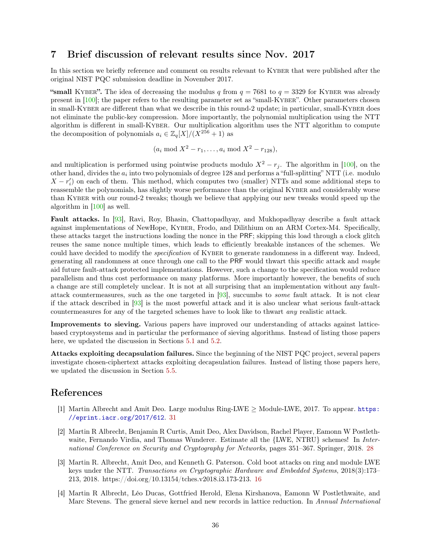# <span id="page-35-5"></span><span id="page-35-0"></span>7 Brief discussion of relevant results since Nov. 2017

In this section we briefly reference and comment on results relevant to KYBER that were published after the original NIST PQC submission deadline in November 2017.

"small KYBER". The idea of decreasing the modulus q from  $q = 7681$  to  $q = 3329$  for KYBER was already present in [\[100\]](#page-42-10); the paper refers to the resulting parameter set as "small-Kyber". Other parameters chosen in small-KYBER are different than what we describe in this round-2 update; in particular, small-KYBER does not eliminate the public-key compression. More importantly, the polynomial multiplication using the NTT algorithm is different in small-Kyber. Our multiplication algorithm uses the NTT algorithm to compute the decomposition of polynomials  $a_i \in \mathbb{Z}_q[X]/(X^{256} + 1)$  as

 $(a_i \mod X^2 - r_1, \ldots, a_i \mod X^2 - r_{128}),$ 

and multiplication is performed using pointwise products modulo  $X^2 - r_i$ . The algorithm in [\[100\]](#page-42-10), on the other hand, divides the  $a_i$  into two polynomials of degree 128 and performs a "full-splitting" NTT (i.e. modulo  $X - r'_i$  on each of them. This method, which computes two (smaller) NTTs and some additional steps to reassemble the polynomials, has slightly worse performance than the original KYBER and considerably worse than KYBER with our round-2 tweaks; though we believe that applying our new tweaks would speed up the algorithm in [\[100\]](#page-42-10) as well.

Fault attacks. In [\[93\]](#page-42-11), Ravi, Roy, Bhasin, Chattopadhyay, and Mukhopadhyay describe a fault attack against implementations of NewHope, Kyber, Frodo, and Dilithium on an ARM Cortex-M4. Specifically, these attacks target the instructions loading the nonce in the PRF; skipping this load through a clock glitch reuses the same nonce multiple times, which leads to efficiently breakable instances of the schemes. We could have decided to modify the *specification* of KYBER to generate randomness in a different way. Indeed, generating all randomness at once through one call to the PRF would thwart this specific attack and maybe aid future fault-attack protected implementations. However, such a change to the specification would reduce parallelism and thus cost performance on many platforms. More importantly however, the benefits of such a change are still completely unclear. It is not at all surprising that an implementation without any faultattack countermeasures, such as the one targeted in [\[93\]](#page-42-11), succumbs to some fault attack. It is not clear if the attack described in [\[93\]](#page-42-11) is the most powerful attack and it is also unclear what serious fault-attack countermeasures for any of the targeted schemes have to look like to thwart any realistic attack.

Improvements to sieving. Various papers have improved our understanding of attacks against latticebased cryptosystems and in particular the performance of sieving algorithms. Instead of listing those papers here, we updated the discussion in Sections [5.1](#page-24-1) and [5.2.](#page-26-1)

Attacks exploiting decapsulation failures. Since the beginning of the NIST PQC project, several papers investigate chosen-ciphertext attacks exploiting decapsulation failures. Instead of listing those papers here, we updated the discussion in Section [5.5.](#page-30-2)

# References

- <span id="page-35-4"></span>[1] Martin Albrecht and Amit Deo. Large modulus Ring-LWE  $\geq$  Module-LWE, 2017. To appear. [https:](https://eprint.iacr.org/2017/612) [//eprint.iacr.org/2017/612](https://eprint.iacr.org/2017/612). [31](#page-30-3)
- <span id="page-35-3"></span>[2] Martin R Albrecht, Benjamin R Curtis, Amit Deo, Alex Davidson, Rachel Player, Eamonn W Postlethwaite, Fernando Virdia, and Thomas Wunderer. Estimate all the {LWE, NTRU} schemes! In *Inter*national Conference on Security and Cryptography for Networks, pages 351–367. Springer, 2018. [28](#page-27-3)
- <span id="page-35-1"></span>[3] Martin R. Albrecht, Amit Deo, and Kenneth G. Paterson. Cold boot attacks on ring and module LWE keys under the NTT. Transactions on Cryptographic Hardware and Embedded Systems, 2018(3):173– 213, 2018. https://doi.org/10.13154/tches.v2018.i3.173-213. [16](#page-15-2)
- <span id="page-35-2"></span>[4] Martin R Albrecht, Léo Ducas, Gottfried Herold, Elena Kirshanova, Eamonn W Postlethwaite, and Marc Stevens. The general sieve kernel and new records in lattice reduction. In Annual International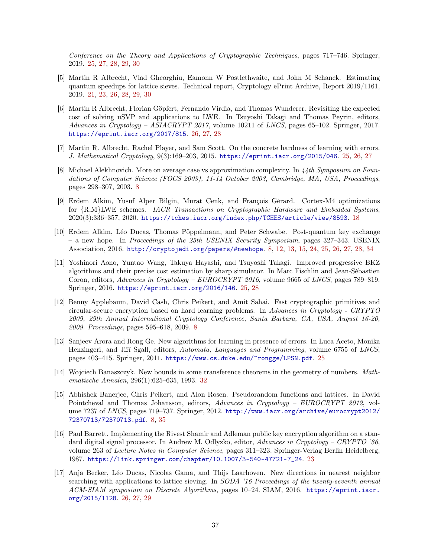Conference on the Theory and Applications of Cryptographic Techniques, pages 717–746. Springer, 2019. [25,](#page-24-3) [27,](#page-26-4) [28,](#page-27-3) [29,](#page-28-2) [30](#page-29-1)

- <span id="page-36-5"></span>[5] Martin R Albrecht, Vlad Gheorghiu, Eamonn W Postlethwaite, and John M Schanck. Estimating quantum speedups for lattice sieves. Technical report, Cryptology ePrint Archive, Report 2019/1161, 2019. [21,](#page-20-3) [23,](#page-22-5) [26,](#page-25-2) [28,](#page-27-3) [29,](#page-28-2) [30](#page-29-1)
- <span id="page-36-11"></span>[6] Martin R Albrecht, Florian Göpfert, Fernando Virdia, and Thomas Wunderer. Revisiting the expected cost of solving uSVP and applications to LWE. In Tsuyoshi Takagi and Thomas Peyrin, editors, Advances in Cryptology – ASIACRYPT 2017, volume 10211 of LNCS, pages 65–102. Springer, 2017. <https://eprint.iacr.org/2017/815>. [26,](#page-25-2) [27,](#page-26-4) [28](#page-27-3)
- <span id="page-36-7"></span>[7] Martin R. Albrecht, Rachel Player, and Sam Scott. On the concrete hardness of learning with errors. J. Mathematical Cryptology, 9(3):169–203, 2015. <https://eprint.iacr.org/2015/046>. [25,](#page-24-3) [26,](#page-25-2) [27](#page-26-4)
- <span id="page-36-0"></span>[8] Michael Alekhnovich. More on average case vs approximation complexity. In 44th Symposium on Foundations of Computer Science (FOCS 2003), 11-14 October 2003, Cambridge, MA, USA, Proceedings, pages 298–307, 2003. [8](#page-7-2)
- <span id="page-36-4"></span>[9] Erdem Alkim, Yusuf Alper Bilgin, Murat Cenk, and François Gérard. Cortex-M4 optimizations for  ${R,M}$ LWE schemes. *IACR* Transactions on Cryptographic Hardware and Embedded Systems, 2020(3):336–357, 2020. <https://tches.iacr.org/index.php/TCHES/article/view/8593>. [18](#page-17-2)
- <span id="page-36-2"></span>[10] Erdem Alkim, Léo Ducas, Thomas Pöppelmann, and Peter Schwabe. Post-quantum key exchange – a new hope. In Proceedings of the 25th USENIX Security Symposium, pages 327–343. USENIX Association, 2016. <http://cryptojedi.org/papers/#newhope>. [8,](#page-7-2) [12,](#page-11-2) [13,](#page-12-0) [15,](#page-14-3) [24,](#page-23-2) [25,](#page-24-3) [26,](#page-25-2) [27,](#page-26-4) [28,](#page-27-3) [34](#page-33-4)
- <span id="page-36-9"></span>[11] Yoshinori Aono, Yuntao Wang, Takuya Hayashi, and Tsuyoshi Takagi. Improved progressive BKZ algorithms and their precise cost estimation by sharp simulator. In Marc Fischlin and Jean-Sébastien Coron, editors, Advances in Cryptology – EUROCRYPT 2016, volume 9665 of LNCS, pages 789–819. Springer, 2016. <https://eprint.iacr.org/2016/146>. [25,](#page-24-3) [28](#page-27-3)
- <span id="page-36-1"></span>[12] Benny Applebaum, David Cash, Chris Peikert, and Amit Sahai. Fast cryptographic primitives and circular-secure encryption based on hard learning problems. In Advances in Cryptology - CRYPTO 2009, 29th Annual International Cryptology Conference, Santa Barbara, CA, USA, August 16-20, 2009. Proceedings, pages 595–618, 2009. [8](#page-7-2)
- <span id="page-36-8"></span>[13] Sanjeev Arora and Rong Ge. New algorithms for learning in presence of errors. In Luca Aceto, Monika Henzingeri, and Jiří Sgall, editors, Automata, Languages and Programming, volume 6755 of LNCS, pages 403–415. Springer, 2011. <https://www.cs.duke.edu/~rongge/LPSN.pdf>. [25](#page-24-3)
- <span id="page-36-12"></span>[14] Wojciech Banaszczyk. New bounds in some transference theorems in the geometry of numbers. Mathematische Annalen, 296(1):625–635, 1993. [32](#page-31-4)
- <span id="page-36-3"></span>[15] Abhishek Banerjee, Chris Peikert, and Alon Rosen. Pseudorandom functions and lattices. In David Pointcheval and Thomas Johansson, editors, Advances in Cryptology – EUROCRYPT 2012, volume 7237 of LNCS, pages 719–737. Springer, 2012. [http://www.iacr.org/archive/eurocrypt2012/](http://www.iacr.org/archive/eurocrypt2012/72370713/72370713.pdf) [72370713/72370713.pdf](http://www.iacr.org/archive/eurocrypt2012/72370713/72370713.pdf). [8,](#page-7-2) [35](#page-34-3)
- <span id="page-36-6"></span>[16] Paul Barrett. Implementing the Rivest Shamir and Adleman public key encryption algorithm on a standard digital signal processor. In Andrew M. Odlyzko, editor, Advances in Cryptology – CRYPTO '86, volume 263 of Lecture Notes in Computer Science, pages 311–323. Springer-Verlag Berlin Heidelberg, 1987. [https://link.springer.com/chapter/10.1007/3-540-47721-7\\_24](https://link.springer.com/chapter/10.1007/3-540-47721-7_24). [23](#page-22-5)
- <span id="page-36-10"></span>[17] Anja Becker, Léo Ducas, Nicolas Gama, and Thijs Laarhoven. New directions in nearest neighbor searching with applications to lattice sieving. In SODA '16 Proceedings of the twenty-seventh annual ACM-SIAM symposium on Discrete Algorithms, pages 10–24. SIAM, 2016. [https://eprint.iacr.](https://eprint.iacr.org/2015/1128) [org/2015/1128](https://eprint.iacr.org/2015/1128). [26,](#page-25-2) [27,](#page-26-4) [29](#page-28-2)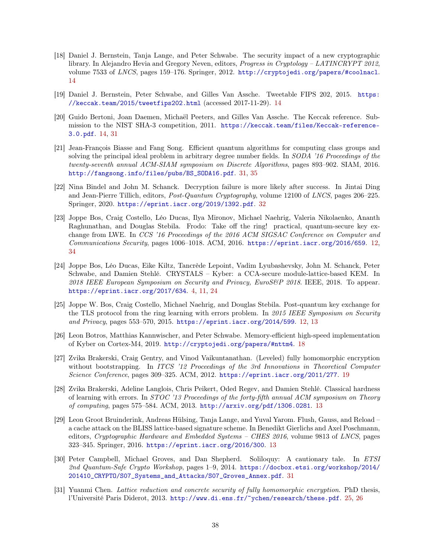- <span id="page-37-7"></span>[18] Daniel J. Bernstein, Tanja Lange, and Peter Schwabe. The security impact of a new cryptographic library. In Alejandro Hevia and Gregory Neven, editors, *Progress in Cryptology – LATINCRYPT* 2012, volume 7533 of LNCS, pages 159–176. Springer, 2012. <http://cryptojedi.org/papers/#coolnacl>. [14](#page-13-0)
- <span id="page-37-6"></span>[19] Daniel J. Bernstein, Peter Schwabe, and Gilles Van Assche. Tweetable FIPS 202, 2015. [https:](https://keccak.team/2015/tweetfips202.html) [//keccak.team/2015/tweetfips202.html](https://keccak.team/2015/tweetfips202.html) (accessed 2017-11-29). [14](#page-13-0)
- <span id="page-37-5"></span>[20] Guido Bertoni, Joan Daemen, Michaël Peeters, and Gilles Van Assche. The Keccak reference. Submission to the NIST SHA-3 competition, 2011. [https://keccak.team/files/Keccak-reference-](https://keccak.team/files/Keccak-reference-3.0.pdf)[3.0.pdf](https://keccak.team/files/Keccak-reference-3.0.pdf). [14,](#page-13-0) [31](#page-30-3)
- <span id="page-37-12"></span>[21] Jean-François Biasse and Fang Song. Efficient quantum algorithms for computing class groups and solving the principal ideal problem in arbitrary degree number fields. In SODA '16 Proceedings of the twenty-seventh annual ACM-SIAM symposium on Discrete Algorithms, pages 893–902. SIAM, 2016. [http://fangsong.info/files/pubs/BS\\_SODA16.pdf](http://fangsong.info/files/pubs/BS_SODA16.pdf). [31,](#page-30-3) [35](#page-34-3)
- <span id="page-37-13"></span>[22] Nina Bindel and John M. Schanck. Decryption failure is more likely after success. In Jintai Ding and Jean-Pierre Tillich, editors, Post-Quantum Cryptography, volume 12100 of LNCS, pages 206–225. Springer, 2020. <https://eprint.iacr.org/2019/1392.pdf>. [32](#page-31-4)
- <span id="page-37-1"></span>[23] Joppe Bos, Craig Costello, Léo Ducas, Ilya Mironov, Michael Naehrig, Valeria Nikolaenko, Ananth Raghunathan, and Douglas Stebila. Frodo: Take off the ring! practical, quantum-secure key exchange from LWE. In CCS '16 Proceedings of the 2016 ACM SIGSAC Conference on Computer and Communications Security, pages 1006–1018. ACM, 2016. <https://eprint.iacr.org/2016/659>. [12,](#page-11-2) [34](#page-33-4)
- <span id="page-37-0"></span>[24] Joppe Bos, Léo Ducas, Eike Kiltz, Tancrède Lepoint, Vadim Lyubashevsky, John M. Schanck, Peter Schwabe, and Damien Stehlé. CRYSTALS – Kyber: a CCA-secure module-lattice-based KEM. In 2018 IEEE European Symposium on Security and Privacy, EuroS&P 2018. IEEE, 2018. To appear. <https://eprint.iacr.org/2017/634>. [4,](#page-3-2) [11,](#page-10-1) [24](#page-23-2)
- <span id="page-37-2"></span>[25] Joppe W. Bos, Craig Costello, Michael Naehrig, and Douglas Stebila. Post-quantum key exchange for the TLS protocol from the ring learning with errors problem. In 2015 IEEE Symposium on Security and Privacy, pages 553–570, 2015. <https://eprint.iacr.org/2014/599>. [12,](#page-11-2) [13](#page-12-0)
- <span id="page-37-8"></span>[26] Leon Botros, Matthias Kannwischer, and Peter Schwabe. Memory-efficient high-speed implementation of Kyber on Cortex-M4, 2019. <http://cryptojedi.org/papers/#nttm4>. [18](#page-17-2)
- <span id="page-37-9"></span>[27] Zvika Brakerski, Craig Gentry, and Vinod Vaikuntanathan. (Leveled) fully homomorphic encryption without bootstrapping. In ITCS '12 Proceedings of the 3rd Innovations in Theoretical Computer Science Conference, pages 309–325. ACM, 2012. <https://eprint.iacr.org/2011/277>. [19](#page-18-4)
- <span id="page-37-3"></span>[28] Zvika Brakerski, Adeline Langlois, Chris Peikert, Oded Regev, and Damien Stehlé. Classical hardness of learning with errors. In STOC '13 Proceedings of the forty-fifth annual ACM symposium on Theory of computing, pages 575–584. ACM, 2013. <http://arxiv.org/pdf/1306.0281>. [13](#page-12-0)
- <span id="page-37-4"></span>[29] Leon Groot Bruinderink, Andreas Hülsing, Tanja Lange, and Yuval Yarom. Flush, Gauss, and Reload – a cache attack on the BLISS lattice-based signature scheme. In Benedikt Gierlichs and Axel Poschmann, editors, Cryptographic Hardware and Embedded Systems – CHES 2016, volume 9813 of LNCS, pages 323–345. Springer, 2016. <https://eprint.iacr.org/2016/300>. [13](#page-12-0)
- <span id="page-37-11"></span>[30] Peter Campbell, Michael Groves, and Dan Shepherd. Soliloquy: A cautionary tale. In ETSI 2nd Quantum-Safe Crypto Workshop, pages 1–9, 2014. [https://docbox.etsi.org/workshop/2014/](https://docbox.etsi.org/workshop/2014/201410_CRYPTO/S07_Systems_and_Attacks/S07_Groves_Annex.pdf) [201410\\_CRYPTO/S07\\_Systems\\_and\\_Attacks/S07\\_Groves\\_Annex.pdf](https://docbox.etsi.org/workshop/2014/201410_CRYPTO/S07_Systems_and_Attacks/S07_Groves_Annex.pdf). [31](#page-30-3)
- <span id="page-37-10"></span>[31] Yuanmi Chen. Lattice reduction and concrete security of fully homomorphic encryption. PhD thesis, l'Université Paris Diderot, 2013. <http://www.di.ens.fr/~ychen/research/these.pdf>. [25,](#page-24-3) [26](#page-25-2)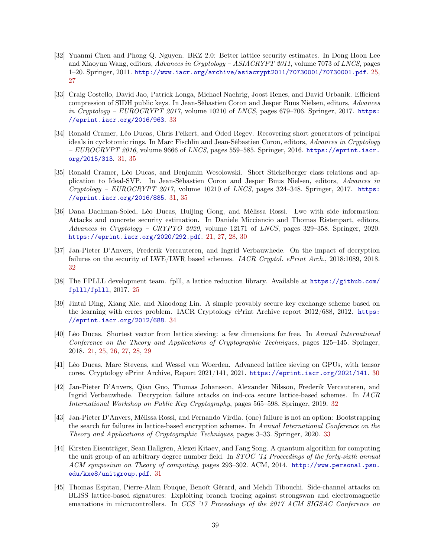- <span id="page-38-3"></span>[32] Yuanmi Chen and Phong Q. Nguyen. BKZ 2.0: Better lattice security estimates. In Dong Hoon Lee and Xiaoyun Wang, editors, Advances in Cryptology – ASIACRYPT 2011, volume 7073 of LNCS, pages 1–20. Springer, 2011. <http://www.iacr.org/archive/asiacrypt2011/70730001/70730001.pdf>. [25,](#page-24-3) [27](#page-26-4)
- <span id="page-38-12"></span>[33] Craig Costello, David Jao, Patrick Longa, Michael Naehrig, Joost Renes, and David Urbanik. Efficient compression of SIDH public keys. In Jean-Sébastien Coron and Jesper Buus Nielsen, editors, Advances in Cryptology – EUROCRYPT 2017, volume 10210 of LNCS, pages 679–706. Springer, 2017. [https:](https://eprint.iacr.org/2016/963) [//eprint.iacr.org/2016/963](https://eprint.iacr.org/2016/963). [33](#page-32-5)
- <span id="page-38-7"></span>[34] Ronald Cramer, Léo Ducas, Chris Peikert, and Oded Regev. Recovering short generators of principal ideals in cyclotomic rings. In Marc Fischlin and Jean-Sébastien Coron, editors, Advances in Cryptology  $-EUROCRYPT$  2016, volume 9666 of LNCS, pages 559–585. Springer, 2016. [https://eprint.iacr.](https://eprint.iacr.org/2015/313) [org/2015/313](https://eprint.iacr.org/2015/313). [31,](#page-30-3) [35](#page-34-3)
- <span id="page-38-8"></span>[35] Ronald Cramer, Léo Ducas, and Benjamin Wesolowski. Short Stickelberger class relations and application to Ideal-SVP. In Jean-Sébastien Coron and Jesper Buus Nielsen, editors, Advances in  $Cryptology - EUROCRYPT 2017$ , volume 10210 of *LNCS*, pages 324-348. Springer, 2017. [https:](https://eprint.iacr.org/2016/885) [//eprint.iacr.org/2016/885](https://eprint.iacr.org/2016/885). [31,](#page-30-3) [35](#page-34-3)
- <span id="page-38-2"></span>[36] Dana Dachman-Soled, Léo Ducas, Huijing Gong, and Mélissa Rossi. Lwe with side information: Attacks and concrete security estimation. In Daniele Micciancio and Thomas Ristenpart, editors, Advances in Cryptology – CRYPTO 2020, volume 12171 of LNCS, pages 329–358. Springer, 2020. <https://eprint.iacr.org/2020/292.pdf>. [21,](#page-20-3) [27,](#page-26-4) [28,](#page-27-3) [30](#page-29-1)
- <span id="page-38-9"></span>[37] Jan-Pieter D'Anvers, Frederik Vercauteren, and Ingrid Verbauwhede. On the impact of decryption failures on the security of LWE/LWR based schemes. *IACR Cryptol. ePrint Arch.*, 2018:1089, 2018. [32](#page-31-4)
- <span id="page-38-4"></span>[38] The FPLLL development team. fplll, a lattice reduction library. Available at [https://github.com/](https://github.com/fplll/fplll) [fplll/fplll](https://github.com/fplll/fplll), 2017. [25](#page-24-3)
- <span id="page-38-13"></span>[39] Jintai Ding, Xiang Xie, and Xiaodong Lin. A simple provably secure key exchange scheme based on the learning with errors problem. IACR Cryptology ePrint Archive report 2012/688, 2012. [https:](https://eprint.iacr.org/2012/688) [//eprint.iacr.org/2012/688](https://eprint.iacr.org/2012/688). [34](#page-33-4)
- <span id="page-38-1"></span>[40] Léo Ducas. Shortest vector from lattice sieving: a few dimensions for free. In Annual International Conference on the Theory and Applications of Cryptographic Techniques, pages 125–145. Springer, 2018. [21,](#page-20-3) [25,](#page-24-3) [26,](#page-25-2) [27,](#page-26-4) [28,](#page-27-3) [29](#page-28-2)
- <span id="page-38-5"></span>[41] Léo Ducas, Marc Stevens, and Wessel van Woerden. Advanced lattice sieving on GPUs, with tensor cores. Cryptology ePrint Archive, Report 2021/141, 2021. <https://eprint.iacr.org/2021/141>. [30](#page-29-1)
- <span id="page-38-10"></span>[42] Jan-Pieter D'Anvers, Qian Guo, Thomas Johansson, Alexander Nilsson, Frederik Vercauteren, and Ingrid Verbauwhede. Decryption failure attacks on ind-cca secure lattice-based schemes. In IACR International Workshop on Public Key Cryptography, pages 565–598. Springer, 2019. [32](#page-31-4)
- <span id="page-38-11"></span>[43] Jan-Pieter D'Anvers, Mélissa Rossi, and Fernando Virdia. (one) failure is not an option: Bootstrapping the search for failures in lattice-based encryption schemes. In Annual International Conference on the Theory and Applications of Cryptographic Techniques, pages 3–33. Springer, 2020. [33](#page-32-5)
- <span id="page-38-6"></span>[44] Kirsten Eisenträger, Sean Hallgren, Alexei Kitaev, and Fang Song. A quantum algorithm for computing the unit group of an arbitrary degree number field. In *STOC* '14 Proceedings of the forty-sixth annual ACM symposium on Theory of computing, pages 293–302. ACM, 2014. [http://www.personal.psu.](http://www.personal.psu.edu/kxe8/unitgroup.pdf) [edu/kxe8/unitgroup.pdf](http://www.personal.psu.edu/kxe8/unitgroup.pdf). [31](#page-30-3)
- <span id="page-38-0"></span>[45] Thomas Espitau, Pierre-Alain Fouque, Benoït Gérard, and Mehdi Tibouchi. Side-channel attacks on BLISS lattice-based signatures: Exploiting branch tracing against strongswan and electromagnetic emanations in microcontrollers. In CCS '17 Proceedings of the 2017 ACM SIGSAC Conference on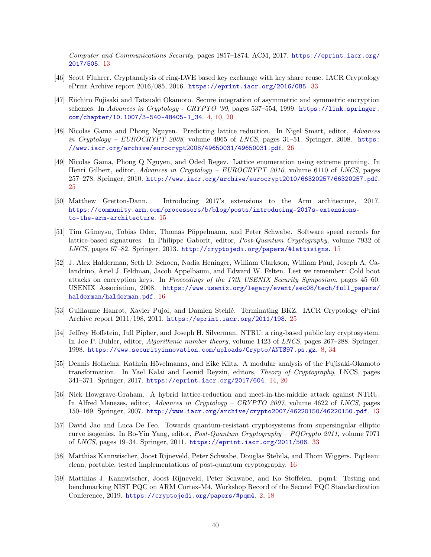Computer and Communications Security, pages 1857–1874. ACM, 2017. [https://eprint.iacr.org/](https://eprint.iacr.org/2017/505) [2017/505](https://eprint.iacr.org/2017/505). [13](#page-12-0)

- <span id="page-39-12"></span>[46] Scott Fluhrer. Cryptanalysis of ring-LWE based key exchange with key share reuse. IACR Cryptology ePrint Archive report 2016/085, 2016. <https://eprint.iacr.org/2016/085>. [33](#page-32-5)
- <span id="page-39-1"></span>[47] Eiichiro Fujisaki and Tatsuaki Okamoto. Secure integration of asymmetric and symmetric encryption schemes. In Advances in Cryptology - CRYPTO '99, pages 537-554, 1999. [https://link.springer.](https://link.springer.com/chapter/10.1007/3-540-48405-1_34) [com/chapter/10.1007/3-540-48405-1\\_34](https://link.springer.com/chapter/10.1007/3-540-48405-1_34). [4,](#page-3-2) [10,](#page-9-5) [20](#page-19-5)
- <span id="page-39-11"></span>[48] Nicolas Gama and Phong Nguyen. Predicting lattice reduction. In Nigel Smart, editor, Advances in Cryptology –  $EUROCRYPT 2008$ , volume 4965 of  $LNCS$ , pages 31–51. Springer, 2008. [https:](https://www.iacr.org/archive/eurocrypt2008/49650031/49650031.pdf) [//www.iacr.org/archive/eurocrypt2008/49650031/49650031.pdf](https://www.iacr.org/archive/eurocrypt2008/49650031/49650031.pdf). [26](#page-25-2)
- <span id="page-39-10"></span>[49] Nicolas Gama, Phong Q Nguyen, and Oded Regev. Lattice enumeration using extreme pruning. In Henri Gilbert, editor, Advances in Cryptology – EUROCRYPT 2010, volume 6110 of LNCS, pages 257–278. Springer, 2010. <http://www.iacr.org/archive/eurocrypt2010/66320257/66320257.pdf>. [25](#page-24-3)
- <span id="page-39-6"></span>[50] Matthew Gretton-Dann. Introducing 2017's extensions to the Arm architecture, 2017. [https://community.arm.com/processors/b/blog/posts/introducing-2017s-extensions](https://community.arm.com/processors/b/blog/posts/introducing-2017s-extensions-to-the-arm-architecture)[to-the-arm-architecture](https://community.arm.com/processors/b/blog/posts/introducing-2017s-extensions-to-the-arm-architecture). [15](#page-14-3)
- <span id="page-39-5"></span>[51] Tim Güneysu, Tobias Oder, Thomas Pöppelmann, and Peter Schwabe. Software speed records for lattice-based signatures. In Philippe Gaborit, editor, Post-Quantum Cryptography, volume 7932 of LNCS, pages 67–82. Springer, 2013. <http://cryptojedi.org/papers/#lattisigns>. [15](#page-14-3)
- <span id="page-39-7"></span>[52] J. Alex Halderman, Seth D. Schoen, Nadia Heninger, William Clarkson, William Paul, Joseph A. Calandrino, Ariel J. Feldman, Jacob Appelbaum, and Edward W. Felten. Lest we remember: Cold boot attacks on encryption keys. In Proceedings of the 17th USENIX Security Symposium, pages 45–60. USENIX Association, 2008. [https://www.usenix.org/legacy/event/sec08/tech/full\\_papers/](https://www.usenix.org/legacy/event/sec08/tech/full_papers/halderman/halderman.pdf) [halderman/halderman.pdf](https://www.usenix.org/legacy/event/sec08/tech/full_papers/halderman/halderman.pdf). [16](#page-15-2)
- <span id="page-39-9"></span>[53] Guillaume Hanrot, Xavier Pujol, and Damien Stehlé. Terminating BKZ. IACR Cryptology ePrint Archive report 2011/198, 2011. <https://eprint.iacr.org/2011/198>. [25](#page-24-3)
- <span id="page-39-2"></span>[54] Jeffrey Hoffstein, Jull Pipher, and Joseph H. Silverman. NTRU: a ring-based public key cryptosystem. In Joe P. Buhler, editor, Algorithmic number theory, volume 1423 of LNCS, pages 267–288. Springer, 1998. <https://www.securityinnovation.com/uploads/Crypto/ANTS97.ps.gz>. [8,](#page-7-2) [34](#page-33-4)
- <span id="page-39-4"></span>[55] Dennis Hofheinz, Kathrin Hövelmanns, and Eike Kiltz. A modular analysis of the Fujisaki-Okamoto transformation. In Yael Kalai and Leonid Reyzin, editors, Theory of Cryptography, LNCS, pages 341–371. Springer, 2017. <https://eprint.iacr.org/2017/604>. [14,](#page-13-0) [20](#page-19-5)
- <span id="page-39-3"></span>[56] Nick Howgrave-Graham. A hybrid lattice-reduction and meet-in-the-middle attack against NTRU. In Alfred Menezes, editor, Advances in Cryptology – CRYPTO 2007, volume 4622 of LNCS, pages 150–169. Springer, 2007. <http://www.iacr.org/archive/crypto2007/46220150/46220150.pdf>. [13](#page-12-0)
- <span id="page-39-13"></span>[57] David Jao and Luca De Feo. Towards quantum-resistant cryptosystems from supersingular elliptic curve isogenies. In Bo-Yin Yang, editor, Post-Quantum Cryptography – PQCrypto 2011, volume 7071 of LNCS, pages 19–34. Springer, 2011. <https://eprint.iacr.org/2011/506>. [33](#page-32-5)
- <span id="page-39-8"></span>[58] Matthias Kannwischer, Joost Rijneveld, Peter Schwabe, Douglas Stebila, and Thom Wiggers. Pqclean: clean, portable, tested implementations of post-quantum cryptography. [16](#page-15-2)
- <span id="page-39-0"></span>[59] Matthias J. Kannwischer, Joost Rijneveld, Peter Schwabe, and Ko Stoffelen. pqm4: Testing and benchmarking NIST PQC on ARM Cortex-M4. Workshop Record of the Second PQC Standardization Conference, 2019. <https://cryptojedi.org/papers/#pqm4>. [2,](#page-1-0) [18](#page-17-2)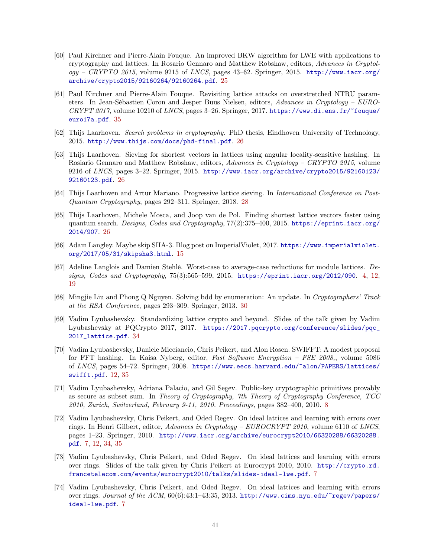- <span id="page-40-7"></span>[60] Paul Kirchner and Pierre-Alain Fouque. An improved BKW algorithm for LWE with applications to cryptography and lattices. In Rosario Gennaro and Matthew Robshaw, editors, Advances in Cryptol $ogy - CRYPTO$  2015, volume 9215 of LNCS, pages 43-62. Springer, 2015. [http://www.iacr.org/](http://www.iacr.org/archive/crypto2015/92160264/92160264.pdf) [archive/crypto2015/92160264/92160264.pdf](http://www.iacr.org/archive/crypto2015/92160264/92160264.pdf). [25](#page-24-3)
- <span id="page-40-14"></span>[61] Paul Kirchner and Pierre-Alain Fouque. Revisiting lattice attacks on overstretched NTRU parameters. In Jean-Sébastien Coron and Jesper Buus Nielsen, editors, Advances in Cryptology – EURO- $CRYPT 2017$ , volume 10210 of LNCS, pages 3-26. Springer, 2017. [https://www.di.ens.fr/~fouque/](https://www.di.ens.fr/~fouque/euro17a.pdf) [euro17a.pdf](https://www.di.ens.fr/~fouque/euro17a.pdf). [35](#page-34-3)
- <span id="page-40-10"></span>[62] Thijs Laarhoven. Search problems in cryptography. PhD thesis, Eindhoven University of Technology, 2015. <http://www.thijs.com/docs/phd-final.pdf>. [26](#page-25-2)
- <span id="page-40-8"></span>[63] Thijs Laarhoven. Sieving for shortest vectors in lattices using angular locality-sensitive hashing. In Rosiario Gennaro and Matthew Robshaw, editors, Advances in Cryptology – CRYPTO 2015, volume 9216 of LNCS, pages 3–22. Springer, 2015. [http://www.iacr.org/archive/crypto2015/92160123/](http://www.iacr.org/archive/crypto2015/92160123/92160123.pdf) [92160123.pdf](http://www.iacr.org/archive/crypto2015/92160123/92160123.pdf). [26](#page-25-2)
- <span id="page-40-11"></span>[64] Thijs Laarhoven and Artur Mariano. Progressive lattice sieving. In International Conference on Post-Quantum Cryptography, pages 292–311. Springer, 2018. [28](#page-27-3)
- <span id="page-40-9"></span>[65] Thijs Laarhoven, Michele Mosca, and Joop van de Pol. Finding shortest lattice vectors faster using quantum search. Designs, Codes and Cryptography, 77(2):375-400, 2015. [https://eprint.iacr.org/](https://eprint.iacr.org/2014/907) [2014/907](https://eprint.iacr.org/2014/907). [26](#page-25-2)
- <span id="page-40-6"></span>[66] Adam Langley. Maybe skip SHA-3. Blog post on ImperialViolet, 2017. [https://www.imperialviolet.](https://www.imperialviolet.org/2017/05/31/skipsha3.html) [org/2017/05/31/skipsha3.html](https://www.imperialviolet.org/2017/05/31/skipsha3.html). [15](#page-14-3)
- <span id="page-40-0"></span>[67] Adeline Langlois and Damien Stehlé. Worst-case to average-case reductions for module lattices. Designs, Codes and Cryptography, 75(3):565–599, 2015. <https://eprint.iacr.org/2012/090>. [4,](#page-3-2) [12,](#page-11-2) [19](#page-18-4)
- <span id="page-40-12"></span>[68] Mingjie Liu and Phong Q Nguyen. Solving bdd by enumeration: An update. In Cryptographers' Track at the RSA Conference, pages 293–309. Springer, 2013. [30](#page-29-1)
- <span id="page-40-13"></span>[69] Vadim Lyubashevsky. Standardizing lattice crypto and beyond. Slides of the talk given by Vadim Lyubashevsky at PQCrypto 2017, 2017. [https://2017.pqcrypto.org/conference/slides/pqc\\_](https://2017.pqcrypto.org/conference/slides/pqc_2017_lattice.pdf) [2017\\_lattice.pdf](https://2017.pqcrypto.org/conference/slides/pqc_2017_lattice.pdf). [34](#page-33-4)
- <span id="page-40-5"></span>[70] Vadim Lyubashevsky, Daniele Micciancio, Chris Peikert, and Alon Rosen. SWIFFT: A modest proposal for FFT hashing. In Kaisa Nyberg, editor, Fast Software Encryption – FSE 2008,, volume 5086 of LNCS, pages 54–72. Springer, 2008. [https://www.eecs.harvard.edu/~alon/PAPERS/lattices/](https://www.eecs.harvard.edu/~alon/PAPERS/lattices/swifft.pdf) [swifft.pdf](https://www.eecs.harvard.edu/~alon/PAPERS/lattices/swifft.pdf). [12,](#page-11-2) [35](#page-34-3)
- <span id="page-40-4"></span>[71] Vadim Lyubashevsky, Adriana Palacio, and Gil Segev. Public-key cryptographic primitives provably as secure as subset sum. In Theory of Cryptography, 7th Theory of Cryptography Conference, TCC 2010, Zurich, Switzerland, February 9-11, 2010. Proceedings, pages 382–400, 2010. [8](#page-7-2)
- <span id="page-40-1"></span>[72] Vadim Lyubashevsky, Chris Peikert, and Oded Regev. On ideal lattices and learning with errors over rings. In Henri Gilbert, editor, Advances in Cryptology –  $EUROCRYPT$  2010, volume 6110 of LNCS, pages 1–23. Springer, 2010. [http://www.iacr.org/archive/eurocrypt2010/66320288/66320288.](http://www.iacr.org/archive/eurocrypt2010/66320288/66320288.pdf) [pdf](http://www.iacr.org/archive/eurocrypt2010/66320288/66320288.pdf). [7,](#page-6-3) [12,](#page-11-2) [34,](#page-33-4) [35](#page-34-3)
- <span id="page-40-2"></span>[73] Vadim Lyubashevsky, Chris Peikert, and Oded Regev. On ideal lattices and learning with errors over rings. Slides of the talk given by Chris Peikert at Eurocrypt 2010, 2010. [http://crypto.rd.](http://crypto.rd.francetelecom.com/events/eurocrypt2010/talks/slides-ideal-lwe.pdf) [francetelecom.com/events/eurocrypt2010/talks/slides-ideal-lwe.pdf](http://crypto.rd.francetelecom.com/events/eurocrypt2010/talks/slides-ideal-lwe.pdf). [7](#page-6-3)
- <span id="page-40-3"></span>[74] Vadim Lyubashevsky, Chris Peikert, and Oded Regev. On ideal lattices and learning with errors over rings. Journal of the ACM, 60(6):43:1-43:35, 2013. [http://www.cims.nyu.edu/~regev/papers/](http://www.cims.nyu.edu/~regev/papers/ideal-lwe.pdf) [ideal-lwe.pdf](http://www.cims.nyu.edu/~regev/papers/ideal-lwe.pdf). [7](#page-6-3)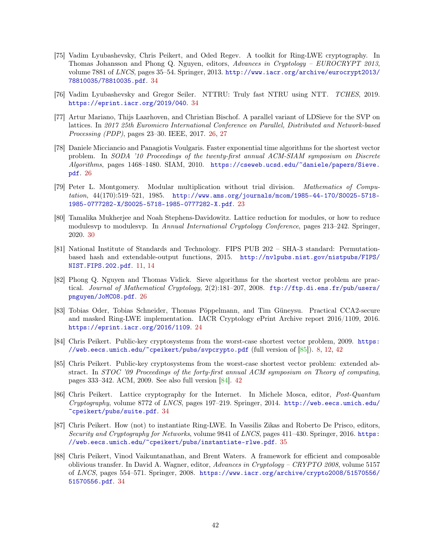- <span id="page-41-14"></span><span id="page-41-10"></span>[75] Vadim Lyubashevsky, Chris Peikert, and Oded Regev. A toolkit for Ring-LWE cryptography. In Thomas Johansson and Phong Q. Nguyen, editors, Advances in Cryptology – EUROCRYPT 2013, volume 7881 of LNCS, pages 35–54. Springer, 2013. [http://www.iacr.org/archive/eurocrypt2013/](http://www.iacr.org/archive/eurocrypt2013/78810035/78810035.pdf) [78810035/78810035.pdf](http://www.iacr.org/archive/eurocrypt2013/78810035/78810035.pdf). [34](#page-33-4)
- <span id="page-41-11"></span>[76] Vadim Lyubashevsky and Gregor Seiler. NTTRU: Truly fast NTRU using NTT. TCHES, 2019. <https://eprint.iacr.org/2019/040>. [34](#page-33-4)
- <span id="page-41-6"></span>[77] Artur Mariano, Thijs Laarhoven, and Christian Bischof. A parallel variant of LDSieve for the SVP on lattices. In 2017 25th Euromicro International Conference on Parallel, Distributed and Network-based Processing (PDP), pages 23–30. IEEE, 2017. [26,](#page-25-2) [27](#page-26-4)
- <span id="page-41-5"></span>[78] Daniele Micciancio and Panagiotis Voulgaris. Faster exponential time algorithms for the shortest vector problem. In SODA '10 Proceedings of the twenty-first annual ACM-SIAM symposium on Discrete Algorithms, pages 1468–1480. SIAM, 2010. [https://cseweb.ucsd.edu/~daniele/papers/Sieve.](https://cseweb.ucsd.edu/~daniele/papers/Sieve.pdf) [pdf](https://cseweb.ucsd.edu/~daniele/papers/Sieve.pdf). [26](#page-25-2)
- <span id="page-41-2"></span>[79] Peter L. Montgomery. Modular multiplication without trial division. Mathematics of Computation, 44(170):519–521, 1985. [http://www.ams.org/journals/mcom/1985-44-170/S0025-5718-](http://www.ams.org/journals/mcom/1985-44-170/S0025-5718-1985-0777282-X/S0025-5718-1985-0777282-X.pdf) [1985-0777282-X/S0025-5718-1985-0777282-X.pdf](http://www.ams.org/journals/mcom/1985-44-170/S0025-5718-1985-0777282-X/S0025-5718-1985-0777282-X.pdf). [23](#page-22-5)
- <span id="page-41-7"></span>[80] Tamalika Mukherjee and Noah Stephens-Davidowitz. Lattice reduction for modules, or how to reduce modulesvp to modulesvp. In Annual International Cryptology Conference, pages 213–242. Springer, 2020. [30](#page-29-1)
- <span id="page-41-1"></span>[81] National Institute of Standards and Technology. FIPS PUB 202 – SHA-3 standard: Permutationbased hash and extendable-output functions, 2015. [http://nvlpubs.nist.gov/nistpubs/FIPS/](http://nvlpubs.nist.gov/nistpubs/FIPS/NIST.FIPS.202.pdf) [NIST.FIPS.202.pdf](http://nvlpubs.nist.gov/nistpubs/FIPS/NIST.FIPS.202.pdf). [11,](#page-10-1) [14](#page-13-0)
- <span id="page-41-4"></span>[82] Phong Q. Nguyen and Thomas Vidick. Sieve algorithms for the shortest vector problem are practical. Journal of Mathematical Cryptology, 2(2):181-207, 2008. [ftp://ftp.di.ens.fr/pub/users/](ftp://ftp.di.ens.fr/pub/users/pnguyen/JoMC08.pdf) [pnguyen/JoMC08.pdf](ftp://ftp.di.ens.fr/pub/users/pnguyen/JoMC08.pdf). [26](#page-25-2)
- <span id="page-41-3"></span>[83] Tobias Oder, Tobias Schneider, Thomas Pöppelmann, and Tim Güneysu. Practical CCA2-secure and masked Ring-LWE implementation. IACR Cryptology ePrint Archive report 2016/1109, 2016. <https://eprint.iacr.org/2016/1109>. [24](#page-23-2)
- <span id="page-41-0"></span>[84] Chris Peikert. Public-key cryptosystems from the worst-case shortest vector problem, 2009. [https:](https://web.eecs.umich.edu/~cpeikert/pubs/svpcrypto.pdf) [//web.eecs.umich.edu/~cpeikert/pubs/svpcrypto.pdf](https://web.eecs.umich.edu/~cpeikert/pubs/svpcrypto.pdf) (full version of [\[85\]](#page-41-13)). [8,](#page-7-2) [12,](#page-11-2) [42](#page-41-14)
- <span id="page-41-13"></span>[85] Chris Peikert. Public-key cryptosystems from the worst-case shortest vector problem: extended abstract. In STOC '09 Proceedings of the forty-first annual ACM symposium on Theory of computing, pages 333–342. ACM, 2009. See also full version [\[84\]](#page-41-0). [42](#page-41-14)
- <span id="page-41-8"></span>[86] Chris Peikert. Lattice cryptography for the Internet. In Michele Mosca, editor, Post-Quantum Cryptography, volume 8772 of LNCS, pages 197–219. Springer, 2014. [http://web.eecs.umich.edu/](http://web.eecs.umich.edu/~cpeikert/pubs/suite.pdf) [~cpeikert/pubs/suite.pdf](http://web.eecs.umich.edu/~cpeikert/pubs/suite.pdf). [34](#page-33-4)
- <span id="page-41-12"></span>[87] Chris Peikert. How (not) to instantiate Ring-LWE. In Vassilis Zikas and Roberto De Prisco, editors, Security and Cryptography for Networks, volume 9841 of LNCS, pages 411–430. Springer, 2016. [https:](https://web.eecs.umich.edu/~cpeikert/pubs/instantiate-rlwe.pdf) [//web.eecs.umich.edu/~cpeikert/pubs/instantiate-rlwe.pdf](https://web.eecs.umich.edu/~cpeikert/pubs/instantiate-rlwe.pdf). [35](#page-34-3)
- <span id="page-41-9"></span>[88] Chris Peikert, Vinod Vaikuntanathan, and Brent Waters. A framework for efficient and composable oblivious transfer. In David A. Wagner, editor, Advances in Cryptology – CRYPTO 2008, volume 5157 of LNCS, pages 554–571. Springer, 2008. [https://www.iacr.org/archive/crypto2008/51570556/](https://www.iacr.org/archive/crypto2008/51570556/51570556.pdf) [51570556.pdf](https://www.iacr.org/archive/crypto2008/51570556/51570556.pdf). [34](#page-33-4)